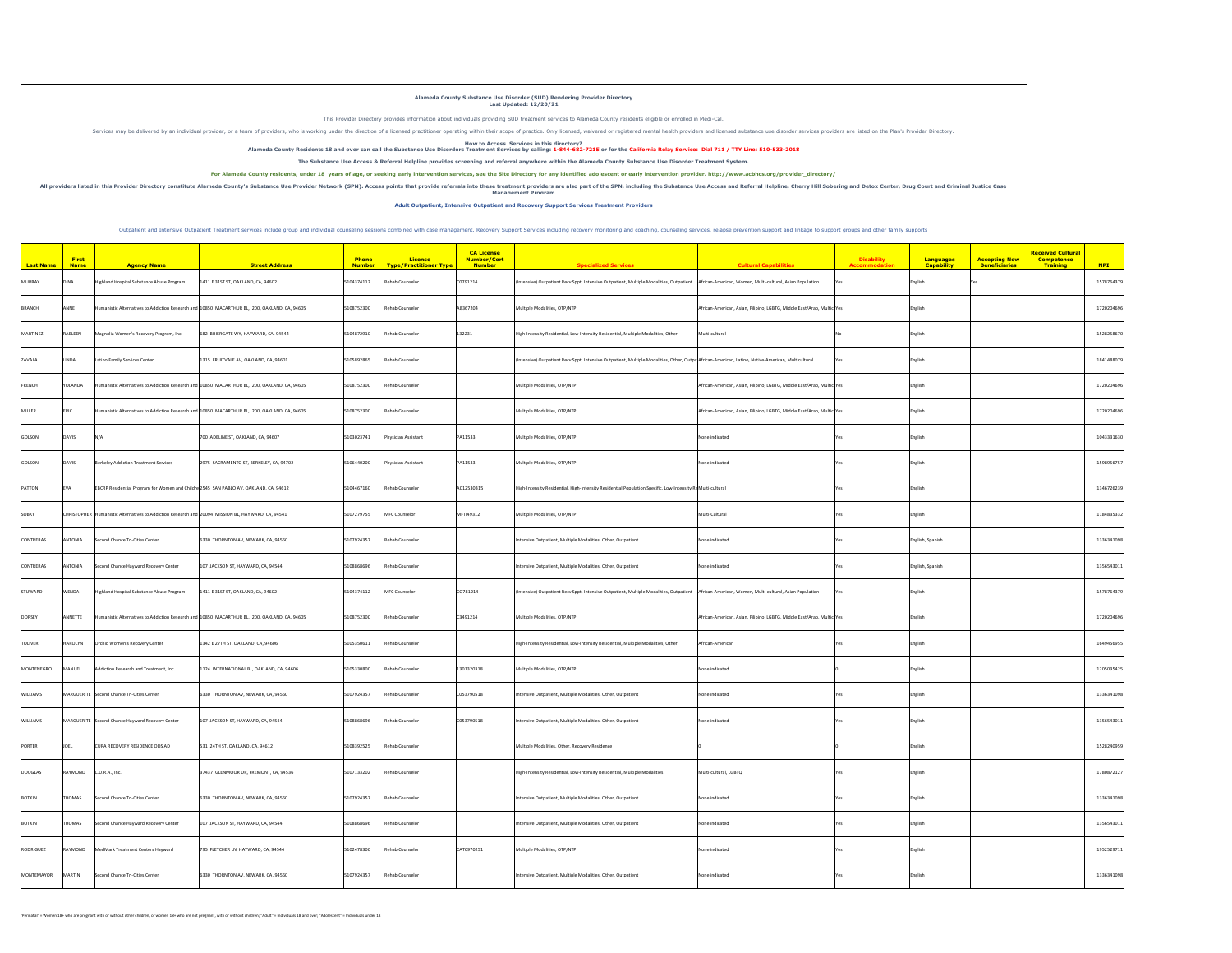|                  | <b>First</b>   |                                                                                                    |                                                                                               | <b>Phone</b>  | <b>License</b>                          | <b>CA License</b><br>Number/Cert |                                                                                                                                                     |                                                                        | <b>Disability</b> | <b>Languages</b>  | <b>Received Cultural</b><br><b>Competence</b><br><b>Accepting New</b> |            |
|------------------|----------------|----------------------------------------------------------------------------------------------------|-----------------------------------------------------------------------------------------------|---------------|-----------------------------------------|----------------------------------|-----------------------------------------------------------------------------------------------------------------------------------------------------|------------------------------------------------------------------------|-------------------|-------------------|-----------------------------------------------------------------------|------------|
| <b>Last Name</b> | <b>Name</b>    | <b>Agency Name</b>                                                                                 | <b>Street Address</b>                                                                         | <b>Number</b> | <mark>  Type/Practitioner Type  </mark> | <b>Number</b>                    | <b>Specialized Services</b>                                                                                                                         | <b>Cultural Capabilities</b>                                           | Accommodation     | <b>Capability</b> | <b>Training</b><br><b>Beneficiaries</b>                               | <b>NPI</b> |
| MURRAY           | DINA           | Highland Hospital Substance Abuse Program                                                          | 1411 E 31ST ST, OAKLAND, CA, 94602                                                            | 5104374112    | Rehab Counselor                         | CO791214                         | (Intensive) Outpatient Recv Sppt, Intensive Outpatient, Multiple Modalities, Outpatient   African-American, Women, Multi-cultural, Asian Population |                                                                        |                   | English           |                                                                       | 1578764379 |
| BRANCH           | ANNE           |                                                                                                    | Humanistic Alternatives to Addiction Research and 10850 MACARTHUR BL, 200, OAKLAND, CA, 94605 | 5108752300    | Rehab Counselor                         | A8367204                         | Multiple Modalities, OTP/NTP                                                                                                                        | African-American, Asian, Filipino, LGBTG, Middle East/Arab, MulticuYes |                   | English           |                                                                       | 1720204696 |
| MARTINEZ         | RAELEEN        | Magnolia Women's Recovery Program, Inc.                                                            | 682 BRIERGATE WY, HAYWARD, CA, 94544                                                          | 5104872910    | Rehab Counselor                         | 132231                           | High-Intensity Residential, Low-Intensity Residential, Multiple Modalities, Other                                                                   | Multi-cultural                                                         |                   | English           |                                                                       | 1528258670 |
| <b>ZAVALA</b>    | LINDA          | Latino Family Services Center                                                                      | 1315 FRUITVALE AV, OAKLAND, CA, 94601                                                         | 5105892865    | Rehab Counselor                         |                                  | (Intensive) Outpatient Recv Sppt, Intensive Outpatient, Multiple Modalities, Other, Outpa African-American, Latino, Native-American, Multicultural  |                                                                        |                   | English           |                                                                       | 1841488079 |
| FRENCH           | YOLANDA        |                                                                                                    | Humanistic Alternatives to Addiction Research and 10850 MACARTHUR BL, 200, OAKLAND, CA, 94605 | 5108752300    | Rehab Counselor                         |                                  | Multiple Modalities, OTP/NTP                                                                                                                        | African-American, Asian, Filipino, LGBTG, Middle East/Arab, MulticuYes |                   | English           |                                                                       | 1720204696 |
| MILLER           | <b>ERIC</b>    |                                                                                                    | Humanistic Alternatives to Addiction Research and 10850 MACARTHUR BL, 200, OAKLAND, CA, 94605 | 5108752300    | Rehab Counselor                         |                                  | Multiple Modalities, OTP/NTP                                                                                                                        | African-American, Asian, Filipino, LGBTG, Middle East/Arab, MulticuYes |                   | English           |                                                                       | 1720204696 |
| GOLSON           | <b>DAVIS</b>   | N/A                                                                                                | 700 ADELINE ST, OAKLAND, CA, 94607                                                            | 5103023741    | Physician Assistant                     | PA11533                          | Multiple Modalities, OTP/NTP                                                                                                                        | None indicated                                                         |                   | English           |                                                                       | 1043331630 |
| GOLSON           | DAVIS          | Berkeley Addiction Treatment Services                                                              | 2975 SACRAMENTO ST, BERKELEY, CA, 94702                                                       | 5106440200    | Physician Assistant                     | PA11533                          | Multiple Modalities, OTP/NTP                                                                                                                        | None indicated                                                         |                   | English           |                                                                       | 1598956757 |
| PATTON           | <b>EVA</b>     | EBCRP Residential Program for Women and Childre 2545 SAN PABLO AV, OAKLAND, CA, 94612              |                                                                                               | 5104467160    | Rehab Counselor                         | A012530315                       | High-Intensity Residential, High-Intensity Residential Population Specific, Low-Intensity ReMulti-cultural                                          |                                                                        |                   | English           |                                                                       | 1346726239 |
| SOBKY            |                | CHRISTOPHER Humanistic Alternatives to Addiction Research and 20094 MISSION BL, HAYWARD, CA, 94541 |                                                                                               | 5107279755    | MFC Counselor                           | MFTI49312                        | Multiple Modalities, OTP/NTP                                                                                                                        | Multi-Cultural                                                         |                   | English           |                                                                       | 1184835332 |
| CONTRERAS        | <b>ANTONIA</b> | Second Chance Tri-Cities Center                                                                    | 6330 THORNTON AV, NEWARK, CA, 94560                                                           | 5107924357    | Rehab Counselor                         |                                  | Intensive Outpatient, Multiple Modalities, Other, Outpatient                                                                                        | None indicated                                                         |                   | English, Spanish  |                                                                       | 1336341098 |
| CONTRERAS        | <b>ANTONIA</b> | Second Chance Hayward Recovery Center                                                              | $\vert$ 107 JACKSON ST, HAYWARD, CA, 94544                                                    | 5108868696    | Rehab Counselor                         |                                  | Intensive Outpatient, Multiple Modalities, Other, Outpatient                                                                                        | None indicated                                                         |                   | English, Spanish  |                                                                       | 1356543011 |
| STUWARD          | <b>WENDA</b>   | Highland Hospital Substance Abuse Program                                                          | 1411 E 31ST ST, OAKLAND, CA, 94602                                                            | 5104374112    | MFC Counselor                           | CO781214                         | (Intensive) Outpatient Recv Sppt, Intensive Outpatient, Multiple Modalities, Outpatient   African-American, Women, Multi-cultural, Asian Population |                                                                        |                   | English           |                                                                       | 1578764379 |
| DORSEY           | ANNETTE        |                                                                                                    | Humanistic Alternatives to Addiction Research and 10850 MACARTHUR BL, 200, OAKLAND, CA, 94605 | 5108752300    | Rehab Counselor                         | C3491214                         | Multiple Modalities, OTP/NTP                                                                                                                        | African-American, Asian, Filipino, LGBTG, Middle East/Arab, MulticuYes |                   | English           |                                                                       | 1720204696 |
| <b>TOLIVER</b>   | HAROLYN        | Orchid Women's Recovery Center                                                                     | 1342 E 27TH ST, OAKLAND, CA, 94606                                                            | 5105350611    | Rehab Counselor                         |                                  | High-Intensity Residential, Low-Intensity Residential, Multiple Modalities, Other                                                                   | African-American                                                       |                   | English           |                                                                       | 1649456955 |
| MONTENEGRO       | MANUEL         | Addiction Research and Treatment, Inc.                                                             | 1124 INTERNATIONAL BL, OAKLAND, CA, 94606                                                     | 5105330800    | Rehab Counselor                         | 1301320318                       | Multiple Modalities, OTP/NTP                                                                                                                        | None indicated                                                         |                   | English           |                                                                       | 1205035425 |
| <b>WILLIAMS</b>  |                | MARGUERITE Second Chance Tri-Cities Center                                                         | 6330 THORNTON AV, NEWARK, CA, 94560                                                           | 5107924357    | Rehab Counselor                         | C053790518                       | Intensive Outpatient, Multiple Modalities, Other, Outpatient                                                                                        | None indicated                                                         |                   | English           |                                                                       | 1336341098 |
| <b>WILLIAMS</b>  |                | MARGUERITE Second Chance Hayward Recovery Center                                                   | $107$ JACKSON ST, HAYWARD, CA, 94544                                                          | 5108868696    | Rehab Counselor                         | C053790518                       | Intensive Outpatient, Multiple Modalities, Other, Outpatient                                                                                        | None indicated                                                         |                   | English           |                                                                       | 1356543011 |
| PORTER           | <b>JOEL</b>    | <b>CURA RECOVERY RESIDENCE ODS AD</b>                                                              | 531 24TH ST, OAKLAND, CA, 94612                                                               | 5108392525    | Rehab Counselor                         |                                  | Multiple Modalities, Other, Recovery Residence                                                                                                      |                                                                        |                   | English           |                                                                       | 1528240959 |
| DOUGLAS          | RAYMOND        | CLU.R.A., Inc.                                                                                     | 37437 GLENMOOR DR, FREMONT, CA, 94536                                                         | 5107133202    | Rehab Counselor                         |                                  | High-Intensity Residential, Low-Intensity Residential, Multiple Modalities                                                                          | Multi-cultural, LGBTQ                                                  |                   | English           |                                                                       | 1780872127 |
| BOTKIN           |                | THOMAS Second Chance Tri-Cities Center                                                             | $6330$ THORNTON AV, NEWARK, CA, 94560                                                         |               | $ 5107924357 $ Rehab Counselor          |                                  | Intensive Outpatient, Multiple Modalities, Other, Outpatient                                                                                        | None indicated                                                         |                   | English           |                                                                       | 1336341098 |
| BOTKIN           | <b>THOMAS</b>  | Second Chance Hayward Recovery Center                                                              | 107 JACKSON ST, HAYWARD, CA, 94544                                                            | 5108868696    | Rehab Counselor                         |                                  | Intensive Outpatient, Multiple Modalities, Other, Outpatient                                                                                        | None indicated                                                         |                   | English           |                                                                       | 1356543011 |
| RODRIGUEZ        | RAYMOND        | MedMark Treatment Centers Hayward                                                                  | 795 FLETCHER LN, HAYWARD, CA, 94544                                                           | 5102478300    | Rehab Counselor                         | CATC970251                       | Multiple Modalities, OTP/NTP                                                                                                                        | None indicated                                                         |                   | English           |                                                                       | 1952529711 |
| MONTEMAYOR       | MARTIN         | Second Chance Tri-Cities Center                                                                    | 6330 THORNTON AV, NEWARK, CA, 94560                                                           | 5107924357    | Rehab Counselor                         |                                  | Intensive Outpatient, Multiple Modalities, Other, Outpatient                                                                                        | None indicated                                                         |                   | English           |                                                                       | 1336341098 |
|                  |                |                                                                                                    |                                                                                               |               |                                         |                                  |                                                                                                                                                     |                                                                        |                   |                   |                                                                       |            |

Inis Provider Directory provides information about individuals providing SUD treatment services to Alameda County residents eligible or enrolled in Medi-Cal. Services may be delivered by an individual provider, or a team of providers, who is working under the direction of a licensed practitioner operating within their scope of practice. Only licensed substance use disorder serv

**How to Access Services in this directory? Alameda County Residents 18 and over can call the Substance Use Disorders Treatment Services by calling: 1-844-682-7215 or for the California Relay Service: Dial 711 / TTY Line: 510-533-2018 The Substance Use Access & Referral Helpline provides screening and referral anywhere within the Alameda County Substance Use Disorder Treatment System.** For Alameda County residents, under 18 years of age, or seeking early intervention services, see the Site Directory for any identified adolescent or early intervention provider. http://www.acbhcs.org/provider\_directory/ **Management Program**

All providers listed in this Provider Directory constitute Alameda County's Substance Use Provider Network (SPN). Access and Referral Helpline, Cherry Hill Sobering and Detox Center, Drug Court and Criminal Justice Case

Outpatient and Intensive Outpatient Treatment services include group and individual counseling sessions combined with case management. Recovery Support Services, relapse prevention support and linkage to support groups and

## **Alameda County Substance Use Disorder (SUD) Rendering Provider Directory Last Updated: 12/20/21**

**Adult Outpatient, Intensive Outpatient and Recovery Support Services Treatment Providers**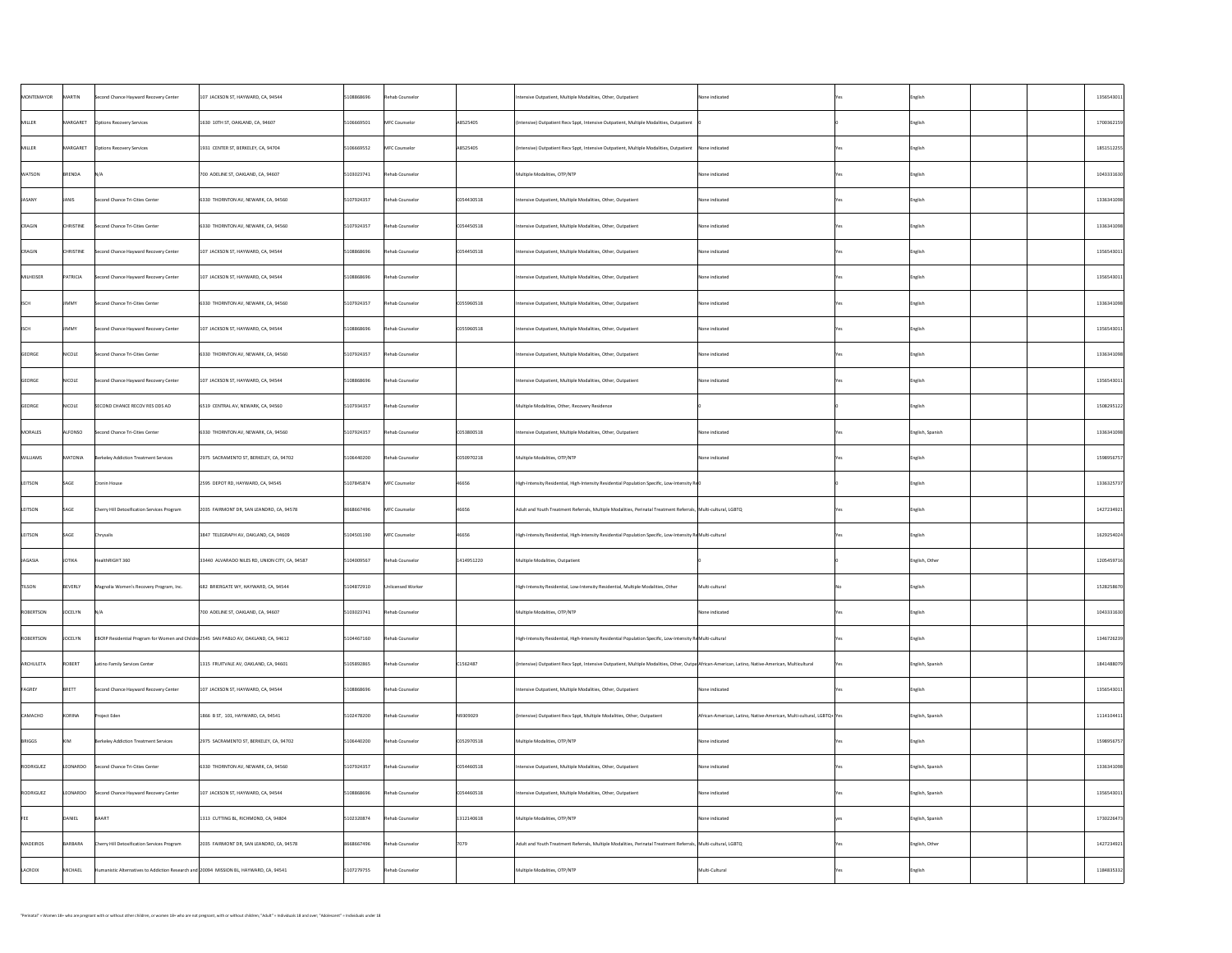| MONTEMAYOR      | MARTIN           | Second Chance Hayward Recovery Center                                                                 | $\vert$ 107 JACKSON ST, HAYWARD, CA, 94544     | 5108868696                    | Rehab Counselor   |               | Intensive Outpatient, Multiple Modalities, Other, Outpatient                                                                                       | None indicated                                                        | English          | 1356543011 |
|-----------------|------------------|-------------------------------------------------------------------------------------------------------|------------------------------------------------|-------------------------------|-------------------|---------------|----------------------------------------------------------------------------------------------------------------------------------------------------|-----------------------------------------------------------------------|------------------|------------|
| MILLER          |                  | MARGARET   Options Recovery Services                                                                  | 1630 10TH ST, OAKLAND, CA, 94607               | 5106669501                    | MFC Counselor     | A8525405      | (Intensive) Outpatient Recv Sppt, Intensive Outpatient, Multiple Modalities, Outpatient                                                            |                                                                       | English          | 1700362159 |
| MILLER          |                  |                                                                                                       | 1931 CENTER ST, BERKELEY, CA, 94704            | 5106669552                    | MFC Counselor     | A8525405      | $\vert$ (Intensive) Outpatient Recv Sppt, Intensive Outpatient, Multiple Modalities, Outpatient $\vert$ None indicated                             |                                                                       | English          | 1851512255 |
| <b>WATSON</b>   | BRENDA           | N/A                                                                                                   | 700 ADELINE ST, OAKLAND, CA, 94607             | 5103023741                    | Rehab Counselor   |               | Multiple Modalities, OTP/NTP                                                                                                                       | None indicated                                                        | English          | 1043331630 |
| JASANY          | JANIS            | Second Chance Tri-Cities Center                                                                       | 6330 THORNTON AV, NEWARK, CA, 94560            | 5107924357                    | Rehab Counselor   | $CO$ 54430518 | Intensive Outpatient, Multiple Modalities, Other, Outpatient                                                                                       | None indicated                                                        | English          | 1336341098 |
| CRAGIN          | <b>CHRISTINE</b> | Second Chance Tri-Cities Center                                                                       | $ 6330 $ THORNTON AV, NEWARK, CA, 94560        | 5107924357                    | Rehab Counselor   | C054450518    | Intensive Outpatient, Multiple Modalities, Other, Outpatient                                                                                       | None indicated                                                        | English          | 1336341098 |
| <b>CRAGIN</b>   | <b>CHRISTINE</b> | Second Chance Hayward Recovery Center                                                                 | $107$ JACKSON ST, HAYWARD, CA, 94544           | 5108868696                    | Rehab Counselor   | $CO$ 54450518 | Intensive Outpatient, Multiple Modalities, Other, Outpatient                                                                                       | None indicated                                                        | English          | 1356543011 |
| MILHEISER       | PATRICIA         | Second Chance Hayward Recovery Center                                                                 | $\vert$ 107 JACKSON ST, HAYWARD, CA, 94544     | 5108868696                    | Rehab Counselor   |               | Intensive Outpatient, Multiple Modalities, Other, Outpatient                                                                                       | None indicated                                                        | English          | 1356543011 |
| <b>SCH</b>      | JIMMY            | Second Chance Tri-Cities Center                                                                       | 6330 THORNTON AV, NEWARK, CA, 94560            | 5107924357                    | Rehab Counselor   | CO55960518    | Intensive Outpatient, Multiple Modalities, Other, Outpatient                                                                                       | None indicated                                                        | English          | 1336341098 |
|                 | JIMMY            | Second Chance Hayward Recovery Center                                                                 | $\vert$ 107 JACKSON ST, HAYWARD, CA, 94544     | 5108868696                    | Rehab Counselor   | $CO$ 55960518 | Intensive Outpatient, Multiple Modalities, Other, Outpatient                                                                                       | None indicated                                                        | <b>English</b>   | 1356543011 |
| GEORGE          | NICOLE           | Second Chance Tri-Cities Center                                                                       | 6330 THORNTON AV, NEWARK, CA, 94560            | 5107924357                    | Rehab Counselor   |               | Intensive Outpatient, Multiple Modalities, Other, Outpatient                                                                                       | None indicated                                                        | English          | 1336341098 |
| GEORGE          | NICOLE           | Second Chance Hayward Recovery Center                                                                 | $\vert$ 107 JACKSON ST, HAYWARD, CA, 94544     | 5108868696                    | Rehab Counselor   |               | Intensive Outpatient, Multiple Modalities, Other, Outpatient                                                                                       | None indicated                                                        | English          | 1356543011 |
| GEORGE          | NICOLE           | SECOND CHANCE RECOV RES ODS AD                                                                        | 6519 CENTRAL AV, NEWARK, CA, 94560             | 5107934357                    | Rehab Counselor   |               | Multiple Modalities, Other, Recovery Residence                                                                                                     |                                                                       | English          | 1508295122 |
| MORALES         | <b>ALFONSO</b>   | Second Chance Tri-Cities Center                                                                       | 6330 THORNTON AV, NEWARK, CA, 94560            | 5107924357                    | Rehab Counselor   | C053800518    | Intensive Outpatient, Multiple Modalities, Other, Outpatient                                                                                       | None indicated                                                        | English, Spanish | 1336341098 |
| <b>WILLIAMS</b> | MATONIA          | Berkeley Addiction Treatment Services                                                                 | 2975 SACRAMENTO ST, BERKELEY, CA, 94702        | 5106440200                    | Rehab Counselor   | C050970218    | Multiple Modalities, OTP/NTP                                                                                                                       | None indicated                                                        | English          | 1598956757 |
| LEITSON         | SAGE             | Cronin House                                                                                          | 2595 DEPOT RD, HAYWARD, CA, 94545              | 5107845874                    | MFC Counselor     | 46656         | High-Intensity Residential, High-Intensity Residential Population Specific, Low-Intensity $R \notin \mathbb{Q}$                                    |                                                                       | English          | 1336325737 |
| LEITSON         | SAGE             | Cherry Hill Detoxification Services Program                                                           | 2035 FAIRMONT DR, SAN LEANDRO, CA, 94578       | 8668667496                    | MFC Counselor     | 46656         | Adult and Youth Treatment Referrals, Multiple Modalities, Perinatal Treatment Referrals, Multi-cultural, LGBTQ                                     |                                                                       | English          | 1427234921 |
| LEITSON         | SAGE             | Chrysalis                                                                                             | 3847 TELEGRAPH AV, OAKLAND, CA, 94609          | 5104501190                    | MFC Counselor     | 46656         | High-Intensity Residential, High-Intensity Residential Population Specific, Low-Intensity ReMulti-cultural                                         |                                                                       | English          | 1629254024 |
| JAGASIA         | JOTIKA           | HealthRIGHT 360                                                                                       | 33440 ALVARADO NILES RD, UNION CITY, CA, 94587 | 5104009567                    | Rehab Counselor   | 1414951220    | Multiple Modalities, Outpatient                                                                                                                    |                                                                       | English, Other   | 1205459716 |
| <b>TILSON</b>   | BEVERLY          | Magnolia Women's Recovery Program, Inc.                                                               | 682 BRIERGATE WY, HAYWARD, CA, 94544           | 5104872910                    | Unlicensed Worker |               | High-Intensity Residential, Low-Intensity Residential, Multiple Modalities, Other                                                                  | Multi-cultural                                                        | <b>English</b>   | 1528258670 |
| ROBERTSON       | <b>JOCELYN</b>   | N/A                                                                                                   | 700 ADELINE ST, OAKLAND, CA, 94607             | 5103023741                    | Rehab Counselor   |               | Multiple Modalities, OTP/NTP                                                                                                                       | None indicated                                                        | English          | 1043331630 |
| ROBERTSON       | <b>JOCELYN</b>   | $\vert$ EBCRP Residential Program for Women and Childre $\vert$ 2545 SAN PABLO AV, OAKLAND, CA, 94612 |                                                | $ 5104467160$ Rehab Counselor |                   |               | High-Intensity Residential, High-Intensity Residential Population Specific, Low-Intensity ReMulti-cultural                                         |                                                                       | English          | 1346726239 |
| ARCHULETA       | ROBERT           | Latino Family Services Center                                                                         | 1315 FRUITVALE AV, OAKLAND, CA, 94601          | 5105892865                    | Rehab Counselor   | C1562487      | (Intensive) Outpatient Recv Sppt, Intensive Outpatient, Multiple Modalities, Other, Outpa African-American, Latino, Native-American, Multicultural |                                                                       | English, Spanish | 1841488079 |
| FAGREY          | BRETT            | Second Chance Hayward Recovery Center                                                                 | 107 JACKSON ST, HAYWARD, CA, 94544             | 5108868696                    | Rehab Counselor   |               | Intensive Outpatient, Multiple Modalities, Other, Outpatient                                                                                       | None indicated                                                        | English          | 1356543011 |
| CAMACHO         | KORINA           | Project Eden                                                                                          | 1866 B ST, 101, HAYWARD, CA, 94541             | 5102478200                    | Rehab Counselor   | N9309029      | (Intensive) Outpatient Recv Sppt, Multiple Modalities, Other, Outpatient                                                                           | African-American, Latino, Native-American, Multi-cultural, LGBTQ+ Yes | English, Spanish | 1114104411 |
| BRIGGS          | <b>KIM</b>       | Berkeley Addiction Treatment Services                                                                 | 2975 SACRAMENTO ST, BERKELEY, CA, 94702        | 5106440200                    | Rehab Counselor   | C052970518    | Multiple Modalities, OTP/NTP                                                                                                                       | None indicated                                                        | English          | 1598956757 |
| RODRIGUEZ       | LEONARDO         | Second Chance Tri-Cities Center                                                                       | 6330 THORNTON AV, NEWARK, CA, 94560            | 5107924357                    | Rehab Counselor   | C054460518    | Intensive Outpatient, Multiple Modalities, Other, Outpatient                                                                                       | None indicated                                                        | English, Spanish | 1336341098 |
| RODRIGUEZ       | LEONARDO         | Second Chance Hayward Recovery Center                                                                 | 107 JACKSON ST, HAYWARD, CA, 94544             | 5108868696                    | Rehab Counselor   | C054460518    | Intensive Outpatient, Multiple Modalities, Other, Outpatient                                                                                       | None indicated                                                        | English, Spanish | 1356543011 |
|                 | DANIEL           | BAART                                                                                                 | 1313 CUTTING BL, RICHMOND, CA, 94804           | 5102320874                    | Rehab Counselor   | 1312140618    | Multiple Modalities, OTP/NTP                                                                                                                       | None indicated                                                        | English, Spanish | 1730226473 |
| MADEIROS        | BARBARA          | <b>Cherry Hill Detoxification Services Program</b>                                                    | 2035 FAIRMONT DR, SAN LEANDRO, CA, 94578       | 8668667496                    | Rehab Counselor   | 7079          | Adult and Youth Treatment Referrals, Multiple Modalities, Perinatal Treatment Referrals, Multi-cultural, LGBTQ                                     |                                                                       | English, Other   | 1427234921 |
| LACROIX         | MICHAEL          | Humanistic Alternatives to Addiction Research and 20094 MISSION BL, HAYWARD, CA, 94541                |                                                | 5107279755                    | Rehab Counselor   |               | Multiple Modalities, OTP/NTP                                                                                                                       | Multi-Cultural                                                        | <b>English</b>   | 1184835332 |
|                 |                  |                                                                                                       |                                                |                               |                   |               |                                                                                                                                                    |                                                                       |                  |            |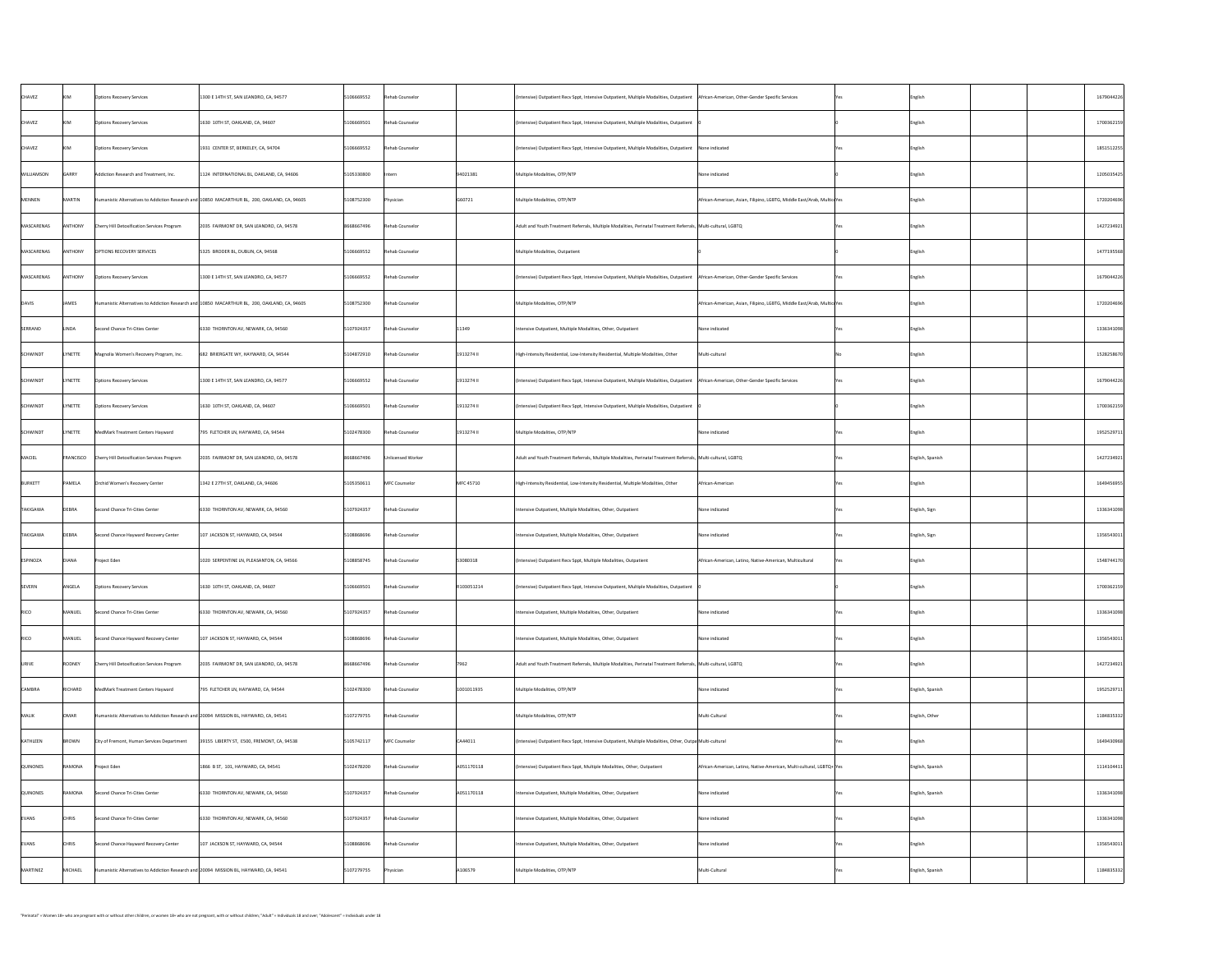| <b>CHAVEZ</b>     | <b>KIM</b>     | <b>Options Recovery Services</b>                                                       | 1300 E 14TH ST, SAN LEANDRO, CA, 94577                                                        | 5106669552 | Rehab Counselor   |                 | (Intensive) Outpatient Recv Sppt, Intensive Outpatient, Multiple Modalities, Outpatient   African-American, Other-Gender Specific Services |                                                                         |            | English          | 1679044226 |
|-------------------|----------------|----------------------------------------------------------------------------------------|-----------------------------------------------------------------------------------------------|------------|-------------------|-----------------|--------------------------------------------------------------------------------------------------------------------------------------------|-------------------------------------------------------------------------|------------|------------------|------------|
| <b>CHAVEZ</b>     | <b>KIM</b>     | <b>Options Recovery Services</b>                                                       | 1630 10TH ST, OAKLAND, CA, 94607                                                              | 5106669501 | Rehab Counselor   |                 | (Intensive) Outpatient Recv Sppt, Intensive Outpatient, Multiple Modalities, Outpatient                                                    |                                                                         |            | English          | 1700362159 |
| <b>CHAVEZ</b>     | <b>KIM</b>     | <b>Options Recovery Services</b>                                                       | 1931 CENTER ST, BERKELEY, CA, 94704                                                           | 5106669552 | Rehab Counselor   |                 | $\vert$ (Intensive) Outpatient Recv Sppt, Intensive Outpatient, Multiple Modalities, Outpatient $\vert$ None indicated                     |                                                                         |            | English          | 1851512255 |
| WILLIAMSON        | <b>GARRY</b>   | Addiction Research and Treatment, Inc.                                                 | 1124 INTERNATIONAL BL, OAKLAND, CA, 94606                                                     | 5105330800 | Intern            | 94021381        | Multiple Modalities, OTP/NTP                                                                                                               | None indicated                                                          |            | English          | 1205035425 |
| MENNEN            | MARTIN         |                                                                                        | Humanistic Alternatives to Addiction Research and 10850 MACARTHUR BL, 200, OAKLAND, CA, 94605 | 5108752300 | Physician         | G60721          | Multiple Modalities, OTP/NTP                                                                                                               | African-American, Asian, Filipino, LGBTG, Middle East/Arab, Multicu Yes |            | English          | 1720204696 |
| MASCARENAS        | ANTHONY        | Cherry Hill Detoxification Services Program                                            | 2035 FAIRMONT DR, SAN LEANDRO, CA, 94578                                                      | 8668667496 | Rehab Counselor   |                 | Adult and Youth Treatment Referrals, Multiple Modalities, Perinatal Treatment Referrals,  Multi-cultural, LGBTQ                            |                                                                         |            | English          | 1427234921 |
| <b>MASCARENAS</b> | ANTHONY        | <b>OPTIONS RECOVERY SERVICES</b>                                                       | 5325 BRODER BL, DUBLIN, CA, 94568                                                             | 5106669552 | Rehab Counselor   |                 | Multiple Modalities, Outpatient                                                                                                            |                                                                         |            | English          | 1477195568 |
| <b>MASCARENAS</b> | ANTHONY        | <b>Options Recovery Services</b>                                                       | 1300 E 14TH ST, SAN LEANDRO, CA, 94577                                                        | 5106669552 | Rehab Counselor   |                 | (Intensive) Outpatient Recv Sppt, Intensive Outpatient, Multiple Modalities, Outpatient   African-American, Other-Gender Specific Services |                                                                         |            | English          | 1679044226 |
| <b>DAVIS</b>      | JAMES          |                                                                                        | Humanistic Alternatives to Addiction Research and 10850 MACARTHUR BL, 200, OAKLAND, CA, 94605 | 5108752300 | Rehab Counselor   |                 | Multiple Modalities, OTP/NTP                                                                                                               | African-American, Asian, Filipino, LGBTG, Middle East/Arab, Multicu Yes |            | English          | 1720204696 |
| SERRANO           | LINDA          | Second Chance Tri-Cities Center                                                        | 6330 THORNTON AV, NEWARK, CA, 94560                                                           | 5107924357 | Rehab Counselor   | $ 11349\rangle$ | Intensive Outpatient, Multiple Modalities, Other, Outpatient                                                                               | None indicated                                                          |            | English          | 1336341098 |
| SCHWINDT          | <b>LYNETTE</b> | Magnolia Women's Recovery Program, Inc.                                                | 682 BRIERGATE WY, HAYWARD, CA, 94544                                                          | 5104872910 | Rehab Counselor   | 1913274 II      | High-Intensity Residential, Low-Intensity Residential, Multiple Modalities, Other                                                          | Multi-cultural                                                          |            | English          | 1528258670 |
| SCHWINDT          | <b>LYNETTE</b> | <b>Options Recovery Services</b>                                                       | 1300 E 14TH ST, SAN LEANDRO, CA, 94577                                                        | 5106669552 | Rehab Counselor   | 1913274 II      | (Intensive) Outpatient Recv Sppt, Intensive Outpatient, Multiple Modalities, Outpatient   African-American, Other-Gender Specific Services |                                                                         |            | English          | 1679044226 |
| SCHWINDT          | <b>LYNETTE</b> | <b>Options Recovery Services</b>                                                       | 1630 10TH ST, OAKLAND, CA, 94607                                                              | 5106669501 | Rehab Counselor   | 1913274         | (Intensive) Outpatient Recv Sppt, Intensive Outpatient, Multiple Modalities, Outpatient                                                    |                                                                         |            | English          | 1700362159 |
| SCHWINDT          | <b>LYNETTE</b> | MedMark Treatment Centers Hayward                                                      | 795 FLETCHER LN, HAYWARD, CA, 94544                                                           | 5102478300 | Rehab Counselor   | 1913274 II      | Multiple Modalities, OTP/NTP                                                                                                               | None indicated                                                          |            | English          | 1952529711 |
| MACIEL            | FRANCISCO      | Cherry Hill Detoxification Services Program                                            | 2035 FAIRMONT DR, SAN LEANDRO, CA, 94578                                                      | 8668667496 | Unlicensed Worker |                 | Adult and Youth Treatment Referrals, Multiple Modalities, Perinatal Treatment Referrals, Multi-cultural, LGBTQ                             |                                                                         |            | English, Spanish | 1427234921 |
| BURKETT           | PAMELA         | Orchid Women's Recovery Center                                                         | 1342 E 27TH ST, OAKLAND, CA, 94606                                                            | 5105350611 | MFC Counselor     | MFC 45710       | High-Intensity Residential, Low-Intensity Residential, Multiple Modalities, Other                                                          | African-American                                                        |            | English          | 1649456955 |
| TAKIGAWA          | DEBRA          | Second Chance Tri-Cities Center                                                        | 6330 THORNTON AV, NEWARK, CA, 94560                                                           | 5107924357 | Rehab Counselor   |                 | Intensive Outpatient, Multiple Modalities, Other, Outpatient                                                                               | None indicated                                                          |            | English, Sign    | 1336341098 |
| <b>TAKIGAWA</b>   | DEBRA          | Second Chance Hayward Recovery Center                                                  | 107 JACKSON ST, HAYWARD, CA, 94544                                                            | 5108868696 | Rehab Counselor   |                 | Intensive Outpatient, Multiple Modalities, Other, Outpatient                                                                               | None indicated                                                          |            | English, Sign    | 1356543011 |
| ESPINOZA          | DIANA          | Project Eden                                                                           | 1020 SERPENTINE LN, PLEASANTON, CA, 94566                                                     | 5108858745 | Rehab Counselor   | 53080318        | (Intensive) Outpatient Recv Sppt, Multiple Modalities, Outpatient                                                                          | African-American, Latino, Native-American, Multicultural                | <b>res</b> | English          | 1548744170 |
| <b>SEVERN</b>     | ANGELA         | <b>Options Recovery Services</b>                                                       | 1630 10TH ST, OAKLAND, CA, 94607                                                              | 5106669501 | Rehab Counselor   | R103051214      | (Intensive) Outpatient Recv Sppt, Intensive Outpatient, Multiple Modalities, Outpatient                                                    |                                                                         |            | English          | 1700362159 |
| <b>RICO</b>       | MANUEL         | Second Chance Tri-Cities Center                                                        | 6330 THORNTON AV, NEWARK, CA, 94560                                                           | 5107924357 | Rehab Counselor   |                 | Intensive Outpatient, Multiple Modalities, Other, Outpatient                                                                               | None indicated                                                          |            | English          | 1336341098 |
| <b>RICO</b>       | MANUEL         | Second Chance Hayward Recovery Center                                                  | 107 JACKSON ST, HAYWARD, CA, 94544                                                            | 5108868696 | Rehab Counselor   |                 | Intensive Outpatient, Multiple Modalities, Other, Outpatient                                                                               | None indicated                                                          |            | English          | 1356543011 |
| URIVE             | RODNEY         | Cherry Hill Detoxification Services Program                                            | 2035 FAIRMONT DR, SAN LEANDRO, CA, 94578                                                      | 8668667496 | Rehab Counselor   | 7962            | Adult and Youth Treatment Referrals, Multiple Modalities, Perinatal Treatment Referrals, Multi-cultural, LGBTQ                             |                                                                         |            | English          | 1427234921 |
| <b>CAMBRA</b>     | RICHARD        | MedMark Treatment Centers Hayward                                                      | 795 FLETCHER LN, HAYWARD, CA, 94544                                                           | 5102478300 | Rehab Counselor   | 1001011935      | Multiple Modalities, OTP/NTP                                                                                                               | None indicated                                                          |            | English, Spanish | 1952529711 |
| MALIK             | OMAR           | Humanistic Alternatives to Addiction Research and 20094 MISSION BL, HAYWARD, CA, 94541 |                                                                                               | 5107279755 | Rehab Counselor   |                 | Multiple Modalities, OTP/NTP                                                                                                               | Multi-Cultural                                                          |            | English, Other   | 1184835332 |
| KATHLEEN          | BROWN          | City of Fremont, Human Services Department                                             | 39155 LIBERTY ST, E500, FREMONT, CA, 94538                                                    | 5105742117 | MFC Counselor     | CA44011         | (Intensive) Outpatient Recv Sppt, Intensive Outpatient, Multiple Modalities, Other, Outpa Multi-cultural                                   |                                                                         |            | English          | 1649430968 |
| <b>QUINONES</b>   | RAMONA         | Project Eden                                                                           | 1866 B ST, 101, HAYWARD, CA, 94541                                                            | 5102478200 | Rehab Counselor   | A051170118      | (Intensive) Outpatient Recv Sppt, Multiple Modalities, Other, Outpatient                                                                   | African-American, Latino, Native-American, Multi-cultural, LGBTQ+ Yes   |            | English, Spanish | 1114104411 |
| QUINONES          | RAMONA         | Second Chance Tri-Cities Center                                                        | 6330 THORNTON AV, NEWARK, CA, 94560                                                           | 5107924357 | Rehab Counselor   | A051170118      | Intensive Outpatient, Multiple Modalities, Other, Outpatient                                                                               | None indicated                                                          |            | English, Spanish | 1336341098 |
| <b>EVANS</b>      | <b>CHRIS</b>   | Second Chance Tri-Cities Center                                                        | 6330 THORNTON AV, NEWARK, CA, 94560                                                           | 5107924357 | Rehab Counselor   |                 | Intensive Outpatient, Multiple Modalities, Other, Outpatient                                                                               | None indicated                                                          |            | English          | 1336341098 |
| EVANS             | <b>CHRIS</b>   | Second Chance Hayward Recovery Center                                                  | 107 JACKSON ST, HAYWARD, CA, 94544                                                            | 5108868696 | Rehab Counselor   |                 | Intensive Outpatient, Multiple Modalities, Other, Outpatient                                                                               | None indicated                                                          |            | English          | 1356543011 |
| MARTINEZ          | MICHAEL        | Humanistic Alternatives to Addiction Research and 20094 MISSION BL, HAYWARD, CA, 94541 |                                                                                               | 5107279755 | Physician         | A106579         | Multiple Modalities, OTP/NTP                                                                                                               | Multi-Cultural                                                          |            | English, Spanish | 1184835332 |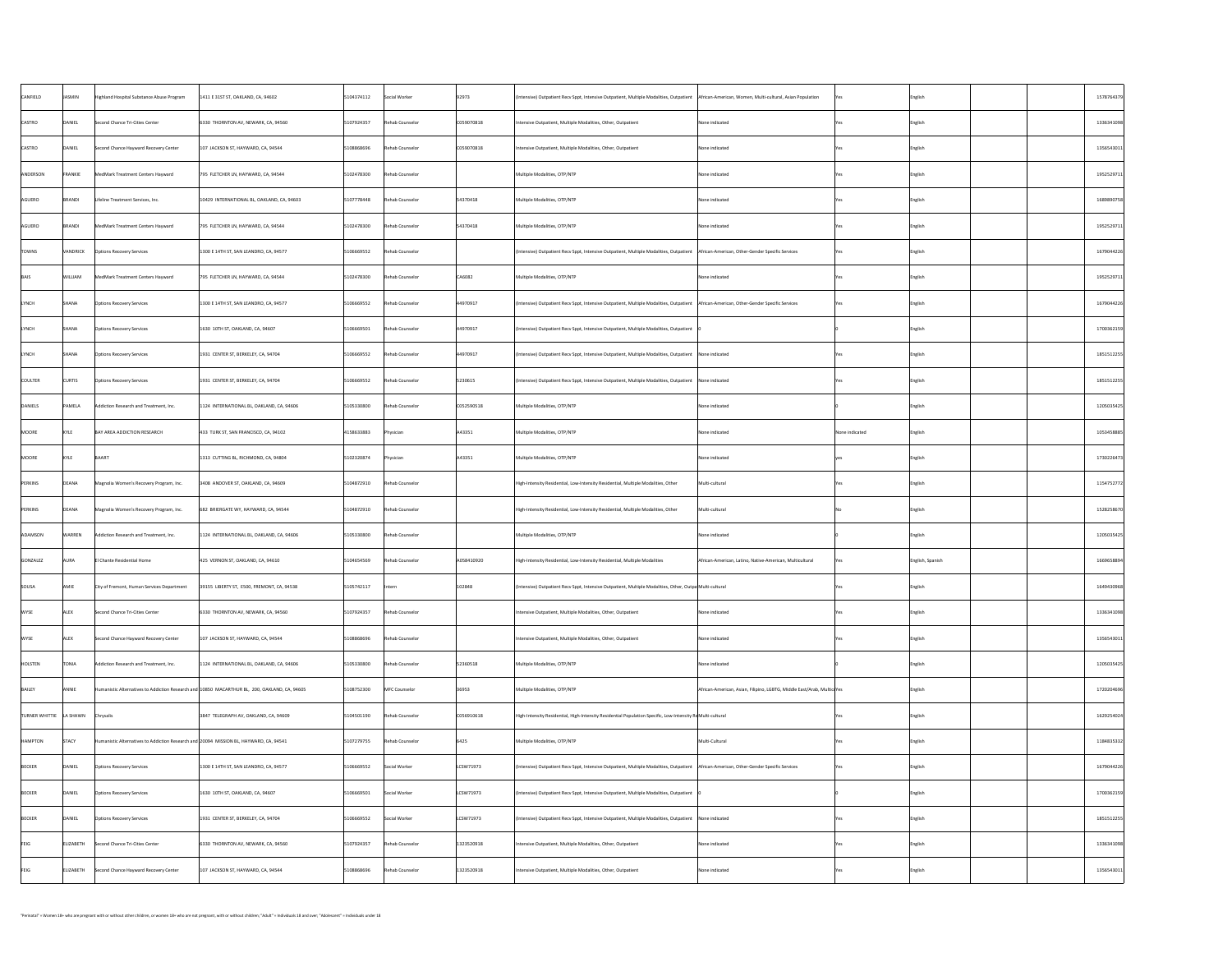| CANFIELD                  | JASMIN         | Highland Hospital Substance Abuse Program                                              | 1411 E 31ST ST, OAKLAND, CA, 94602                                                            | 5104374112 | Social Worker   | 92973      | (Intensive) Outpatient Recv Sppt, Intensive Outpatient, Multiple Modalities, Outpatient  African-American, Women, Multi-cultural, Asian Population |                                                                         |                | <b>English</b>   | 1578764379 |
|---------------------------|----------------|----------------------------------------------------------------------------------------|-----------------------------------------------------------------------------------------------|------------|-----------------|------------|----------------------------------------------------------------------------------------------------------------------------------------------------|-------------------------------------------------------------------------|----------------|------------------|------------|
| <b>CASTRO</b>             | DANIEL         | Second Chance Tri-Cities Center                                                        | 6330 THORNTON AV, NEWARK, CA, 94560                                                           | 5107924357 | Rehab Counselor | C059070818 | Intensive Outpatient, Multiple Modalities, Other, Outpatient                                                                                       | None indicated                                                          |                | English          | 1336341098 |
| <b>CASTRO</b>             | DANIEL         | Second Chance Hayward Recovery Center                                                  | 107 JACKSON ST, HAYWARD, CA, 94544                                                            | 5108868696 | Rehab Counselor | C059070818 | Intensive Outpatient, Multiple Modalities, Other, Outpatient                                                                                       | None indicated                                                          |                | English          | 1356543011 |
| ANDERSON                  | FRANKIE        | MedMark Treatment Centers Hayward                                                      | 795 FLETCHER LN, HAYWARD, CA, 94544                                                           | 5102478300 | Rehab Counselor |            | Multiple Modalities, OTP/NTP                                                                                                                       | None indicated                                                          |                | English          | 1952529711 |
| AGUERO                    | BRANDI         | Lifeline Treatment Services, Inc.                                                      | 10429 INTERNATIONAL BL, OAKLAND, CA, 94603                                                    | 5107778448 | Rehab Counselor | 54370418   | Multiple Modalities, OTP/NTP                                                                                                                       | None indicated                                                          |                | English          | 1689890758 |
| AGUERO                    | BRANDI         | MedMark Treatment Centers Hayward                                                      | 795 FLETCHER LN, HAYWARD, CA, 94544                                                           | 5102478300 | Rehab Counselor | 54370418   | Multiple Modalities, OTP/NTP                                                                                                                       | None indicated                                                          |                | English          | 1952529711 |
| <b>TOWNS</b>              | VANDRICK       | <b>Options Recovery Services</b>                                                       | 1300 E 14TH ST, SAN LEANDRO, CA, 94577                                                        | 5106669552 | Rehab Counselor |            | (Intensive) Outpatient Recv Sppt, Intensive Outpatient, Multiple Modalities, Outpatient   African-American, Other-Gender Specific Services         |                                                                         |                | <b>English</b>   | 1679044226 |
| <b>BAIS</b>               | <b>WILLIAM</b> | MedMark Treatment Centers Hayward                                                      | 795 FLETCHER LN, HAYWARD, CA, 94544                                                           | 5102478300 | Rehab Counselor | CA6082     | Multiple Modalities, OTP/NTP                                                                                                                       | None indicated                                                          |                | English          | 1952529711 |
| <b>LYNCH</b>              | SHANA          | <b>Options Recovery Services</b>                                                       | 1300 E 14TH ST, SAN LEANDRO, CA, 94577                                                        | 5106669552 | Rehab Counselor | 44970917   | (Intensive) Outpatient Recv Sppt, Intensive Outpatient, Multiple Modalities, Outpatient   African-American, Other-Gender Specific Services         |                                                                         |                | English          | 1679044226 |
| <b>LYNCH</b>              | SHANA          | <b>Options Recovery Services</b>                                                       | 1630 10TH ST, OAKLAND, CA, 94607                                                              | 5106669501 | Rehab Counselor | 44970917   | (Intensive) Outpatient Recv Sppt, Intensive Outpatient, Multiple Modalities, Outpatient                                                            |                                                                         |                | English          | 1700362159 |
| <b>LYNCH</b>              | <b>SHANA</b>   | <b>Options Recovery Services</b>                                                       | 1931 CENTER ST, BERKELEY, CA, 94704                                                           | 5106669552 | Rehab Counselor | 44970917   | $\mid$ (Intensive) Outpatient Recv Sppt, Intensive Outpatient, Multiple Modalities, Outpatient $\mid$ None indicated                               |                                                                         |                | English          | 1851512255 |
| <b>COULTER</b>            | <b>CURTIS</b>  | <b>Options Recovery Services</b>                                                       | 1931 CENTER ST, BERKELEY, CA, 94704                                                           | 5106669552 | Rehab Counselor | 5230615    | I (Intensive) Outpatient Recv Sppt, Intensive Outpatient, Multiple Modalities, Outpatient INone indicated                                          |                                                                         |                | English          | 1851512255 |
| DANIELS                   | <b>PAMELA</b>  | Addiction Research and Treatment, Inc.                                                 | 1124 INTERNATIONAL BL, OAKLAND, CA, 94606                                                     | 5105330800 | Rehab Counselor | C052590518 | Multiple Modalities, OTP/NTP                                                                                                                       | None indicated                                                          |                | English          | 1205035425 |
| MOORE                     | KYLE           | BAY AREA ADDICTION RESEARCH                                                            | 433 TURK ST, SAN FRANCISCO, CA, 94102                                                         | 4158633883 | Physician       | A43351     | Multiple Modalities, OTP/NTP                                                                                                                       | None indicated                                                          | None indicated | English          | 1053458885 |
| MOORE                     | KYLE           | BAART                                                                                  | 1313 CUTTING BL, RICHMOND, CA, 94804                                                          | 5102320874 | Physician       | A43351     | Multiple Modalities, OTP/NTP                                                                                                                       | None indicated                                                          |                | English          | 1730226473 |
| PERKINS                   | DEANA          | Magnolia Women's Recovery Program, Inc.                                                | 3408 ANDOVER ST, OAKLAND, CA, 94609                                                           | 5104872910 | Rehab Counselor |            | High-Intensity Residential, Low-Intensity Residential, Multiple Modalities, Other                                                                  | Multi-cultural                                                          |                | English          | 1154752772 |
| PERKINS                   | DEANA          | Magnolia Women's Recovery Program, Inc.                                                | 682 BRIERGATE WY, HAYWARD, CA, 94544                                                          | 5104872910 | Rehab Counselor |            | High-Intensity Residential, Low-Intensity Residential, Multiple Modalities, Other                                                                  | Multi-cultural                                                          |                | English          | 1528258670 |
| <b>ADAMSON</b>            | <b>WARREN</b>  | Addiction Research and Treatment, Inc.                                                 | 1124 INTERNATIONAL BL, OAKLAND, CA, 94606                                                     | 5105330800 | Rehab Counselor |            | Multiple Modalities, OTP/NTP                                                                                                                       | None indicated                                                          |                | English          | 1205035425 |
| GONZALEZ                  | AURA           | El Chante Residential Home                                                             | 425 VERNON ST, OAKLAND, CA, 94610                                                             | 5104654569 | Rehab Counselor | A058410920 | High-Intensity Residential, Low-Intensity Residential, Multiple Modalities                                                                         | African-American, Latino, Native-American, Multicultural                |                | English, Spanish | 1669658894 |
| SOUSA                     | AMIE           | City of Fremont, Human Services Department                                             | 39155 LIBERTY ST, E500, FREMONT, CA, 94538                                                    | 5105742117 | Intern          | 102848     | (Intensive) Outpatient Recv Sppt, Intensive Outpatient, Multiple Modalities, Other, Outpa Multi-cultural                                           |                                                                         |                | English          | 1649430968 |
| <b>WYSE</b>               | <b>ALEX</b>    | Second Chance Tri-Cities Center                                                        | 6330 THORNTON AV, NEWARK, CA, 94560                                                           | 5107924357 | Rehab Counselor |            | Intensive Outpatient, Multiple Modalities, Other, Outpatient                                                                                       | None indicated                                                          |                | English          | 1336341098 |
| WYSE                      | <b>ALEX</b>    | Second Chance Hayward Recovery Center                                                  | $\vert$ 107 JACKSON ST, HAYWARD, CA, 94544                                                    | 5108868696 | Rehab Counselor |            | Intensive Outpatient, Multiple Modalities, Other, Outpatient                                                                                       | None indicated                                                          |                | English          | 1356543011 |
| HOLSTEN                   | <b>TONIA</b>   | Addiction Research and Treatment, Inc.                                                 | 1124 INTERNATIONAL BL, OAKLAND, CA, 94606                                                     | 5105330800 | Rehab Counselor | 52360518   | Multiple Modalities, OTP/NTP                                                                                                                       | None indicated                                                          |                | English          | 1205035425 |
| BAILEY                    | ANNIE          |                                                                                        | Humanistic Alternatives to Addiction Research and 10850 MACARTHUR BL, 200, OAKLAND, CA, 94605 | 5108752300 | MFC Counselor   | 36953      | Multiple Modalities, OTP/NTP                                                                                                                       | African-American, Asian, Filipino, LGBTG, Middle East/Arab, Multicu Yes |                | English          | 1720204696 |
| TURNER WHITTIE   LA SHAWN |                | Chrysalis                                                                              | 3847 TELEGRAPH AV, OAKLAND, CA, 94609                                                         | 5104501190 | Rehab Counselor | C056910618 | High-Intensity Residential, High-Intensity Residential Population Specific, Low-Intensity ReMulti-cultural                                         |                                                                         |                | English          | 1629254024 |
| HAMPTON                   | <b>STACY</b>   | Humanistic Alternatives to Addiction Research and 20094 MISSION BL, HAYWARD, CA, 94541 |                                                                                               | 5107279755 | Rehab Counselor | 6425       | Multiple Modalities, OTP/NTP                                                                                                                       | Multi-Cultural                                                          |                | English          | 1184835332 |
| BECKER                    | DANIEL         | <b>Options Recovery Services</b>                                                       | 1300 E 14TH ST, SAN LEANDRO, CA, 94577                                                        | 5106669552 | Social Worker   | LCSW71973  | (Intensive) Outpatient Recv Sppt, Intensive Outpatient, Multiple Modalities, Outpatient   African-American, Other-Gender Specific Services         |                                                                         |                | English          | 1679044226 |
| BECKER                    | DANIEL         | <b>Options Recovery Services</b>                                                       | 1630 10TH ST, OAKLAND, CA, 94607                                                              | 5106669501 | Social Worker   | LCSW71973  | (Intensive) Outpatient Recv Sppt, Intensive Outpatient, Multiple Modalities, Outpatient                                                            |                                                                         |                | English          | 1700362159 |
| BECKER                    | DANIEL         | <b>Options Recovery Services</b>                                                       | 1931 CENTER ST, BERKELEY, CA, 94704                                                           | 5106669552 | Social Worker   | LCSW71973  | I (Intensive) Outpatient Recv Sppt, Intensive Outpatient, Multiple Modalities, Outpatient INone indicated                                          |                                                                         |                | <b>English</b>   | 1851512255 |
|                           | ELIZABETH      | Second Chance Tri-Cities Center                                                        | 6330 THORNTON AV, NEWARK, CA, 94560                                                           | 5107924357 | Rehab Counselor | 1323520918 | Intensive Outpatient, Multiple Modalities, Other, Outpatient                                                                                       | None indicated                                                          |                | English          | 1336341098 |
|                           | ELIZABETH      | Second Chance Hayward Recovery Center                                                  | $\vert$ 107 JACKSON ST, HAYWARD, CA, 94544                                                    | 5108868696 | Rehab Counselor | 1323520918 | Intensive Outpatient, Multiple Modalities, Other, Outpatient                                                                                       | None indicated                                                          |                | English          | 1356543011 |
|                           |                |                                                                                        |                                                                                               |            |                 |            |                                                                                                                                                    |                                                                         |                |                  |            |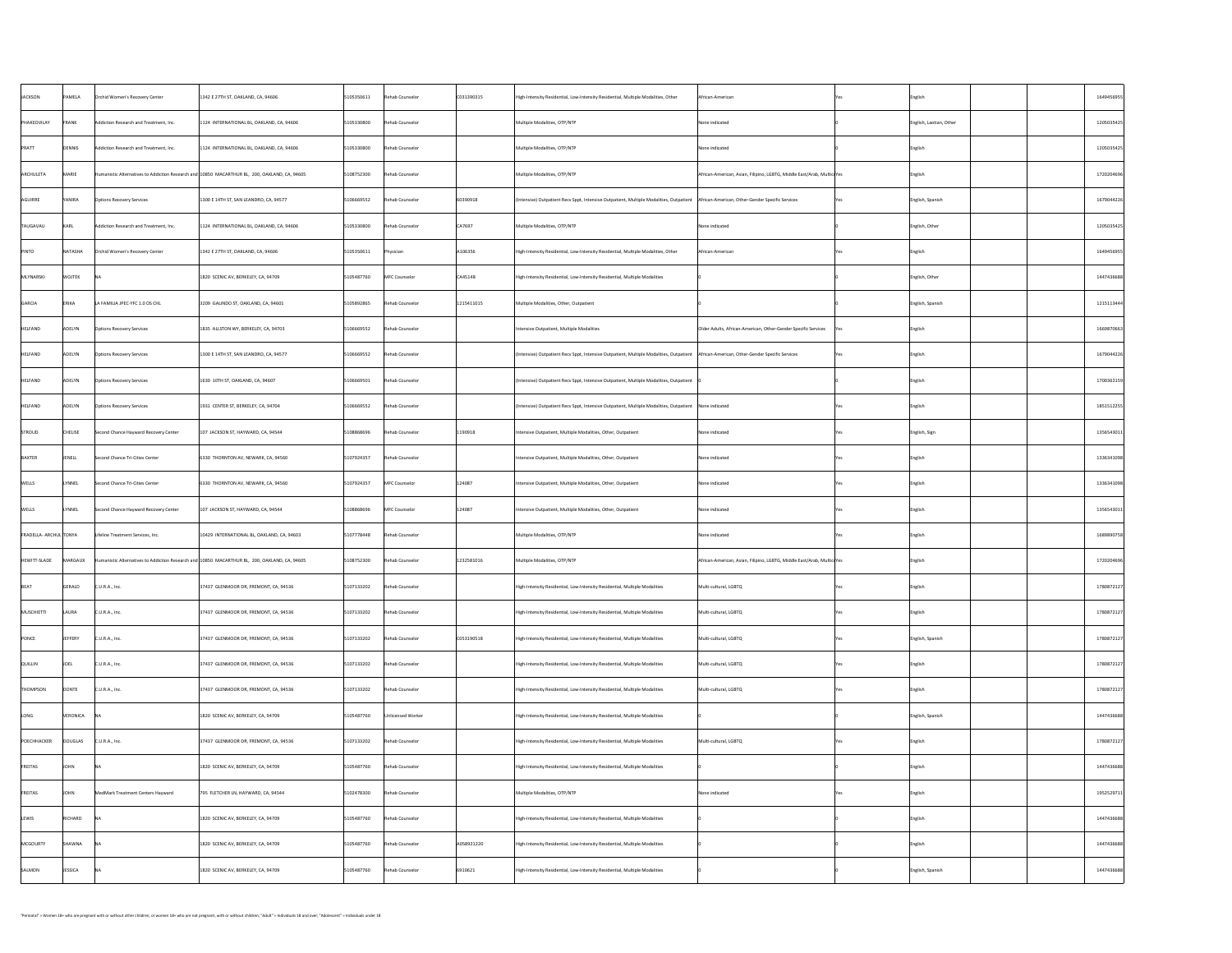| PAMELA<br>Rehab Counselor<br> C031390315<br><b>JACKSON</b><br>5105350611<br>African-American<br>Orchid Women's Recovery Center<br>1342 E 27TH ST, OAKLAND, CA, 94606<br>High-Intensity Residential, Low-Intensity Residential, Multiple Modalities, Other<br>  English<br>Rehab Counselor<br>5105330800<br>PHAKEOVILAY<br>FRANK<br>Multiple Modalities, OTP/NTP<br>English, Laotian, Other<br>Addiction Research and Treatment, Inc.<br>1124 INTERNATIONAL BL, OAKLAND, CA, 94606<br>None indicated<br>DENNIS<br>5105330800<br>Rehab Counselor<br>PRATT<br>Multiple Modalities, OTP/NTP<br>Addiction Research and Treatment, Inc.<br>1124 INTERNATIONAL BL, OAKLAND, CA, 94606<br>None indicated<br>English<br>MARIE<br>5108752300<br>Rehab Counselor<br>Multiple Modalities, OTP/NTP<br>African-American, Asian, Filipino, LGBTG, Middle East/Arab, Multicu Yes<br>Humanistic Alternatives to Addiction Research and 10850 MACARTHUR BL, 200, OAKLAND, CA, 94605<br> English<br>YANIRA<br>Rehab Counselor<br>60390918<br>5106669552<br>English, Spanish<br>(Intensive) Outpatient Recv Sppt, Intensive Outpatient, Multiple Modalities, Outpatient   African-American, Other-Gender Specific Services<br><b>Options Recovery Services</b><br>1300 E 14TH ST, SAN LEANDRO, CA, 94577<br><u>Yes</u><br>CA7697<br>English, Other<br>KARL<br>Rehab Counselor<br>Multiple Modalities, OTP/NTP<br>None indicated<br>5105330800<br>1124 INTERNATIONAL BL, OAKLAND, CA, 94606<br>Addiction Research and Treatment, Inc.<br>NATASHA<br>A106356<br>PINTO<br>5105350611<br>Orchid Women's Recovery Center<br>1342 E 27TH ST, OAKLAND, CA, 94606<br>High-Intensity Residential, Low-Intensity Residential, Multiple Modalities, Other<br>African-American<br>Physician<br>English<br><b>WOJTEK</b><br>5105487760<br>CA45148<br>MFC Counselor<br>English, Other<br>1820 SCENIC AV, BERKELEY, CA, 94709<br>High-Intensity Residential, Low-Intensity Residential, Multiple Modalities<br>∣NA<br>5105892865<br>Rehab Counselor<br>1215411015<br>English, Spanish<br>ERIKA<br>LA FAMILIA JPEC-YFC 1.0 OS CHL<br>3209 GALINDO ST, OAKLAND, CA, 94601<br>Multiple Modalities, Other, Outpatient<br>ADELYN<br>5106669552<br>Rehab Counselor<br>Older Adults, African-American, Other-Gender Specific Services<br><b>Options Recovery Services</b><br>Intensive Outpatient, Multiple Modalities<br>1835 ALLSTON WY, BERKELEY, CA, 94703<br>English<br>ADELYN<br>5106669552<br>Rehab Counselor<br>(Intensive) Outpatient Recv Sppt, Intensive Outpatient, Multiple Modalities, Outpatient   African-American, Other-Gender Specific Services<br><b>Options Recovery Services</b><br>1300 E 14TH ST, SAN LEANDRO, CA, 94577<br>  English<br>5106669501<br>ADELYN<br>Rehab Counselor<br>1630 10TH ST, OAKLAND, CA, 94607<br>(Intensive) Outpatient Recv Sppt, Intensive Outpatient, Multiple Modalities, Outpatient<br><b>Options Recovery Services</b><br>English<br>5106669552<br>ADELYN<br>Rehab Counselor<br><b>Options Recovery Services</b><br>(Intensive) Outpatient Recv Sppt, Intensive Outpatient, Multiple Modalities, Outpatient   None indicated<br>1931 CENTER ST, BERKELEY, CA, 94704<br>English<br>CHELISE<br>1190918<br>5108868696<br>Rehab Counselor<br>English, Sign<br>$\vert$ 107 JACKSON ST, HAYWARD, CA, 94544<br>Second Chance Hayward Recovery Center<br>Intensive Outpatient, Multiple Modalities, Other, Outpatient<br>None indicated<br>JENELL<br>5107924357<br>Rehab Counselor<br>Second Chance Tri-Cities Center<br>Intensive Outpatient, Multiple Modalities, Other, Outpatient<br>6330 THORNTON AV, NEWARK, CA, 94560<br>None indicated<br>  English<br>124087<br><b>LYNNEL</b><br>5107924357<br>MFC Counselor<br>Second Chance Tri-Cities Center<br>6330 THORNTON AV, NEWARK, CA, 94560<br>Intensive Outpatient, Multiple Modalities, Other, Outpatient<br>None indicated<br>  English<br>124087<br>5108868696<br><b>LYNNEL</b><br>MFC Counselor<br>107 JACKSON ST, HAYWARD, CA, 94544<br>Intensive Outpatient, Multiple Modalities, Other, Outpatient<br>None indicated<br>Second Chance Hayward Recovery Center<br>English<br>5107778448<br>Lifeline Treatment Services, Inc.<br>Rehab Counselor<br>10429 INTERNATIONAL BL, OAKLAND, CA, 94603<br>Multiple Modalities, OTP/NTP<br>None indicated<br>English<br>5108752300<br>1232581016<br>MARGAUX<br>Rehab Counselor<br>Humanistic Alternatives to Addiction Research and $10850$ MACARTHUR BL, 200, OAKLAND, CA, 94605<br>Multiple Modalities, OTP/NTP<br>African-American, Asian, Filipino, LGBTG, Middle East/Arab, Multicu Yes<br> English<br>GERALD<br>5107133202<br>Rehab Counselor<br>Multi-cultural, LGBTQ<br>CLU.R.A., Inc.<br>37437 GLENMOOR DR, FREMONT, CA, 94536<br>High-Intensity Residential, Low-Intensity Residential, Multiple Modalities<br>  English<br>LAURA<br>5107133202<br>Rehab Counselor<br> C.U.R.A., Inc.<br>37437 GLENMOOR DR, FREMONT, CA, 94536<br>Multi-cultural, LGBTQ<br>High-Intensity Residential, Low-Intensity Residential, Multiple Modalities<br>  English<br>JEFFERY<br>5107133202<br> C053190518 <br>English, Spanish<br>Rehab Counselor<br>Multi-cultural, LGBTQ<br>CLU.R.A., Inc.<br>37437 GLENMOOR DR, FREMONT, CA, 94536<br>High-Intensity Residential, Low-Intensity Residential, Multiple Modalities<br>JOEL<br>5107133202<br>Rehab Counselor<br>37437 GLENMOOR DR, FREMONT, CA, 94536<br> C.U.R.A., Inc.<br>Multi-cultural, LGBTQ<br>High-Intensity Residential, Low-Intensity Residential, Multiple Modalities<br>  English<br>DONTE<br>5107133202<br>THOMPSON<br>Rehab Counselor<br> C.U.R.A., Inc.<br>37437 GLENMOOR DR, FREMONT, CA, 94536<br>High-Intensity Residential, Low-Intensity Residential, Multiple Modalities<br>Multi-cultural, LGBTQ<br>  English<br>VERONICA<br>LONG<br>5105487760<br>English, Spanish<br>1820 SCENIC AV, BERKELEY, CA, 94709<br>High-Intensity Residential, Low-Intensity Residential, Multiple Modalities<br>Unlicensed Worker<br>DOUGLAS<br>5107133202<br>Rehab Counselor<br>CLU.R.A., Inc.<br>37437 GLENMOOR DR, FREMONT, CA, 94536<br>High-Intensity Residential, Low-Intensity Residential, Multiple Modalities<br>Multi-cultural, LGBTQ<br> English<br>5105487760<br><b>JOHN</b><br>Rehab Counselor<br>1820 SCENIC AV, BERKELEY, CA, 94709<br>High-Intensity Residential, Low-Intensity Residential, Multiple Modalities<br>  English<br>JOHN<br>5102478300<br>795 FLETCHER LN, HAYWARD, CA, 94544<br>Rehab Counselor<br>MedMark Treatment Centers Hayward<br>Multiple Modalities, OTP/NTP<br>None indicated<br>English<br>RICHARD<br>5105487760<br>LEWIS<br>1820 SCENIC AV, BERKELEY, CA, 94709<br>Rehab Counselor<br>  High-Intensity Residential, Low-Intensity Residential, Multiple Modalities<br> NA <br>  English<br>SHAWNA<br>A058921220<br>5105487760<br>Rehab Counselor<br>1820 SCENIC AV, BERKELEY, CA, 94709<br>High-Intensity Residential, Low-Intensity Residential, Multiple Modalities<br>  English<br>INA<br>JESSICA<br>6910621<br>5105487760<br>Rehab Counselor<br>English, Spanish<br>1820 SCENIC AV, BERKELEY, CA, 94709<br>High-Intensity Residential, Low-Intensity Residential, Multiple Modalities |  |  |  |  |  |            |
|------------------------------------------------------------------------------------------------------------------------------------------------------------------------------------------------------------------------------------------------------------------------------------------------------------------------------------------------------------------------------------------------------------------------------------------------------------------------------------------------------------------------------------------------------------------------------------------------------------------------------------------------------------------------------------------------------------------------------------------------------------------------------------------------------------------------------------------------------------------------------------------------------------------------------------------------------------------------------------------------------------------------------------------------------------------------------------------------------------------------------------------------------------------------------------------------------------------------------------------------------------------------------------------------------------------------------------------------------------------------------------------------------------------------------------------------------------------------------------------------------------------------------------------------------------------------------------------------------------------------------------------------------------------------------------------------------------------------------------------------------------------------------------------------------------------------------------------------------------------------------------------------------------------------------------------------------------------------------------------------------------------------------------------------------------------------------------------------------------------------------------------------------------------------------------------------------------------------------------------------------------------------------------------------------------------------------------------------------------------------------------------------------------------------------------------------------------------------------------------------------------------------------------------------------------------------------------------------------------------------------------------------------------------------------------------------------------------------------------------------------------------------------------------------------------------------------------------------------------------------------------------------------------------------------------------------------------------------------------------------------------------------------------------------------------------------------------------------------------------------------------------------------------------------------------------------------------------------------------------------------------------------------------------------------------------------------------------------------------------------------------------------------------------------------------------------------------------------------------------------------------------------------------------------------------------------------------------------------------------------------------------------------------------------------------------------------------------------------------------------------------------------------------------------------------------------------------------------------------------------------------------------------------------------------------------------------------------------------------------------------------------------------------------------------------------------------------------------------------------------------------------------------------------------------------------------------------------------------------------------------------------------------------------------------------------------------------------------------------------------------------------------------------------------------------------------------------------------------------------------------------------------------------------------------------------------------------------------------------------------------------------------------------------------------------------------------------------------------------------------------------------------------------------------------------------------------------------------------------------------------------------------------------------------------------------------------------------------------------------------------------------------------------------------------------------------------------------------------------------------------------------------------------------------------------------------------------------------------------------------------------------------------------------------------------------------------------------------------------------------------------------------------------------------------------------------------------------------------------------------------------------------------------------------------------------------------------------------------------------------------------------------------------------------------------------------------------------------------------------------------------------------------------------------------------------------------------------------------------------------------------------------------------------------------------------------------------------------------------------------------------------------------------------------------------------------------------------------------------------------------------------------------------------------------------------------------------------------------------------------------------------------------------------------------------------------------------------------------------------------------------------------------------------------------------------------------------------------------------------------------------------------------------------------------------------------------------------------------------------------------------------------------------------------------------------------------------------------------------------------------------------------------------------------------------------------------------------------------------------------------------------------------------------------------------------------------------------------------------------------------------------------------------------------------------------------------------------------------------------------------------------------------------------------------------|--|--|--|--|--|------------|
|                                                                                                                                                                                                                                                                                                                                                                                                                                                                                                                                                                                                                                                                                                                                                                                                                                                                                                                                                                                                                                                                                                                                                                                                                                                                                                                                                                                                                                                                                                                                                                                                                                                                                                                                                                                                                                                                                                                                                                                                                                                                                                                                                                                                                                                                                                                                                                                                                                                                                                                                                                                                                                                                                                                                                                                                                                                                                                                                                                                                                                                                                                                                                                                                                                                                                                                                                                                                                                                                                                                                                                                                                                                                                                                                                                                                                                                                                                                                                                                                                                                                                                                                                                                                                                                                                                                                                                                                                                                                                                                                                                                                                                                                                                                                                                                                                                                                                                                                                                                                                                                                                                                                                                                                                                                                                                                                                                                                                                                                                                                                                                                                                                                                                                                                                                                                                                                                                                                                                                                                                                                                                                                                                                                                                                                                                                                                                                                                                                                                                                                                                                                                                                                                                                                                                                                                                                                                                                                                                                                                                                                                                                                                                                                    |  |  |  |  |  | 1649456955 |
|                                                                                                                                                                                                                                                                                                                                                                                                                                                                                                                                                                                                                                                                                                                                                                                                                                                                                                                                                                                                                                                                                                                                                                                                                                                                                                                                                                                                                                                                                                                                                                                                                                                                                                                                                                                                                                                                                                                                                                                                                                                                                                                                                                                                                                                                                                                                                                                                                                                                                                                                                                                                                                                                                                                                                                                                                                                                                                                                                                                                                                                                                                                                                                                                                                                                                                                                                                                                                                                                                                                                                                                                                                                                                                                                                                                                                                                                                                                                                                                                                                                                                                                                                                                                                                                                                                                                                                                                                                                                                                                                                                                                                                                                                                                                                                                                                                                                                                                                                                                                                                                                                                                                                                                                                                                                                                                                                                                                                                                                                                                                                                                                                                                                                                                                                                                                                                                                                                                                                                                                                                                                                                                                                                                                                                                                                                                                                                                                                                                                                                                                                                                                                                                                                                                                                                                                                                                                                                                                                                                                                                                                                                                                                                                    |  |  |  |  |  | 1205035425 |
| ARCHULETA<br>AGUIRRE<br>TAUGAVAU<br>MLYNARSKI<br>GARCIA<br>HELFAND<br>HELFAND<br>HELFAND<br>HELFAND<br>STROUD<br>BAXTER<br>WELLS<br>WELLS<br>FRADELLA- ARCHUL TONYA<br>HEWITT-SLADE<br>BEAT<br>MUSCHIETTI<br>PONCE<br><b>QUILLIN</b><br>POECHHACKER<br><b>FREITAS</b><br><b>FREITAS</b><br>MCGOURTY<br>SALMON                                                                                                                                                                                                                                                                                                                                                                                                                                                                                                                                                                                                                                                                                                                                                                                                                                                                                                                                                                                                                                                                                                                                                                                                                                                                                                                                                                                                                                                                                                                                                                                                                                                                                                                                                                                                                                                                                                                                                                                                                                                                                                                                                                                                                                                                                                                                                                                                                                                                                                                                                                                                                                                                                                                                                                                                                                                                                                                                                                                                                                                                                                                                                                                                                                                                                                                                                                                                                                                                                                                                                                                                                                                                                                                                                                                                                                                                                                                                                                                                                                                                                                                                                                                                                                                                                                                                                                                                                                                                                                                                                                                                                                                                                                                                                                                                                                                                                                                                                                                                                                                                                                                                                                                                                                                                                                                                                                                                                                                                                                                                                                                                                                                                                                                                                                                                                                                                                                                                                                                                                                                                                                                                                                                                                                                                                                                                                                                                                                                                                                                                                                                                                                                                                                                                                                                                                                                                      |  |  |  |  |  | 1205035425 |
|                                                                                                                                                                                                                                                                                                                                                                                                                                                                                                                                                                                                                                                                                                                                                                                                                                                                                                                                                                                                                                                                                                                                                                                                                                                                                                                                                                                                                                                                                                                                                                                                                                                                                                                                                                                                                                                                                                                                                                                                                                                                                                                                                                                                                                                                                                                                                                                                                                                                                                                                                                                                                                                                                                                                                                                                                                                                                                                                                                                                                                                                                                                                                                                                                                                                                                                                                                                                                                                                                                                                                                                                                                                                                                                                                                                                                                                                                                                                                                                                                                                                                                                                                                                                                                                                                                                                                                                                                                                                                                                                                                                                                                                                                                                                                                                                                                                                                                                                                                                                                                                                                                                                                                                                                                                                                                                                                                                                                                                                                                                                                                                                                                                                                                                                                                                                                                                                                                                                                                                                                                                                                                                                                                                                                                                                                                                                                                                                                                                                                                                                                                                                                                                                                                                                                                                                                                                                                                                                                                                                                                                                                                                                                                                    |  |  |  |  |  | 1720204696 |
|                                                                                                                                                                                                                                                                                                                                                                                                                                                                                                                                                                                                                                                                                                                                                                                                                                                                                                                                                                                                                                                                                                                                                                                                                                                                                                                                                                                                                                                                                                                                                                                                                                                                                                                                                                                                                                                                                                                                                                                                                                                                                                                                                                                                                                                                                                                                                                                                                                                                                                                                                                                                                                                                                                                                                                                                                                                                                                                                                                                                                                                                                                                                                                                                                                                                                                                                                                                                                                                                                                                                                                                                                                                                                                                                                                                                                                                                                                                                                                                                                                                                                                                                                                                                                                                                                                                                                                                                                                                                                                                                                                                                                                                                                                                                                                                                                                                                                                                                                                                                                                                                                                                                                                                                                                                                                                                                                                                                                                                                                                                                                                                                                                                                                                                                                                                                                                                                                                                                                                                                                                                                                                                                                                                                                                                                                                                                                                                                                                                                                                                                                                                                                                                                                                                                                                                                                                                                                                                                                                                                                                                                                                                                                                                    |  |  |  |  |  | 1679044226 |
|                                                                                                                                                                                                                                                                                                                                                                                                                                                                                                                                                                                                                                                                                                                                                                                                                                                                                                                                                                                                                                                                                                                                                                                                                                                                                                                                                                                                                                                                                                                                                                                                                                                                                                                                                                                                                                                                                                                                                                                                                                                                                                                                                                                                                                                                                                                                                                                                                                                                                                                                                                                                                                                                                                                                                                                                                                                                                                                                                                                                                                                                                                                                                                                                                                                                                                                                                                                                                                                                                                                                                                                                                                                                                                                                                                                                                                                                                                                                                                                                                                                                                                                                                                                                                                                                                                                                                                                                                                                                                                                                                                                                                                                                                                                                                                                                                                                                                                                                                                                                                                                                                                                                                                                                                                                                                                                                                                                                                                                                                                                                                                                                                                                                                                                                                                                                                                                                                                                                                                                                                                                                                                                                                                                                                                                                                                                                                                                                                                                                                                                                                                                                                                                                                                                                                                                                                                                                                                                                                                                                                                                                                                                                                                                    |  |  |  |  |  | 1205035425 |
|                                                                                                                                                                                                                                                                                                                                                                                                                                                                                                                                                                                                                                                                                                                                                                                                                                                                                                                                                                                                                                                                                                                                                                                                                                                                                                                                                                                                                                                                                                                                                                                                                                                                                                                                                                                                                                                                                                                                                                                                                                                                                                                                                                                                                                                                                                                                                                                                                                                                                                                                                                                                                                                                                                                                                                                                                                                                                                                                                                                                                                                                                                                                                                                                                                                                                                                                                                                                                                                                                                                                                                                                                                                                                                                                                                                                                                                                                                                                                                                                                                                                                                                                                                                                                                                                                                                                                                                                                                                                                                                                                                                                                                                                                                                                                                                                                                                                                                                                                                                                                                                                                                                                                                                                                                                                                                                                                                                                                                                                                                                                                                                                                                                                                                                                                                                                                                                                                                                                                                                                                                                                                                                                                                                                                                                                                                                                                                                                                                                                                                                                                                                                                                                                                                                                                                                                                                                                                                                                                                                                                                                                                                                                                                                    |  |  |  |  |  | 1649456955 |
|                                                                                                                                                                                                                                                                                                                                                                                                                                                                                                                                                                                                                                                                                                                                                                                                                                                                                                                                                                                                                                                                                                                                                                                                                                                                                                                                                                                                                                                                                                                                                                                                                                                                                                                                                                                                                                                                                                                                                                                                                                                                                                                                                                                                                                                                                                                                                                                                                                                                                                                                                                                                                                                                                                                                                                                                                                                                                                                                                                                                                                                                                                                                                                                                                                                                                                                                                                                                                                                                                                                                                                                                                                                                                                                                                                                                                                                                                                                                                                                                                                                                                                                                                                                                                                                                                                                                                                                                                                                                                                                                                                                                                                                                                                                                                                                                                                                                                                                                                                                                                                                                                                                                                                                                                                                                                                                                                                                                                                                                                                                                                                                                                                                                                                                                                                                                                                                                                                                                                                                                                                                                                                                                                                                                                                                                                                                                                                                                                                                                                                                                                                                                                                                                                                                                                                                                                                                                                                                                                                                                                                                                                                                                                                                    |  |  |  |  |  | 1447436688 |
|                                                                                                                                                                                                                                                                                                                                                                                                                                                                                                                                                                                                                                                                                                                                                                                                                                                                                                                                                                                                                                                                                                                                                                                                                                                                                                                                                                                                                                                                                                                                                                                                                                                                                                                                                                                                                                                                                                                                                                                                                                                                                                                                                                                                                                                                                                                                                                                                                                                                                                                                                                                                                                                                                                                                                                                                                                                                                                                                                                                                                                                                                                                                                                                                                                                                                                                                                                                                                                                                                                                                                                                                                                                                                                                                                                                                                                                                                                                                                                                                                                                                                                                                                                                                                                                                                                                                                                                                                                                                                                                                                                                                                                                                                                                                                                                                                                                                                                                                                                                                                                                                                                                                                                                                                                                                                                                                                                                                                                                                                                                                                                                                                                                                                                                                                                                                                                                                                                                                                                                                                                                                                                                                                                                                                                                                                                                                                                                                                                                                                                                                                                                                                                                                                                                                                                                                                                                                                                                                                                                                                                                                                                                                                                                    |  |  |  |  |  | 1215113444 |
|                                                                                                                                                                                                                                                                                                                                                                                                                                                                                                                                                                                                                                                                                                                                                                                                                                                                                                                                                                                                                                                                                                                                                                                                                                                                                                                                                                                                                                                                                                                                                                                                                                                                                                                                                                                                                                                                                                                                                                                                                                                                                                                                                                                                                                                                                                                                                                                                                                                                                                                                                                                                                                                                                                                                                                                                                                                                                                                                                                                                                                                                                                                                                                                                                                                                                                                                                                                                                                                                                                                                                                                                                                                                                                                                                                                                                                                                                                                                                                                                                                                                                                                                                                                                                                                                                                                                                                                                                                                                                                                                                                                                                                                                                                                                                                                                                                                                                                                                                                                                                                                                                                                                                                                                                                                                                                                                                                                                                                                                                                                                                                                                                                                                                                                                                                                                                                                                                                                                                                                                                                                                                                                                                                                                                                                                                                                                                                                                                                                                                                                                                                                                                                                                                                                                                                                                                                                                                                                                                                                                                                                                                                                                                                                    |  |  |  |  |  | 1669870663 |
|                                                                                                                                                                                                                                                                                                                                                                                                                                                                                                                                                                                                                                                                                                                                                                                                                                                                                                                                                                                                                                                                                                                                                                                                                                                                                                                                                                                                                                                                                                                                                                                                                                                                                                                                                                                                                                                                                                                                                                                                                                                                                                                                                                                                                                                                                                                                                                                                                                                                                                                                                                                                                                                                                                                                                                                                                                                                                                                                                                                                                                                                                                                                                                                                                                                                                                                                                                                                                                                                                                                                                                                                                                                                                                                                                                                                                                                                                                                                                                                                                                                                                                                                                                                                                                                                                                                                                                                                                                                                                                                                                                                                                                                                                                                                                                                                                                                                                                                                                                                                                                                                                                                                                                                                                                                                                                                                                                                                                                                                                                                                                                                                                                                                                                                                                                                                                                                                                                                                                                                                                                                                                                                                                                                                                                                                                                                                                                                                                                                                                                                                                                                                                                                                                                                                                                                                                                                                                                                                                                                                                                                                                                                                                                                    |  |  |  |  |  | 1679044226 |
|                                                                                                                                                                                                                                                                                                                                                                                                                                                                                                                                                                                                                                                                                                                                                                                                                                                                                                                                                                                                                                                                                                                                                                                                                                                                                                                                                                                                                                                                                                                                                                                                                                                                                                                                                                                                                                                                                                                                                                                                                                                                                                                                                                                                                                                                                                                                                                                                                                                                                                                                                                                                                                                                                                                                                                                                                                                                                                                                                                                                                                                                                                                                                                                                                                                                                                                                                                                                                                                                                                                                                                                                                                                                                                                                                                                                                                                                                                                                                                                                                                                                                                                                                                                                                                                                                                                                                                                                                                                                                                                                                                                                                                                                                                                                                                                                                                                                                                                                                                                                                                                                                                                                                                                                                                                                                                                                                                                                                                                                                                                                                                                                                                                                                                                                                                                                                                                                                                                                                                                                                                                                                                                                                                                                                                                                                                                                                                                                                                                                                                                                                                                                                                                                                                                                                                                                                                                                                                                                                                                                                                                                                                                                                                                    |  |  |  |  |  | 1700362159 |
|                                                                                                                                                                                                                                                                                                                                                                                                                                                                                                                                                                                                                                                                                                                                                                                                                                                                                                                                                                                                                                                                                                                                                                                                                                                                                                                                                                                                                                                                                                                                                                                                                                                                                                                                                                                                                                                                                                                                                                                                                                                                                                                                                                                                                                                                                                                                                                                                                                                                                                                                                                                                                                                                                                                                                                                                                                                                                                                                                                                                                                                                                                                                                                                                                                                                                                                                                                                                                                                                                                                                                                                                                                                                                                                                                                                                                                                                                                                                                                                                                                                                                                                                                                                                                                                                                                                                                                                                                                                                                                                                                                                                                                                                                                                                                                                                                                                                                                                                                                                                                                                                                                                                                                                                                                                                                                                                                                                                                                                                                                                                                                                                                                                                                                                                                                                                                                                                                                                                                                                                                                                                                                                                                                                                                                                                                                                                                                                                                                                                                                                                                                                                                                                                                                                                                                                                                                                                                                                                                                                                                                                                                                                                                                                    |  |  |  |  |  | 1851512255 |
|                                                                                                                                                                                                                                                                                                                                                                                                                                                                                                                                                                                                                                                                                                                                                                                                                                                                                                                                                                                                                                                                                                                                                                                                                                                                                                                                                                                                                                                                                                                                                                                                                                                                                                                                                                                                                                                                                                                                                                                                                                                                                                                                                                                                                                                                                                                                                                                                                                                                                                                                                                                                                                                                                                                                                                                                                                                                                                                                                                                                                                                                                                                                                                                                                                                                                                                                                                                                                                                                                                                                                                                                                                                                                                                                                                                                                                                                                                                                                                                                                                                                                                                                                                                                                                                                                                                                                                                                                                                                                                                                                                                                                                                                                                                                                                                                                                                                                                                                                                                                                                                                                                                                                                                                                                                                                                                                                                                                                                                                                                                                                                                                                                                                                                                                                                                                                                                                                                                                                                                                                                                                                                                                                                                                                                                                                                                                                                                                                                                                                                                                                                                                                                                                                                                                                                                                                                                                                                                                                                                                                                                                                                                                                                                    |  |  |  |  |  | 1356543011 |
|                                                                                                                                                                                                                                                                                                                                                                                                                                                                                                                                                                                                                                                                                                                                                                                                                                                                                                                                                                                                                                                                                                                                                                                                                                                                                                                                                                                                                                                                                                                                                                                                                                                                                                                                                                                                                                                                                                                                                                                                                                                                                                                                                                                                                                                                                                                                                                                                                                                                                                                                                                                                                                                                                                                                                                                                                                                                                                                                                                                                                                                                                                                                                                                                                                                                                                                                                                                                                                                                                                                                                                                                                                                                                                                                                                                                                                                                                                                                                                                                                                                                                                                                                                                                                                                                                                                                                                                                                                                                                                                                                                                                                                                                                                                                                                                                                                                                                                                                                                                                                                                                                                                                                                                                                                                                                                                                                                                                                                                                                                                                                                                                                                                                                                                                                                                                                                                                                                                                                                                                                                                                                                                                                                                                                                                                                                                                                                                                                                                                                                                                                                                                                                                                                                                                                                                                                                                                                                                                                                                                                                                                                                                                                                                    |  |  |  |  |  | 1336341098 |
|                                                                                                                                                                                                                                                                                                                                                                                                                                                                                                                                                                                                                                                                                                                                                                                                                                                                                                                                                                                                                                                                                                                                                                                                                                                                                                                                                                                                                                                                                                                                                                                                                                                                                                                                                                                                                                                                                                                                                                                                                                                                                                                                                                                                                                                                                                                                                                                                                                                                                                                                                                                                                                                                                                                                                                                                                                                                                                                                                                                                                                                                                                                                                                                                                                                                                                                                                                                                                                                                                                                                                                                                                                                                                                                                                                                                                                                                                                                                                                                                                                                                                                                                                                                                                                                                                                                                                                                                                                                                                                                                                                                                                                                                                                                                                                                                                                                                                                                                                                                                                                                                                                                                                                                                                                                                                                                                                                                                                                                                                                                                                                                                                                                                                                                                                                                                                                                                                                                                                                                                                                                                                                                                                                                                                                                                                                                                                                                                                                                                                                                                                                                                                                                                                                                                                                                                                                                                                                                                                                                                                                                                                                                                                                                    |  |  |  |  |  | 1336341098 |
|                                                                                                                                                                                                                                                                                                                                                                                                                                                                                                                                                                                                                                                                                                                                                                                                                                                                                                                                                                                                                                                                                                                                                                                                                                                                                                                                                                                                                                                                                                                                                                                                                                                                                                                                                                                                                                                                                                                                                                                                                                                                                                                                                                                                                                                                                                                                                                                                                                                                                                                                                                                                                                                                                                                                                                                                                                                                                                                                                                                                                                                                                                                                                                                                                                                                                                                                                                                                                                                                                                                                                                                                                                                                                                                                                                                                                                                                                                                                                                                                                                                                                                                                                                                                                                                                                                                                                                                                                                                                                                                                                                                                                                                                                                                                                                                                                                                                                                                                                                                                                                                                                                                                                                                                                                                                                                                                                                                                                                                                                                                                                                                                                                                                                                                                                                                                                                                                                                                                                                                                                                                                                                                                                                                                                                                                                                                                                                                                                                                                                                                                                                                                                                                                                                                                                                                                                                                                                                                                                                                                                                                                                                                                                                                    |  |  |  |  |  | 1356543011 |
|                                                                                                                                                                                                                                                                                                                                                                                                                                                                                                                                                                                                                                                                                                                                                                                                                                                                                                                                                                                                                                                                                                                                                                                                                                                                                                                                                                                                                                                                                                                                                                                                                                                                                                                                                                                                                                                                                                                                                                                                                                                                                                                                                                                                                                                                                                                                                                                                                                                                                                                                                                                                                                                                                                                                                                                                                                                                                                                                                                                                                                                                                                                                                                                                                                                                                                                                                                                                                                                                                                                                                                                                                                                                                                                                                                                                                                                                                                                                                                                                                                                                                                                                                                                                                                                                                                                                                                                                                                                                                                                                                                                                                                                                                                                                                                                                                                                                                                                                                                                                                                                                                                                                                                                                                                                                                                                                                                                                                                                                                                                                                                                                                                                                                                                                                                                                                                                                                                                                                                                                                                                                                                                                                                                                                                                                                                                                                                                                                                                                                                                                                                                                                                                                                                                                                                                                                                                                                                                                                                                                                                                                                                                                                                                    |  |  |  |  |  | 1689890758 |
|                                                                                                                                                                                                                                                                                                                                                                                                                                                                                                                                                                                                                                                                                                                                                                                                                                                                                                                                                                                                                                                                                                                                                                                                                                                                                                                                                                                                                                                                                                                                                                                                                                                                                                                                                                                                                                                                                                                                                                                                                                                                                                                                                                                                                                                                                                                                                                                                                                                                                                                                                                                                                                                                                                                                                                                                                                                                                                                                                                                                                                                                                                                                                                                                                                                                                                                                                                                                                                                                                                                                                                                                                                                                                                                                                                                                                                                                                                                                                                                                                                                                                                                                                                                                                                                                                                                                                                                                                                                                                                                                                                                                                                                                                                                                                                                                                                                                                                                                                                                                                                                                                                                                                                                                                                                                                                                                                                                                                                                                                                                                                                                                                                                                                                                                                                                                                                                                                                                                                                                                                                                                                                                                                                                                                                                                                                                                                                                                                                                                                                                                                                                                                                                                                                                                                                                                                                                                                                                                                                                                                                                                                                                                                                                    |  |  |  |  |  | 1720204696 |
|                                                                                                                                                                                                                                                                                                                                                                                                                                                                                                                                                                                                                                                                                                                                                                                                                                                                                                                                                                                                                                                                                                                                                                                                                                                                                                                                                                                                                                                                                                                                                                                                                                                                                                                                                                                                                                                                                                                                                                                                                                                                                                                                                                                                                                                                                                                                                                                                                                                                                                                                                                                                                                                                                                                                                                                                                                                                                                                                                                                                                                                                                                                                                                                                                                                                                                                                                                                                                                                                                                                                                                                                                                                                                                                                                                                                                                                                                                                                                                                                                                                                                                                                                                                                                                                                                                                                                                                                                                                                                                                                                                                                                                                                                                                                                                                                                                                                                                                                                                                                                                                                                                                                                                                                                                                                                                                                                                                                                                                                                                                                                                                                                                                                                                                                                                                                                                                                                                                                                                                                                                                                                                                                                                                                                                                                                                                                                                                                                                                                                                                                                                                                                                                                                                                                                                                                                                                                                                                                                                                                                                                                                                                                                                                    |  |  |  |  |  | 1780872127 |
|                                                                                                                                                                                                                                                                                                                                                                                                                                                                                                                                                                                                                                                                                                                                                                                                                                                                                                                                                                                                                                                                                                                                                                                                                                                                                                                                                                                                                                                                                                                                                                                                                                                                                                                                                                                                                                                                                                                                                                                                                                                                                                                                                                                                                                                                                                                                                                                                                                                                                                                                                                                                                                                                                                                                                                                                                                                                                                                                                                                                                                                                                                                                                                                                                                                                                                                                                                                                                                                                                                                                                                                                                                                                                                                                                                                                                                                                                                                                                                                                                                                                                                                                                                                                                                                                                                                                                                                                                                                                                                                                                                                                                                                                                                                                                                                                                                                                                                                                                                                                                                                                                                                                                                                                                                                                                                                                                                                                                                                                                                                                                                                                                                                                                                                                                                                                                                                                                                                                                                                                                                                                                                                                                                                                                                                                                                                                                                                                                                                                                                                                                                                                                                                                                                                                                                                                                                                                                                                                                                                                                                                                                                                                                                                    |  |  |  |  |  | 1780872127 |
|                                                                                                                                                                                                                                                                                                                                                                                                                                                                                                                                                                                                                                                                                                                                                                                                                                                                                                                                                                                                                                                                                                                                                                                                                                                                                                                                                                                                                                                                                                                                                                                                                                                                                                                                                                                                                                                                                                                                                                                                                                                                                                                                                                                                                                                                                                                                                                                                                                                                                                                                                                                                                                                                                                                                                                                                                                                                                                                                                                                                                                                                                                                                                                                                                                                                                                                                                                                                                                                                                                                                                                                                                                                                                                                                                                                                                                                                                                                                                                                                                                                                                                                                                                                                                                                                                                                                                                                                                                                                                                                                                                                                                                                                                                                                                                                                                                                                                                                                                                                                                                                                                                                                                                                                                                                                                                                                                                                                                                                                                                                                                                                                                                                                                                                                                                                                                                                                                                                                                                                                                                                                                                                                                                                                                                                                                                                                                                                                                                                                                                                                                                                                                                                                                                                                                                                                                                                                                                                                                                                                                                                                                                                                                                                    |  |  |  |  |  | 1780872127 |
|                                                                                                                                                                                                                                                                                                                                                                                                                                                                                                                                                                                                                                                                                                                                                                                                                                                                                                                                                                                                                                                                                                                                                                                                                                                                                                                                                                                                                                                                                                                                                                                                                                                                                                                                                                                                                                                                                                                                                                                                                                                                                                                                                                                                                                                                                                                                                                                                                                                                                                                                                                                                                                                                                                                                                                                                                                                                                                                                                                                                                                                                                                                                                                                                                                                                                                                                                                                                                                                                                                                                                                                                                                                                                                                                                                                                                                                                                                                                                                                                                                                                                                                                                                                                                                                                                                                                                                                                                                                                                                                                                                                                                                                                                                                                                                                                                                                                                                                                                                                                                                                                                                                                                                                                                                                                                                                                                                                                                                                                                                                                                                                                                                                                                                                                                                                                                                                                                                                                                                                                                                                                                                                                                                                                                                                                                                                                                                                                                                                                                                                                                                                                                                                                                                                                                                                                                                                                                                                                                                                                                                                                                                                                                                                    |  |  |  |  |  | 1780872127 |
|                                                                                                                                                                                                                                                                                                                                                                                                                                                                                                                                                                                                                                                                                                                                                                                                                                                                                                                                                                                                                                                                                                                                                                                                                                                                                                                                                                                                                                                                                                                                                                                                                                                                                                                                                                                                                                                                                                                                                                                                                                                                                                                                                                                                                                                                                                                                                                                                                                                                                                                                                                                                                                                                                                                                                                                                                                                                                                                                                                                                                                                                                                                                                                                                                                                                                                                                                                                                                                                                                                                                                                                                                                                                                                                                                                                                                                                                                                                                                                                                                                                                                                                                                                                                                                                                                                                                                                                                                                                                                                                                                                                                                                                                                                                                                                                                                                                                                                                                                                                                                                                                                                                                                                                                                                                                                                                                                                                                                                                                                                                                                                                                                                                                                                                                                                                                                                                                                                                                                                                                                                                                                                                                                                                                                                                                                                                                                                                                                                                                                                                                                                                                                                                                                                                                                                                                                                                                                                                                                                                                                                                                                                                                                                                    |  |  |  |  |  | 1780872127 |
|                                                                                                                                                                                                                                                                                                                                                                                                                                                                                                                                                                                                                                                                                                                                                                                                                                                                                                                                                                                                                                                                                                                                                                                                                                                                                                                                                                                                                                                                                                                                                                                                                                                                                                                                                                                                                                                                                                                                                                                                                                                                                                                                                                                                                                                                                                                                                                                                                                                                                                                                                                                                                                                                                                                                                                                                                                                                                                                                                                                                                                                                                                                                                                                                                                                                                                                                                                                                                                                                                                                                                                                                                                                                                                                                                                                                                                                                                                                                                                                                                                                                                                                                                                                                                                                                                                                                                                                                                                                                                                                                                                                                                                                                                                                                                                                                                                                                                                                                                                                                                                                                                                                                                                                                                                                                                                                                                                                                                                                                                                                                                                                                                                                                                                                                                                                                                                                                                                                                                                                                                                                                                                                                                                                                                                                                                                                                                                                                                                                                                                                                                                                                                                                                                                                                                                                                                                                                                                                                                                                                                                                                                                                                                                                    |  |  |  |  |  | 1447436688 |
|                                                                                                                                                                                                                                                                                                                                                                                                                                                                                                                                                                                                                                                                                                                                                                                                                                                                                                                                                                                                                                                                                                                                                                                                                                                                                                                                                                                                                                                                                                                                                                                                                                                                                                                                                                                                                                                                                                                                                                                                                                                                                                                                                                                                                                                                                                                                                                                                                                                                                                                                                                                                                                                                                                                                                                                                                                                                                                                                                                                                                                                                                                                                                                                                                                                                                                                                                                                                                                                                                                                                                                                                                                                                                                                                                                                                                                                                                                                                                                                                                                                                                                                                                                                                                                                                                                                                                                                                                                                                                                                                                                                                                                                                                                                                                                                                                                                                                                                                                                                                                                                                                                                                                                                                                                                                                                                                                                                                                                                                                                                                                                                                                                                                                                                                                                                                                                                                                                                                                                                                                                                                                                                                                                                                                                                                                                                                                                                                                                                                                                                                                                                                                                                                                                                                                                                                                                                                                                                                                                                                                                                                                                                                                                                    |  |  |  |  |  | 1780872127 |
|                                                                                                                                                                                                                                                                                                                                                                                                                                                                                                                                                                                                                                                                                                                                                                                                                                                                                                                                                                                                                                                                                                                                                                                                                                                                                                                                                                                                                                                                                                                                                                                                                                                                                                                                                                                                                                                                                                                                                                                                                                                                                                                                                                                                                                                                                                                                                                                                                                                                                                                                                                                                                                                                                                                                                                                                                                                                                                                                                                                                                                                                                                                                                                                                                                                                                                                                                                                                                                                                                                                                                                                                                                                                                                                                                                                                                                                                                                                                                                                                                                                                                                                                                                                                                                                                                                                                                                                                                                                                                                                                                                                                                                                                                                                                                                                                                                                                                                                                                                                                                                                                                                                                                                                                                                                                                                                                                                                                                                                                                                                                                                                                                                                                                                                                                                                                                                                                                                                                                                                                                                                                                                                                                                                                                                                                                                                                                                                                                                                                                                                                                                                                                                                                                                                                                                                                                                                                                                                                                                                                                                                                                                                                                                                    |  |  |  |  |  | 1447436688 |
|                                                                                                                                                                                                                                                                                                                                                                                                                                                                                                                                                                                                                                                                                                                                                                                                                                                                                                                                                                                                                                                                                                                                                                                                                                                                                                                                                                                                                                                                                                                                                                                                                                                                                                                                                                                                                                                                                                                                                                                                                                                                                                                                                                                                                                                                                                                                                                                                                                                                                                                                                                                                                                                                                                                                                                                                                                                                                                                                                                                                                                                                                                                                                                                                                                                                                                                                                                                                                                                                                                                                                                                                                                                                                                                                                                                                                                                                                                                                                                                                                                                                                                                                                                                                                                                                                                                                                                                                                                                                                                                                                                                                                                                                                                                                                                                                                                                                                                                                                                                                                                                                                                                                                                                                                                                                                                                                                                                                                                                                                                                                                                                                                                                                                                                                                                                                                                                                                                                                                                                                                                                                                                                                                                                                                                                                                                                                                                                                                                                                                                                                                                                                                                                                                                                                                                                                                                                                                                                                                                                                                                                                                                                                                                                    |  |  |  |  |  | 1952529711 |
|                                                                                                                                                                                                                                                                                                                                                                                                                                                                                                                                                                                                                                                                                                                                                                                                                                                                                                                                                                                                                                                                                                                                                                                                                                                                                                                                                                                                                                                                                                                                                                                                                                                                                                                                                                                                                                                                                                                                                                                                                                                                                                                                                                                                                                                                                                                                                                                                                                                                                                                                                                                                                                                                                                                                                                                                                                                                                                                                                                                                                                                                                                                                                                                                                                                                                                                                                                                                                                                                                                                                                                                                                                                                                                                                                                                                                                                                                                                                                                                                                                                                                                                                                                                                                                                                                                                                                                                                                                                                                                                                                                                                                                                                                                                                                                                                                                                                                                                                                                                                                                                                                                                                                                                                                                                                                                                                                                                                                                                                                                                                                                                                                                                                                                                                                                                                                                                                                                                                                                                                                                                                                                                                                                                                                                                                                                                                                                                                                                                                                                                                                                                                                                                                                                                                                                                                                                                                                                                                                                                                                                                                                                                                                                                    |  |  |  |  |  | 1447436688 |
|                                                                                                                                                                                                                                                                                                                                                                                                                                                                                                                                                                                                                                                                                                                                                                                                                                                                                                                                                                                                                                                                                                                                                                                                                                                                                                                                                                                                                                                                                                                                                                                                                                                                                                                                                                                                                                                                                                                                                                                                                                                                                                                                                                                                                                                                                                                                                                                                                                                                                                                                                                                                                                                                                                                                                                                                                                                                                                                                                                                                                                                                                                                                                                                                                                                                                                                                                                                                                                                                                                                                                                                                                                                                                                                                                                                                                                                                                                                                                                                                                                                                                                                                                                                                                                                                                                                                                                                                                                                                                                                                                                                                                                                                                                                                                                                                                                                                                                                                                                                                                                                                                                                                                                                                                                                                                                                                                                                                                                                                                                                                                                                                                                                                                                                                                                                                                                                                                                                                                                                                                                                                                                                                                                                                                                                                                                                                                                                                                                                                                                                                                                                                                                                                                                                                                                                                                                                                                                                                                                                                                                                                                                                                                                                    |  |  |  |  |  | 1447436688 |
|                                                                                                                                                                                                                                                                                                                                                                                                                                                                                                                                                                                                                                                                                                                                                                                                                                                                                                                                                                                                                                                                                                                                                                                                                                                                                                                                                                                                                                                                                                                                                                                                                                                                                                                                                                                                                                                                                                                                                                                                                                                                                                                                                                                                                                                                                                                                                                                                                                                                                                                                                                                                                                                                                                                                                                                                                                                                                                                                                                                                                                                                                                                                                                                                                                                                                                                                                                                                                                                                                                                                                                                                                                                                                                                                                                                                                                                                                                                                                                                                                                                                                                                                                                                                                                                                                                                                                                                                                                                                                                                                                                                                                                                                                                                                                                                                                                                                                                                                                                                                                                                                                                                                                                                                                                                                                                                                                                                                                                                                                                                                                                                                                                                                                                                                                                                                                                                                                                                                                                                                                                                                                                                                                                                                                                                                                                                                                                                                                                                                                                                                                                                                                                                                                                                                                                                                                                                                                                                                                                                                                                                                                                                                                                                    |  |  |  |  |  | 1447436688 |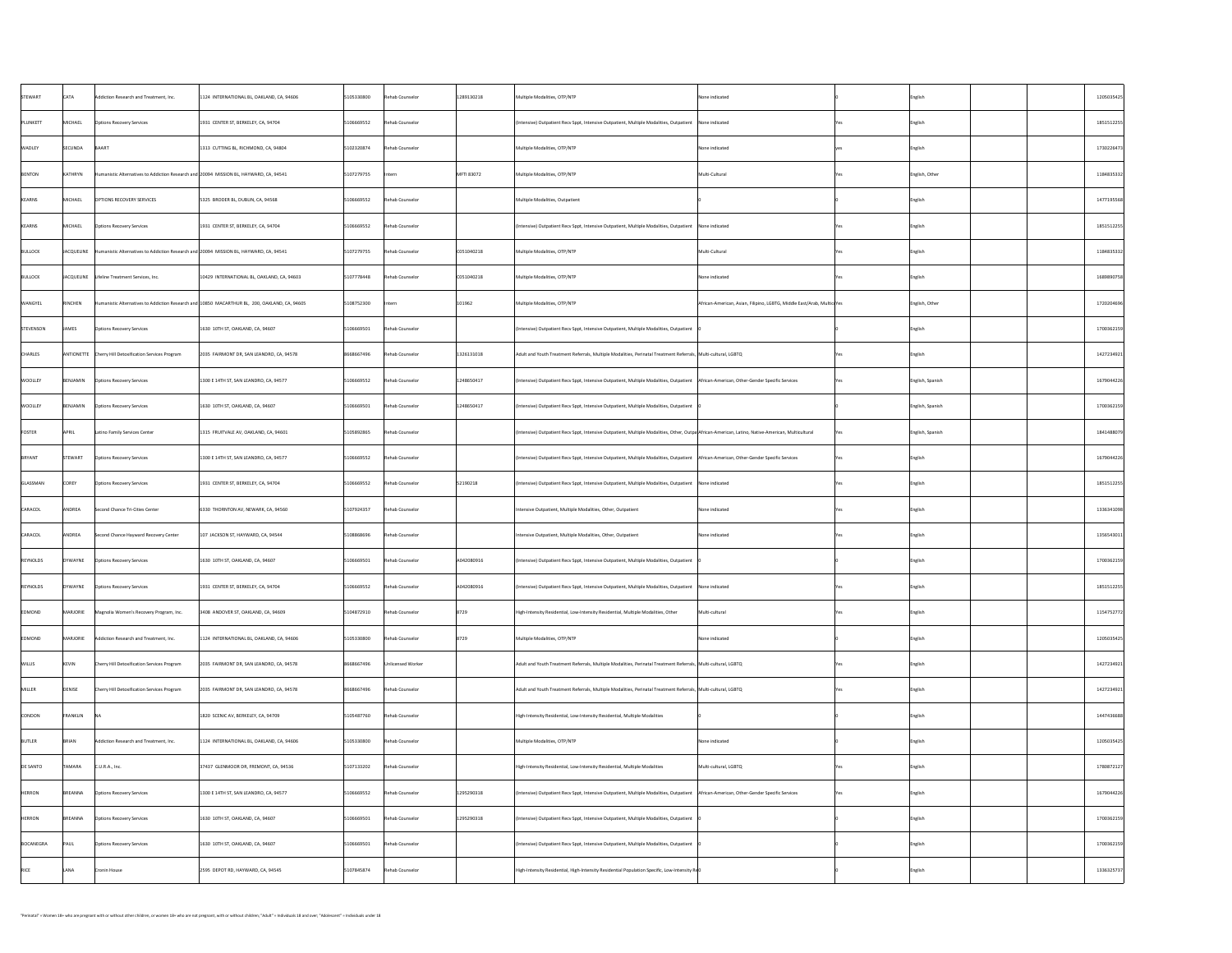| STEWART         | <b>CATA</b>    | Addiction Research and Treatment, Inc.                                                                            | 1124 INTERNATIONAL BL, OAKLAND, CA, 94606                                                     | 5105330800                    | Rehab Counselor   | 1289130218 | Multiple Modalities, OTP/NTP                                                                                                                       | None indicated                                                         | English          | 1205035425 |
|-----------------|----------------|-------------------------------------------------------------------------------------------------------------------|-----------------------------------------------------------------------------------------------|-------------------------------|-------------------|------------|----------------------------------------------------------------------------------------------------------------------------------------------------|------------------------------------------------------------------------|------------------|------------|
| PLUNKETT        | MICHAEL        | <b>Options Recovery Services</b>                                                                                  | 1931 CENTER ST, BERKELEY, CA, 94704                                                           | 5106669552                    | Rehab Counselor   |            | (Intensive) Outpatient Recv Sppt, Intensive Outpatient, Multiple Modalities, Outpatient   None indicated                                           |                                                                        | English          | 1851512255 |
| <b>WADLEY</b>   | <b>SECUNDA</b> | BAART                                                                                                             | 1313 CUTTING BL, RICHMOND, CA, 94804                                                          | 5102320874                    | Rehab Counselor   |            | Multiple Modalities, OTP/NTP                                                                                                                       | None indicated                                                         | English          | 1730226473 |
| BENTON          | KATHRYN        | Humanistic Alternatives to Addiction Research and 20094 MISSION BL, HAYWARD, CA, 94541                            |                                                                                               | 5107279755                    | Intern            | MFTI 83072 | Multiple Modalities, OTP/NTP                                                                                                                       | Multi-Cultural                                                         | English, Other   | 1184835332 |
| KEARNS          | MICHAEL        | <b>OPTIONS RECOVERY SERVICES</b>                                                                                  | 5325 BRODER BL, DUBLIN, CA, 94568                                                             | 5106669552                    | Rehab Counselor   |            | Multiple Modalities, Outpatient                                                                                                                    |                                                                        | English          | 1477195568 |
| KEARNS          | MICHAEL        | Options Recovery Services                                                                                         | 1931 CENTER ST, BERKELEY, CA, 94704                                                           | 5106669552                    | Rehab Counselor   |            | (Intensive) Outpatient Recv Sppt, Intensive Outpatient, Multiple Modalities, Outpatient   None indicated                                           |                                                                        | English          | 1851512255 |
| BULLOCK         |                | $\vert$ JACQUELINE $\vert$ Humanistic Alternatives to Addiction Research and 20094 MISSION BL, HAYWARD, CA, 94541 |                                                                                               | 5107279755                    | Rehab Counselor   | CO51040218 | Multiple Modalities, OTP/NTP                                                                                                                       | Multi-Cultural                                                         | English          | 1184835332 |
| BULLOCK         |                | JACQUELINE   Lifeline Treatment Services, Inc.                                                                    | 10429 INTERNATIONAL BL, OAKLAND, CA, 94603                                                    | 5107778448                    | Rehab Counselor   | C051040218 | Multiple Modalities, OTP/NTP                                                                                                                       | None indicated                                                         | English          | 1689890758 |
| <b>WANGYEL</b>  | RINCHEN        |                                                                                                                   | Humanistic Alternatives to Addiction Research and 10850 MACARTHUR BL, 200, OAKLAND, CA, 94605 | 5108752300                    | Intern            | 101962     | Multiple Modalities, OTP/NTP                                                                                                                       | African-American, Asian, Filipino, LGBTG, Middle East/Arab, MulticuYes | English, Other   | 1720204696 |
| STEVENSON       | <b>JAMES</b>   | <b>Options Recovery Services</b>                                                                                  | 1630 10TH ST, OAKLAND, CA, 94607                                                              | 5106669501                    | Rehab Counselor   |            | (Intensive) Outpatient Recv Sppt, Intensive Outpatient, Multiple Modalities, Outpatient                                                            |                                                                        | English          | 1700362159 |
| <b>CHARLES</b>  |                | ANTIONETTE   Cherry Hill Detoxification Services Program                                                          | 2035 FAIRMONT DR, SAN LEANDRO, CA, 94578                                                      | 8668667496                    | Rehab Counselor   | 1326131018 | Adult and Youth Treatment Referrals, Multiple Modalities, Perinatal Treatment Referrals,  Multi-cultural, LGBTQ                                    |                                                                        | English          | 1427234921 |
| <b>WOOLLEY</b>  | BENJAMIN       | <b>Options Recovery Services</b>                                                                                  | 1300 E 14TH ST, SAN LEANDRO, CA, 94577                                                        | 5106669552                    | Rehab Counselor   | 1248650417 | (Intensive) Outpatient Recv Sppt, Intensive Outpatient, Multiple Modalities, Outpatient   African-American, Other-Gender Specific Services         |                                                                        | English, Spanish | 1679044226 |
| <b>WOOLLEY</b>  | BENJAMIN       | <b>Options Recovery Services</b>                                                                                  | 1630 10TH ST, OAKLAND, CA, 94607                                                              | 5106669501                    | Rehab Counselor   | 1248650417 | (Intensive) Outpatient Recv Sppt, Intensive Outpatient, Multiple Modalities, Outpatient                                                            |                                                                        | English, Spanish | 1700362159 |
| FOSTER          | <b>APRIL</b>   | Latino Family Services Center                                                                                     | 1315 FRUITVALE AV, OAKLAND, CA, 94601                                                         | 5105892865                    | Rehab Counselor   |            | (Intensive) Outpatient Recv Sppt, Intensive Outpatient, Multiple Modalities, Other, Outpa African-American, Latino, Native-American, Multicultural |                                                                        | English, Spanish | 1841488079 |
| BRYANT          | STEWART        | <b>Options Recovery Services</b>                                                                                  | 1300 E 14TH ST, SAN LEANDRO, CA, 94577                                                        | 5106669552                    | Rehab Counselor   |            | (Intensive) Outpatient Recv Sppt, Intensive Outpatient, Multiple Modalities, Outpatient   African-American, Other-Gender Specific Services         |                                                                        | English          | 1679044226 |
| GLASSMAN        | <b>COREY</b>   | <b>Options Recovery Services</b>                                                                                  | 1931 CENTER ST, BERKELEY, CA, 94704                                                           | 5106669552                    | Rehab Counselor   | 52190218   | (Intensive) Outpatient Recv Sppt, Intensive Outpatient, Multiple Modalities, Outpatient   None indicated                                           |                                                                        | English          | 1851512255 |
| CARACOL         | ANDREA         | Second Chance Tri-Cities Center                                                                                   | 6330 THORNTON AV, NEWARK, CA, 94560                                                           | 5107924357                    | Rehab Counselor   |            | Intensive Outpatient, Multiple Modalities, Other, Outpatient                                                                                       | None indicated                                                         | English          | 1336341098 |
| CARACOL         | ANDREA         | Second Chance Hayward Recovery Center                                                                             | $\vert$ 107 JACKSON ST, HAYWARD, CA, 94544                                                    | 5108868696                    | Rehab Counselor   |            | Intensive Outpatient, Multiple Modalities, Other, Outpatient                                                                                       | None indicated                                                         | English          | 1356543011 |
| REYNOLDS        | DYWAYNE        | <b>Options Recovery Services</b>                                                                                  | 1630 10TH ST, OAKLAND, CA, 94607                                                              | 5106669501                    | Rehab Counselor   | A042080916 | (Intensive) Outpatient Recv Sppt, Intensive Outpatient, Multiple Modalities, Outpatient                                                            |                                                                        | English          | 1700362159 |
| REYNOLDS        | DYWAYNE        | <b>Options Recovery Services</b>                                                                                  | 1931 CENTER ST, BERKELEY, CA, 94704                                                           | 5106669552                    | Rehab Counselor   | A042080916 | (Intensive) Outpatient Recv Sppt, Intensive Outpatient, Multiple Modalities, Outpatient   None indicated                                           |                                                                        | English          | 1851512255 |
| EDMOND          | MARJORIE       | Magnolia Women's Recovery Program, Inc.                                                                           | 3408 ANDOVER ST, OAKLAND, CA, 94609                                                           | 5104872910                    | Rehab Counselor   | 8729       | High-Intensity Residential, Low-Intensity Residential, Multiple Modalities, Other                                                                  | Multi-cultural                                                         | <b>English</b>   | 1154752772 |
| EDMOND          |                | $MAPJORIE$ Addiction Research and Treatment, Inc.                                                                 | $\vert$ 1124 INTERNATIONAL BL, OAKLAND, CA, 94606                                             | $ 5105330800$ Rehab Counselor |                   | 8729       | Multiple Modalities, OTP/NTP                                                                                                                       | None indicated                                                         | English          | 1205035425 |
| <b>WILLIS</b>   | KEVIN          | Cherry Hill Detoxification Services Program                                                                       | 2035 FAIRMONT DR, SAN LEANDRO, CA, 94578                                                      | 8668667496                    | Unlicensed Worker |            | Adult and Youth Treatment Referrals, Multiple Modalities, Perinatal Treatment Referrals, Multi-cultural, LGBTQ                                     |                                                                        | <b>English</b>   | 1427234921 |
| MILLER          | DENISE         | Cherry Hill Detoxification Services Program                                                                       | 2035 FAIRMONT DR, SAN LEANDRO, CA, 94578                                                      | 8668667496                    | Rehab Counselor   |            | Adult and Youth Treatment Referrals, Multiple Modalities, Perinatal Treatment Referrals, Multi-cultural, LGBTQ                                     |                                                                        | English          | 1427234921 |
| CONDON          | FRANKLIN       |                                                                                                                   | 1820 SCENIC AV, BERKELEY, CA, 94709                                                           | 5105487760                    | Rehab Counselor   |            | High-Intensity Residential, Low-Intensity Residential, Multiple Modalities                                                                         |                                                                        | English          | 1447436688 |
| BUTLER          | <b>BRIAN</b>   | Addiction Research and Treatment, Inc.                                                                            | 1124 INTERNATIONAL BL, OAKLAND, CA, 94606                                                     | 5105330800                    | Rehab Counselor   |            | Multiple Modalities, OTP/NTP                                                                                                                       | None indicated                                                         | English          | 1205035425 |
| <b>DE SANTO</b> | <b>TAMARA</b>  | CLU.R.A., Inc.                                                                                                    | 37437 GLENMOOR DR, FREMONT, CA, 94536                                                         | 5107133202                    | Rehab Counselor   |            | High-Intensity Residential, Low-Intensity Residential, Multiple Modalities                                                                         | Multi-cultural, LGBTQ                                                  | <b>English</b>   | 1780872127 |
| HERRON          | BREANNA        | Options Recovery Services                                                                                         | 1300 E 14TH ST, SAN LEANDRO, CA, 94577                                                        | 5106669552                    | Rehab Counselor   | 1295290318 | (Intensive) Outpatient Recv Sppt, Intensive Outpatient, Multiple Modalities, Outpatient   African-American, Other-Gender Specific Services         |                                                                        | English          | 1679044226 |
| <b>HERRON</b>   | BREANNA        | Options Recovery Services                                                                                         | 1630 10TH ST, OAKLAND, CA, 94607                                                              | 5106669501                    | Rehab Counselor   | 1295290318 | (Intensive) Outpatient Recv Sppt, Intensive Outpatient, Multiple Modalities, Outpatient                                                            |                                                                        | English          | 1700362159 |
| BOCANEGRA       | <b>PAUL</b>    | Options Recovery Services                                                                                         | 1630 10TH ST, OAKLAND, CA, 94607                                                              | 5106669501                    | Rehab Counselor   |            | (Intensive) Outpatient Recv Sppt, Intensive Outpatient, Multiple Modalities, Outpatient                                                            |                                                                        | English          | 1700362159 |
| RICE            | LANA           | Cronin House                                                                                                      | 2595 DEPOT RD, HAYWARD, CA, 94545                                                             | 5107845874                    | Rehab Counselor   |            | High-Intensity Residential, High-Intensity Residential Population Specific, Low-Intensity Re $\theta$                                              |                                                                        | English          | 1336325737 |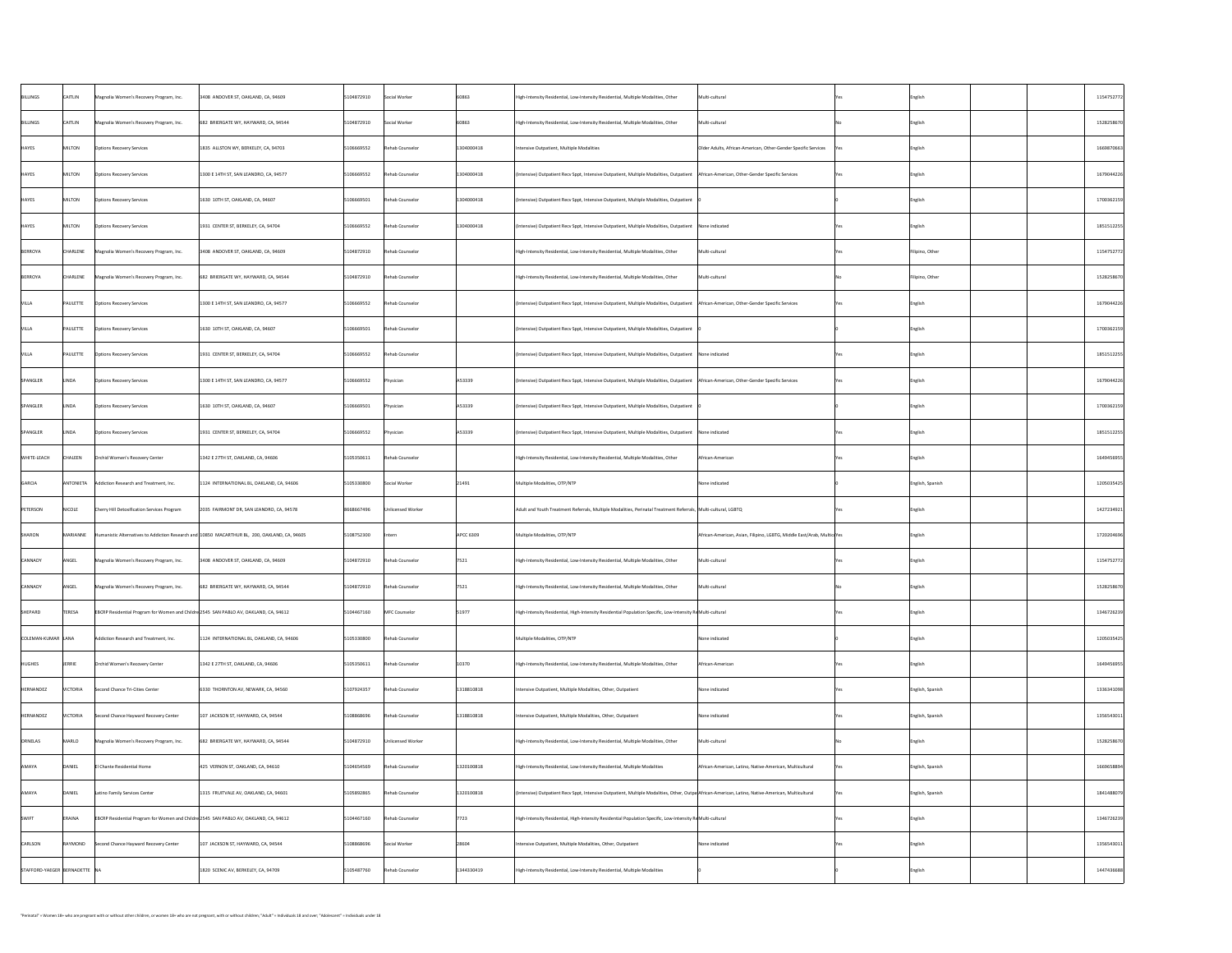| BILLINGS                      | <b>CAITLIN</b>  | Magnolia Women's Recovery Program, Inc.                                               | 3408 ANDOVER ST, OAKLAND, CA, 94609                                                           | 5104872910 | Social Worker     | 60863      | Multi-cultural<br>  High-Intensity Residential, Low-Intensity Residential, Multiple Modalities, Other                                              |                                                                        |      | English          | 1154752772 |
|-------------------------------|-----------------|---------------------------------------------------------------------------------------|-----------------------------------------------------------------------------------------------|------------|-------------------|------------|----------------------------------------------------------------------------------------------------------------------------------------------------|------------------------------------------------------------------------|------|------------------|------------|
| BILLINGS                      | <b>CAITLIN</b>  | Magnolia Women's Recovery Program, Inc.                                               | 682 BRIERGATE WY, HAYWARD, CA, 94544                                                          | 5104872910 | Social Worker     | 60863      | Multi-cultural<br>High-Intensity Residential, Low-Intensity Residential, Multiple Modalities, Other                                                |                                                                        |      | English          | 1528258670 |
| <b>HAYES</b>                  | MILTON          | <b>Options Recovery Services</b>                                                      | 1835 ALLSTON WY, BERKELEY, CA, 94703                                                          | 5106669552 | Rehab Counselor   | 1304000418 | Intensive Outpatient, Multiple Modalities                                                                                                          | Older Adults, African-American, Other-Gender Specific Services         |      | English          | 1669870663 |
| <b>HAYES</b>                  | MILTON          | <b>Options Recovery Services</b>                                                      | 1300 E 14TH ST, SAN LEANDRO, CA, 94577                                                        | 5106669552 | Rehab Counselor   | 1304000418 | (Intensive) Outpatient Recv Sppt, Intensive Outpatient, Multiple Modalities, Outpatient   African-American, Other-Gender Specific Services         |                                                                        | Yes  | English          | 1679044226 |
| <b>HAYES</b>                  | MILTON          | <b>Options Recovery Services</b>                                                      | 1630 10TH ST, OAKLAND, CA, 94607                                                              | 5106669501 | Rehab Counselor   | 1304000418 | (Intensive) Outpatient Recv Sppt, Intensive Outpatient, Multiple Modalities, Outpatient                                                            |                                                                        |      | English          | 1700362159 |
| <b>HAYES</b>                  | MILTON          | <b>Options Recovery Services</b>                                                      | 1931 CENTER ST, BERKELEY, CA, 94704                                                           | 5106669552 | Rehab Counselor   | 1304000418 | (Intensive) Outpatient Recv Sppt, Intensive Outpatient, Multiple Modalities, Outpatient   None indicated                                           |                                                                        |      | English          | 1851512255 |
| BERROYA                       | <b>CHARLENE</b> | Magnolia Women's Recovery Program, Inc.                                               | 3408 ANDOVER ST, OAKLAND, CA, 94609                                                           | 5104872910 | Rehab Counselor   |            | High-Intensity Residential, Low-Intensity Residential, Multiple Modalities, Other                                                                  | Multi-cultural                                                         |      | Filipino, Other  | 1154752772 |
| BERROYA                       | CHARLENE        | Magnolia Women's Recovery Program, Inc.                                               | 682 BRIERGATE WY, HAYWARD, CA, 94544                                                          | 5104872910 | Rehab Counselor   |            | Multi-cultural<br>High-Intensity Residential, Low-Intensity Residential, Multiple Modalities, Other                                                |                                                                        |      | Filipino, Other  | 1528258670 |
| <b>VILLA</b>                  | PAULETTE        | <b>Options Recovery Services</b>                                                      | 1300 E 14TH ST, SAN LEANDRO, CA, 94577                                                        | 5106669552 | Rehab Counselor   |            | (Intensive) Outpatient Recv Sppt, Intensive Outpatient, Multiple Modalities, Outpatient   African-American, Other-Gender Specific Services         |                                                                        |      | English          | 1679044226 |
| VILLA                         | PAULETTE        | <b>Options Recovery Services</b>                                                      | 1630 10TH ST, OAKLAND, CA, 94607                                                              | 5106669501 | Rehab Counselor   |            | (Intensive) Outpatient Recv Sppt, Intensive Outpatient, Multiple Modalities, Outpatient                                                            |                                                                        |      | English          | 1700362159 |
| <b>VILLA</b>                  | PAULETTE        | Options Recovery Services                                                             | 1931 CENTER ST, BERKELEY, CA, 94704                                                           | 5106669552 | Rehab Counselor   |            | (Intensive) Outpatient Recv Sppt, Intensive Outpatient, Multiple Modalities, Outpatient   None indicated                                           |                                                                        |      | English          | 1851512255 |
| SPANGLER                      | LINDA           | <b>Options Recovery Services</b>                                                      | 1300 E 14TH ST, SAN LEANDRO, CA, 94577                                                        | 5106669552 | Physician         | A53339     | (Intensive) Outpatient Recv Sppt, Intensive Outpatient, Multiple Modalities, Outpatient   African-American, Other-Gender Specific Services         |                                                                        | Yes  | English          | 1679044226 |
| SPANGLER                      | LINDA           | <b>Options Recovery Services</b>                                                      | 1630 10TH ST, OAKLAND, CA, 94607                                                              | 5106669501 | Physician         | A53339     | (Intensive) Outpatient Recv Sppt, Intensive Outpatient, Multiple Modalities, Outpatient                                                            |                                                                        |      | English          | 1700362159 |
| SPANGLER                      | LINDA           | <b>Options Recovery Services</b>                                                      | 1931 CENTER ST, BERKELEY, CA, 94704                                                           | 5106669552 | Physician         | A53339     | (Intensive) Outpatient Recv Sppt, Intensive Outpatient, Multiple Modalities, Outpatient   None indicated                                           |                                                                        |      | English          | 1851512255 |
| <b>WHITE-LEACH</b>            | <b>CHALEEN</b>  | Orchid Women's Recovery Center                                                        | 1342 E 27TH ST, OAKLAND, CA, 94606                                                            | 5105350611 | Rehab Counselor   |            | High-Intensity Residential, Low-Intensity Residential, Multiple Modalities, Other                                                                  | African-American                                                       |      | English          | 1649456955 |
| GARCIA                        | ANTONIETA       | Addiction Research and Treatment, Inc.                                                | 1124 INTERNATIONAL BL, OAKLAND, CA, 94606                                                     | 5105330800 | Social Worker     | 21491      | Multiple Modalities, OTP/NTP                                                                                                                       | None indicated                                                         |      | English, Spanish | 1205035425 |
| PETERSON                      | NICOLE          | <b>Cherry Hill Detoxification Services Program</b>                                    | 2035 FAIRMONT DR, SAN LEANDRO, CA, 94578                                                      | 8668667496 | Unlicensed Worker |            | Adult and Youth Treatment Referrals, Multiple Modalities, Perinatal Treatment Referrals, Multi-cultural, LGBTQ                                     |                                                                        |      | English          | 1427234921 |
| SHARON                        | MARIANNE        |                                                                                       | Humanistic Alternatives to Addiction Research and 10850 MACARTHUR BL, 200, OAKLAND, CA, 94605 | 5108752300 | Intern            | APCC 6309  | Multiple Modalities, OTP/NTP                                                                                                                       | African-American, Asian, Filipino, LGBTG, Middle East/Arab, MulticuYes |      | English          | 1720204696 |
| CANNADY                       | ANGEL           | Magnolia Women's Recovery Program, Inc.                                               | 3408 ANDOVER ST, OAKLAND, CA, 94609                                                           | 5104872910 | Rehab Counselor   | 7521       | Multi-cultural<br>High-Intensity Residential, Low-Intensity Residential, Multiple Modalities, Other                                                |                                                                        |      | English          | 1154752772 |
| CANNADY                       | ANGEL           | Magnolia Women's Recovery Program, Inc.                                               | 682 BRIERGATE WY, HAYWARD, CA, 94544                                                          | 5104872910 | Rehab Counselor   | 7521       | Multi-cultural<br>High-Intensity Residential, Low-Intensity Residential, Multiple Modalities, Other                                                |                                                                        |      | English          | 1528258670 |
| SHEPARD                       | <b>TERESA</b>   | EBCRP Residential Program for Women and Childre 2545 SAN PABLO AV, OAKLAND, CA, 94612 |                                                                                               | 5104467160 | MFC Counselor     | 51977      | High-Intensity Residential, High-Intensity Residential Population Specific, Low-Intensity ReMulti-cultural                                         |                                                                        |      | English          | 1346726239 |
| COLEMAN-KUMAR LANA            |                 | Addiction Research and Treatment, Inc.                                                | 1124 INTERNATIONAL BL, OAKLAND, CA, 94606                                                     | 5105330800 | Rehab Counselor   |            | Multiple Modalities, OTP/NTP                                                                                                                       | None indicated                                                         |      | English          | 1205035425 |
| HUGHES                        | JERRIE          | Orchid Women's Recovery Center                                                        | 1342 E 27TH ST, OAKLAND, CA, 94606                                                            | 5105350611 | Rehab Counselor   | 10370      | High-Intensity Residential, Low-Intensity Residential, Multiple Modalities, Other                                                                  | African-American                                                       |      | English          | 1649456955 |
| HERNANDEZ                     | VICTORIA        | Second Chance Tri-Cities Center                                                       | 6330 THORNTON AV, NEWARK, CA, 94560                                                           | 5107924357 | Rehab Counselor   | 1318810818 | Intensive Outpatient, Multiple Modalities, Other, Outpatient                                                                                       | None indicated                                                         |      | English, Spanish | 1336341098 |
| HERNANDEZ                     | VICTORIA        | Second Chance Hayward Recovery Center                                                 | $107$ JACKSON ST, HAYWARD, CA, 94544                                                          | 5108868696 | Rehab Counselor   | 1318810818 | Intensive Outpatient, Multiple Modalities, Other, Outpatient                                                                                       | None indicated                                                         |      | English, Spanish | 1356543011 |
| ORNELAS                       | MARLO           | Magnolia Women's Recovery Program, Inc.                                               | 682 BRIERGATE WY, HAYWARD, CA, 94544                                                          | 5104872910 | Unlicensed Worker |            | Multi-cultural<br>High-Intensity Residential, Low-Intensity Residential, Multiple Modalities, Other                                                |                                                                        |      | English          | 1528258670 |
| <b>AMAYA</b>                  | DANIEL          | El Chante Residential Home                                                            | 425 VERNON ST, OAKLAND, CA, 94610                                                             | 5104654569 | Rehab Counselor   | 1320100818 | High-Intensity Residential, Low-Intensity Residential, Multiple Modalities                                                                         | African-American, Latino, Native-American, Multicultural               |      | English, Spanish | 1669658894 |
| AMAYA                         | DANIEL          | Latino Family Services Center                                                         | 1315 FRUITVALE AV, OAKLAND, CA, 94601                                                         | 5105892865 | Rehab Counselor   | 1320100818 | (Intensive) Outpatient Recv Sppt, Intensive Outpatient, Multiple Modalities, Other, Outpa African-American, Latino, Native-American, Multicultural |                                                                        | TYes | English, Spanish | 1841488079 |
| SWIFT                         | ERAINA          | EBCRP Residential Program for Women and Childre 2545 SAN PABLO AV, OAKLAND, CA, 94612 |                                                                                               | 5104467160 | Rehab Counselor   | 7723       | High-Intensity Residential, High-Intensity Residential Population Specific, Low-Intensity ReMulti-cultural                                         |                                                                        |      | English          | 1346726239 |
| CARLSON                       | RAYMOND         | Second Chance Hayward Recovery Center                                                 | $\vert$ 107 JACKSON ST, HAYWARD, CA, 94544                                                    | 5108868696 | Social Worker     | 28604      | Intensive Outpatient, Multiple Modalities, Other, Outpatient                                                                                       | None indicated                                                         |      | English          | 1356543011 |
| STAFFORD-YAEGER BERNADETTE NA |                 |                                                                                       | 1820 SCENIC AV, BERKELEY, CA, 94709                                                           | 5105487760 | Rehab Counselor   | 1344330419 | High-Intensity Residential, Low-Intensity Residential, Multiple Modalities                                                                         |                                                                        |      | English          | 1447436688 |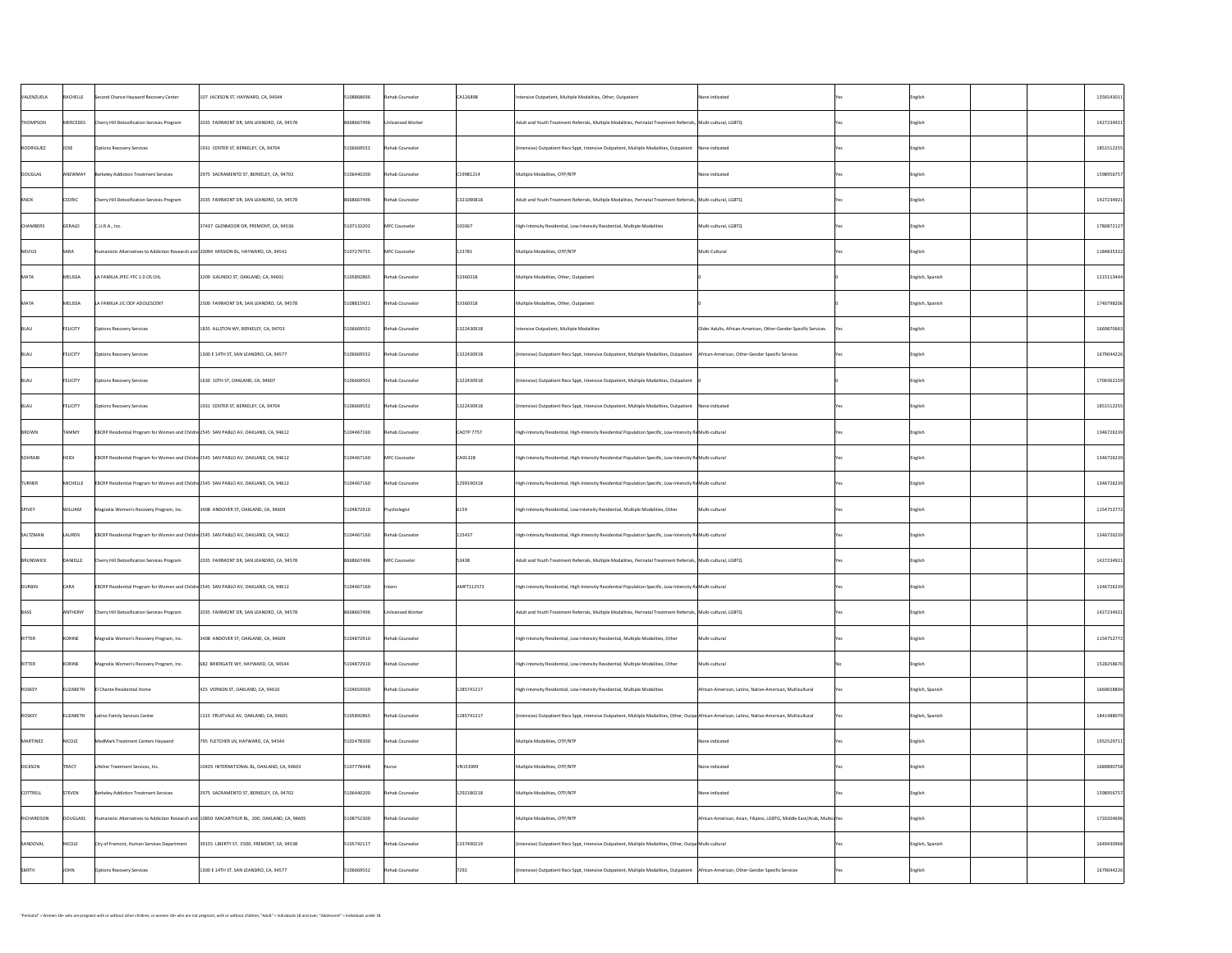| VALENZUELA      | RACHELLE         | Second Chance Hayward Recovery Center                                                         | 107 JACKSON ST, HAYWARD, CA, 94544         | 5108868696 | Rehab Counselor   | CA126898       | Intensive Outpatient, Multiple Modalities, Other, Outpatient                                                                                       | None indicated                                                          |            | English          | 1356543011 |
|-----------------|------------------|-----------------------------------------------------------------------------------------------|--------------------------------------------|------------|-------------------|----------------|----------------------------------------------------------------------------------------------------------------------------------------------------|-------------------------------------------------------------------------|------------|------------------|------------|
| THOMPSON        | MERCEDES         | Cherry Hill Detoxification Services Program                                                   | 2035 FAIRMONT DR, SAN LEANDRO, CA, 94578   | 8668667496 | Unlicensed Worker |                | Adult and Youth Treatment Referrals, Multiple Modalities, Perinatal Treatment Referrals, Multi-cultural, LGBTQ                                     |                                                                         |            | English          | 1427234921 |
| RODRIGUEZ       | <b>JOSE</b>      | <b>Options Recovery Services</b>                                                              | 1931 CENTER ST, BERKELEY, CA, 94704        | 5106669552 | Rehab Counselor   |                | (Intensive) Outpatient Recv Sppt, Intensive Outpatient, Multiple Modalities, Outpatient   None indicated                                           |                                                                         |            | English          | 1851512255 |
| DOUGLAS         | ANEWMAY          | Berkeley Addiction Treatment Services                                                         | 2975 SACRAMENTO ST, BERKELEY, CA, 94702    | 5106440200 | Rehab Counselor   | C19981214      | Multiple Modalities, OTP/NTP                                                                                                                       | None indicated                                                          |            | English          | 1598956757 |
| KNOX            | CEDRIC           | Cherry Hill Detoxification Services Program                                                   | 2035 FAIRMONT DR, SAN LEANDRO, CA, 94578   | 8668667496 | Rehab Counselor   | 1321090818     | Adult and Youth Treatment Referrals, Multiple Modalities, Perinatal Treatment Referrals, Multi-cultural, LGBTQ                                     |                                                                         |            | English          | 1427234921 |
| <b>CHAMBERS</b> | GERALD           | C.U.R.A., Inc.                                                                                | 37437 GLENMOOR DR, FREMONT, CA, 94536      | 5107133202 | MFC Counselor     | 100367         | High-Intensity Residential, Low-Intensity Residential, Multiple Modalities                                                                         | Multi-cultural, LGBTQ                                                   |            | English          | 1780872127 |
| NEVIUS          | SARA             | Humanistic Alternatives to Addiction Research and 20094 MISSION BL, HAYWARD, CA, 94541        |                                            | 5107279755 | MFC Counselor     | 123781         | Multiple Modalities, OTP/NTP                                                                                                                       | Multi-Cultural                                                          |            | English          | 1184835332 |
| <b>MATA</b>     | MELISSA          | LA FAMILIA JPEC-YFC 1.0 OS CHL                                                                | 3209 GALINDO ST, OAKLAND, CA, 94601        | 5105892865 | Rehab Counselor   | 53360318       | Multiple Modalities, Other, Outpatient                                                                                                             |                                                                         |            | English, Spanish | 1215113444 |
| MATA            | MELISSA          | LA FAMILIA JJC ODF ADOLESCENT                                                                 | 2500 FAIRMONT DR, SAN LEANDRO, CA, 94578   | 5108815921 | Rehab Counselor   | 53360318       | Multiple Modalities, Other, Outpatient                                                                                                             |                                                                         |            | English, Spanish | 1740798206 |
| BLAU            | FELICITY         | <b>Options Recovery Services</b>                                                              | 1835 ALLSTON WY, BERKELEY, CA, 94703       | 5106669552 | Rehab Counselor   | 1322430918     | Intensive Outpatient, Multiple Modalities                                                                                                          | Older Adults, African-American, Other-Gender Specific Services          |            | English          | 1669870663 |
| <b>BLAU</b>     | FELICITY         | <b>Options Recovery Services</b>                                                              | 1300 E 14TH ST, SAN LEANDRO, CA, 94577     | 5106669552 | Rehab Counselor   | 1322430918     | (Intensive) Outpatient Recv Sppt, Intensive Outpatient, Multiple Modalities, Outpatient   African-American, Other-Gender Specific Services         |                                                                         |            | English          | 1679044226 |
| <b>BLAU</b>     | FELICITY         | <b>Options Recovery Services</b>                                                              | 1630 10TH ST, OAKLAND, CA, 94607           | 5106669501 | Rehab Counselor   | 1322430918     | (Intensive) Outpatient Recv Sppt, Intensive Outpatient, Multiple Modalities, Outpatient                                                            |                                                                         |            | English          | 1700362159 |
| <b>BLAU</b>     | FELICITY         | <b>Options Recovery Services</b>                                                              | 1931 CENTER ST, BERKELEY, CA, 94704        | 5106669552 | Rehab Counselor   | 1322430918     | I (Intensive) Outpatient Recv Sppt, Intensive Outpatient, Multiple Modalities, Outpatient INone indicated                                          |                                                                         |            | English          | 1851512255 |
| BROWN           | <b>TAMMY</b>     | EBCRP Residential Program for Women and Childre 2545 SAN PABLO AV, OAKLAND, CA, 94612         |                                            | 5104467160 | Rehab Counselor   | CADTP 7757     | High-Intensity Residential, High-Intensity Residential Population Specific, Low-Intensity ReMulti-cultural                                         |                                                                         |            | English          | 1346726239 |
| SOHRABI         | <b>HEIDI</b>     | EBCRP Residential Program for Women and Childre 2545 SAN PABLO AV, OAKLAND, CA, 94612         |                                            | 5104467160 | MFC Counselor     | CA91328        | High-Intensity Residential, High-Intensity Residential Population Specific, Low-Intensity ReMulti-cultural                                         |                                                                         |            | English          | 1346726239 |
| TURNER          | MICHELLE         | EBCRP Residential Program for Women and Childre 2545 SAN PABLO AV, OAKLAND, CA, 94612         |                                            | 5104467160 | Rehab Counselor   | 1299190318     | High-Intensity Residential, High-Intensity Residential Population Specific, Low-Intensity ReMulti-cultural                                         |                                                                         |            | English          | 1346726239 |
| <b>SPIVEY</b>   | <b>WILLIAM</b>   | Magnolia Women's Recovery Program, Inc.                                                       | 3408 ANDOVER ST, OAKLAND, CA, 94609        | 5104872910 | Psychologist      | $ 6159\rangle$ | High-Intensity Residential, Low-Intensity Residential, Multiple Modalities, Other                                                                  | Multi-cultural                                                          |            | English          | 1154752772 |
| SALTZMAN        | LAUREN           | EBCRP Residential Program for Women and Childre 2545 SAN PABLO AV, OAKLAND, CA, 94612         |                                            | 5104467160 | Rehab Counselor   | 125437         | High-Intensity Residential, High-Intensity Residential Population Specific, Low-Intensity ReMulti-cultural                                         |                                                                         |            | English          | 1346726239 |
| BRUNSWICK       | DANIELLE         | Cherry Hill Detoxification Services Program                                                   | 2035 FAIRMONT DR, SAN LEANDRO, CA, 94578   | 8668667496 | MFC Counselor     | 53438          | Adult and Youth Treatment Referrals, Multiple Modalities, Perinatal Treatment Referrals, Multi-cultural, LGBTQ                                     |                                                                         |            | English          | 1427234921 |
| <b>DURBIN</b>   | CARA             | EBCRP Residential Program for Women and Childre 2545 SAN PABLO AV, OAKLAND, CA, 94612         |                                            | 5104467160 | <b>Intern</b>     | AMFT112572     | High-Intensity Residential, High-Intensity Residential Population Specific, Low-Intensity ReMulti-cultural                                         |                                                                         |            | English          | 1346726239 |
| <b>BASS</b>     | ANTHONY          | Cherry Hill Detoxification Services Program                                                   | 2035 FAIRMONT DR, SAN LEANDRO, CA, 94578   | 8668667496 | Unlicensed Worker |                | Adult and Youth Treatment Referrals, Multiple Modalities, Perinatal Treatment Referrals, Multi-cultural, LGBTQ                                     |                                                                         |            | English          | 1427234921 |
| RITTER          | KORINE           | Magnolia Women's Recovery Program, Inc.                                                       | 3408 ANDOVER ST, OAKLAND, CA, 94609        | 5104872910 | Rehab Counselor   |                | High-Intensity Residential, Low-Intensity Residential, Multiple Modalities, Other                                                                  | Multi-cultural                                                          |            | English          | 1154752772 |
| RITTER          | KORINE           | Magnolia Women's Recovery Program, Inc.                                                       | 682 BRIERGATE WY, HAYWARD, CA, 94544       | 5104872910 | Rehab Counselor   |                | High-Intensity Residential, Low-Intensity Residential, Multiple Modalities, Other                                                                  | Multi-cultural                                                          |            | English          | 1528258670 |
| ROSKEY          | <b>ELIZABETH</b> | El Chante Residential Home                                                                    | 425 VERNON ST, OAKLAND, CA, 94610          | 5104654569 | Rehab Counselor   | 1285741217     | High-Intensity Residential, Low-Intensity Residential, Multiple Modalities                                                                         | African-American, Latino, Native-American, Multicultural                |            | English, Spanish | 1669658894 |
| ROSKEY          | ELIZABETH        | Latino Family Services Center                                                                 | 1315 FRUITVALE AV, OAKLAND, CA, 94601      | 5105892865 | Rehab Counselor   | 1285741217     | (Intensive) Outpatient Recv Sppt, Intensive Outpatient, Multiple Modalities, Other, Outpa African-American, Latino, Native-American, Multicultural |                                                                         | <u>Yes</u> | English, Spanish | 1841488079 |
| MARTINEZ        | NICOLE           | MedMark Treatment Centers Hayward                                                             | 795 FLETCHER LN, HAYWARD, CA, 94544        | 5102478300 | Rehab Counselor   |                | Multiple Modalities, OTP/NTP                                                                                                                       | None indicated                                                          |            | English          | 1952529711 |
| DICKSON         | TRACY            | Lifeline Treatment Services, Inc.                                                             | 10429 INTERNATIONAL BL, OAKLAND, CA, 94603 | 5107778448 | Nurse             | VN153999       | Multiple Modalities, OTP/NTP                                                                                                                       | None indicated                                                          |            | English          | 1689890758 |
| <b>COTTRELL</b> | STEVEN           | Berkeley Addiction Treatment Services                                                         | 2975 SACRAMENTO ST, BERKELEY, CA, 94702    | 5106440200 | Rehab Counselor   | 1292180218     | Multiple Modalities, OTP/NTP                                                                                                                       | None indicated                                                          |            | English          | 1598956757 |
| RICHARDSON      | DOUGLASS         | Humanistic Alternatives to Addiction Research and 10850 MACARTHUR BL, 200, OAKLAND, CA, 94605 |                                            | 5108752300 | Rehab Counselor   |                | Multiple Modalities, OTP/NTP                                                                                                                       | African-American, Asian, Filipino, LGBTG, Middle East/Arab, Multicu Yes |            | English          | 1720204696 |
| SANDOVAL        | NICOLE           | City of Fremont, Human Services Department                                                    | 39155 LIBERTY ST, E500, FREMONT, CA, 94538 | 5105742117 | Rehab Counselor   | 1337490219     | (Intensive) Outpatient Recv Sppt, Intensive Outpatient, Multiple Modalities, Other, Outpa Multi-cultural                                           |                                                                         |            | English, Spanish | 1649430968 |
| <b>SMITH</b>    | <b>JOHN</b>      | <b>Options Recovery Services</b>                                                              | 1300 E 14TH ST, SAN LEANDRO, CA, 94577     | 5106669552 | Rehab Counselor   | 7292           | (Intensive) Outpatient Recv Sppt, Intensive Outpatient, Multiple Modalities, Outpatient   African-American, Other-Gender Specific Services         |                                                                         | Yes.       | English          | 1679044226 |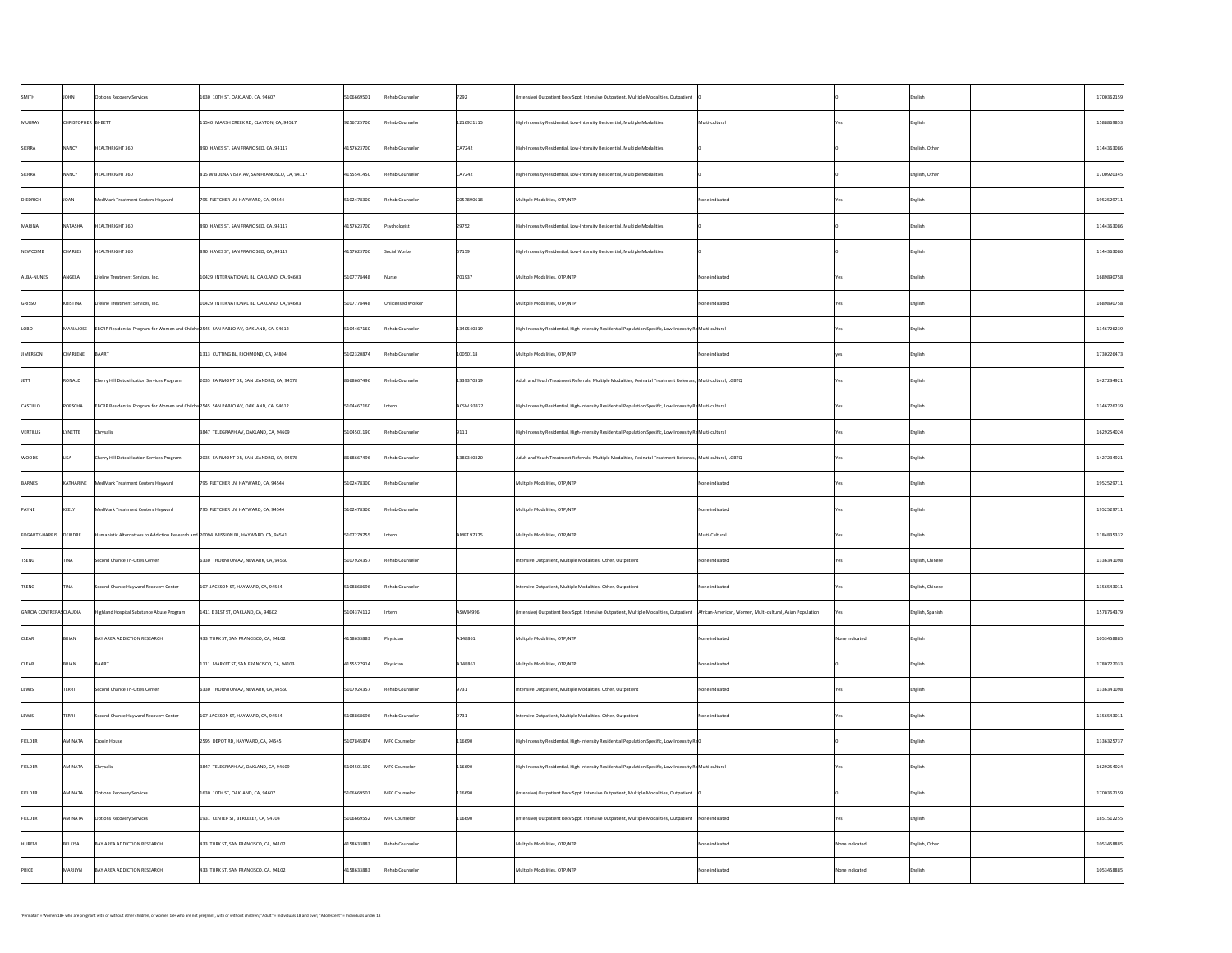| SMITH                    | <b>JOHN</b>         | <b>Options Recovery Services</b>                                                                                | 1630 10TH ST, OAKLAND, CA, 94607               | 5106669501 | Rehab Counselor   | 7292              | (Intensive) Outpatient Recv Sppt, Intensive Outpatient, Multiple Modalities, Outpatient                                                             |                |                | English          | 1700362159 |
|--------------------------|---------------------|-----------------------------------------------------------------------------------------------------------------|------------------------------------------------|------------|-------------------|-------------------|-----------------------------------------------------------------------------------------------------------------------------------------------------|----------------|----------------|------------------|------------|
| MURRAY                   | CHRISTOPHER BI-BETT |                                                                                                                 | 11540 MARSH CREEK RD, CLAYTON, CA, 94517       | 9256725700 | Rehab Counselor   | 1216921115        | High-Intensity Residential, Low-Intensity Residential, Multiple Modalities                                                                          | Multi-cultural |                | English          | 1588869853 |
| SIERRA                   | <b>NANCY</b>        | HEALTHRIGHT 360                                                                                                 | 890 HAYES ST, SAN FRANCISCO, CA, 94117         | 4157623700 | Rehab Counselor   | CA7242            | High-Intensity Residential, Low-Intensity Residential, Multiple Modalities                                                                          |                |                | English, Other   | 1144363086 |
| SIERRA                   | <b>NANCY</b>        | HEALTHRIGHT 360                                                                                                 | 815 W BUENA VISTA AV, SAN FRANCISCO, CA, 94117 | 4155541450 | Rehab Counselor   | CA7242            | High-Intensity Residential, Low-Intensity Residential, Multiple Modalities                                                                          |                |                | English, Other   | 1700920345 |
| DIEDRICH                 | JOAN                | MedMark Treatment Centers Hayward                                                                               | 795 FLETCHER LN, HAYWARD, CA, 94544            | 5102478300 | Rehab Counselor   | C057890618        | Multiple Modalities, OTP/NTP                                                                                                                        | None indicated |                | English          | 1952529711 |
| MARINA                   | NATASHA             | HEALTHRIGHT 360                                                                                                 | 890 HAYES ST, SAN FRANCISCO, CA, 94117         | 4157623700 | Psychologist      | 29752             | High-Intensity Residential, Low-Intensity Residential, Multiple Modalities                                                                          |                |                | English          | 1144363086 |
| NEWCOMB                  | <b>CHARLES</b>      | HEALTHRIGHT 360                                                                                                 | 890 HAYES ST, SAN FRANCISCO, CA, 94117         | 4157623700 | Social Worker     | 67159             | High-Intensity Residential, Low-Intensity Residential, Multiple Modalities                                                                          |                |                | English          | 1144363086 |
| ALBA-NUNES               | ANGELA              | Lifeline Treatment Services, Inc.                                                                               | 10429 INTERNATIONAL BL, OAKLAND, CA, 94603     | 5107778448 | Nurse             | 701937            | Multiple Modalities, OTP/NTP                                                                                                                        | None indicated |                | English          | 1689890758 |
| GRISSO                   | KRISTINA            | Lifeline Treatment Services, Inc.                                                                               | 10429 INTERNATIONAL BL, OAKLAND, CA, 94603     | 5107778448 | Unlicensed Worker |                   | Multiple Modalities, OTP/NTP                                                                                                                        | None indicated |                | English          | 1689890758 |
| LOBO                     |                     | $\vert$ MARIAJOSE $\vert$ EBCRP Residential Program for Women and Childre 2545 SAN PABLO AV, OAKLAND, CA, 94612 |                                                | 5104467160 | Rehab Counselor   | 1340540319        | $\vert$ High-Intensity Residential, High-Intensity Residential Population Specific, Low-Intensity ReMulti-cultural                                  |                |                | English          | 1346726239 |
| JIMERSON                 | CHARLENE            | BAART                                                                                                           | 1313 CUTTING BL, RICHMOND, CA, 94804           | 5102320874 | Rehab Counselor   | 10050118          | Multiple Modalities, OTP/NTP                                                                                                                        | None indicated |                | English          | 1730226473 |
| <b>IFTT</b>              | RONALD              | Cherry Hill Detoxification Services Program                                                                     | 2035 FAIRMONT DR, SAN LEANDRO, CA, 94578       | 8668667496 | Rehab Counselor   | 1339370319        | Adult and Youth Treatment Referrals, Multiple Modalities, Perinatal Treatment Referrals,  Multi-cultural, LGBTQ                                     |                |                | English          | 1427234921 |
| <b>CASTILLO</b>          | PORSCHA             | EBCRP Residential Program for Women and Childre 2545 SAN PABLO AV, OAKLAND, CA, 94612                           |                                                | 5104467160 | Intern            | ACSW 93372        | High-Intensity Residential, High-Intensity Residential Population Specific, Low-Intensity ReMulti-cultural                                          |                |                | English          | 1346726239 |
| <b>VERTILUS</b>          | <b>LYNETTE</b>      | Chrysalis                                                                                                       | 3847 TELEGRAPH AV, OAKLAND, CA, 94609          | 5104501190 | Rehab Counselor   | 9111              | High-Intensity Residential, High-Intensity Residential Population Specific, Low-Intensity ReMulti-cultural                                          |                |                | English          | 1629254024 |
| <b>WOODS</b>             | <b>LISA</b>         | <b>Cherry Hill Detoxification Services Program</b>                                                              | 2035 FAIRMONT DR, SAN LEANDRO, CA, 94578       | 8668667496 | Rehab Counselor   | 1380340320        | Adult and Youth Treatment Referrals, Multiple Modalities, Perinatal Treatment Referrals,  Multi-cultural, LGBTQ                                     |                |                | English          | 1427234921 |
| BARNES                   | KATHARINE           | MedMark Treatment Centers Hayward                                                                               | 795 FLETCHER LN, HAYWARD, CA, 94544            | 5102478300 | Rehab Counselor   |                   | Multiple Modalities, OTP/NTP                                                                                                                        | None indicated |                | English          | 1952529711 |
| PAYNE                    | KEELY               | MedMark Treatment Centers Hayward                                                                               | 795 FLETCHER LN, HAYWARD, CA, 94544            | 5102478300 | Rehab Counselor   |                   | Multiple Modalities, OTP/NTP                                                                                                                        | None indicated |                | English          | 1952529711 |
| FOGARTY-HARRIS  DEIRDRE  |                     | Humanistic Alternatives to Addiction Research and 20094 MISSION BL, HAYWARD, CA, 94541                          |                                                | 5107279755 | Intern            | <b>AMFT 97375</b> | Multiple Modalities, OTP/NTP                                                                                                                        | Multi-Cultural |                | <b>English</b>   | 1184835332 |
| <b>TSENG</b>             | <b>TINA</b>         | Second Chance Tri-Cities Center                                                                                 | 6330 THORNTON AV, NEWARK, CA, 94560            | 5107924357 | Rehab Counselor   |                   | Intensive Outpatient, Multiple Modalities, Other, Outpatient                                                                                        | None indicated |                | English, Chinese | 1336341098 |
| <b>TSENG</b>             | <b>TINA</b>         | Second Chance Hayward Recovery Center                                                                           | $107$ JACKSON ST, HAYWARD, CA, 94544           | 5108868696 | Rehab Counselor   |                   | Intensive Outpatient, Multiple Modalities, Other, Outpatient                                                                                        | None indicated |                | English, Chinese | 1356543011 |
| GARCIA CONTRERAS CLAUDIA |                     | Highland Hospital Substance Abuse Program                                                                       | 1411 E 31ST ST, OAKLAND, CA, 94602             | 5104374112 | Intern            | ASW84996          | (Intensive) Outpatient Recv Sppt, Intensive Outpatient, Multiple Modalities, Outpatient   African-American, Women, Multi-cultural, Asian Population |                | res i          | English, Spanish | 1578764379 |
| <b>CLEAR</b>             | BRIAN               | BAY AREA ADDICTION RESEARCH                                                                                     | 433 TURK ST, SAN FRANCISCO, CA, 94102          | 4158633883 | Physician         | A148861           | Multiple Modalities, OTP/NTP                                                                                                                        | None indicated | None indicated | English          | 1053458885 |
| <b>CLEAR</b>             | BRIAN               | BAART                                                                                                           | 1111 MARKET ST, SAN FRANCISCO, CA, 94103       | 4155527914 | Physician         | A148861           | Multiple Modalities, OTP/NTP                                                                                                                        | None indicated |                | <b>English</b>   | 1780722033 |
| LEWIS                    | <b>TERRI</b>        | Second Chance Tri-Cities Center                                                                                 | 6330 THORNTON AV, NEWARK, CA, 94560            | 5107924357 | Rehab Counselor   | 9731              | Intensive Outpatient, Multiple Modalities, Other, Outpatient                                                                                        | None indicated |                | English          | 1336341098 |
| <b>LEWIS</b>             | <b>TERRI</b>        | Second Chance Hayward Recovery Center                                                                           | 107 JACKSON ST, HAYWARD, CA, 94544             | 5108868696 | Rehab Counselor   | 9731              | Intensive Outpatient, Multiple Modalities, Other, Outpatient                                                                                        | None indicated |                | <b>English</b>   | 1356543011 |
| FIELDER                  | AMINATA             | Cronin House                                                                                                    | 2595 DEPOT RD, HAYWARD, CA, 94545              | 5107845874 | MFC Counselor     | 116690            | High-Intensity Residential, High-Intensity Residential Population Specific, Low-Intensity Re $0$                                                    |                |                | English          | 1336325737 |
| <b>FIELDER</b>           | AMINATA             | Chrysalis                                                                                                       | 3847 TELEGRAPH AV, OAKLAND, CA, 94609          | 5104501190 | MFC Counselor     | 116690            | High-Intensity Residential, High-Intensity Residential Population Specific, Low-Intensity ReMulti-cultural                                          |                |                | English          | 1629254024 |
| FIELDER                  | AMINATA             | <b>Options Recovery Services</b>                                                                                | 1630 10TH ST, OAKLAND, CA, 94607               | 5106669501 | MFC Counselor     | 116690            | (Intensive) Outpatient Recv Sppt, Intensive Outpatient, Multiple Modalities, Outpatient                                                             |                |                | <b>English</b>   | 1700362159 |
| <b>FIELDER</b>           | AMINATA             | <b>Options Recovery Services</b>                                                                                | 1931 CENTER ST, BERKELEY, CA, 94704            | 5106669552 | MFC Counselor     | 116690            | (Intensive) Outpatient Recv Sppt, Intensive Outpatient, Multiple Modalities, Outpatient   None indicated                                            |                |                | <b>English</b>   | 1851512255 |
| HUREM                    | BELKISA             | BAY AREA ADDICTION RESEARCH                                                                                     | 433 TURK ST, SAN FRANCISCO, CA, 94102          | 4158633883 | Rehab Counselor   |                   | Multiple Modalities, OTP/NTP                                                                                                                        | None indicated | None indicated | English, Other   | 1053458885 |
| PRICE                    | MARILYN             | BAY AREA ADDICTION RESEARCH                                                                                     | 433 TURK ST, SAN FRANCISCO, CA, 94102          | 4158633883 | Rehab Counselor   |                   | Multiple Modalities, OTP/NTP                                                                                                                        | None indicated | None indicated | $\vert$ English  | 1053458885 |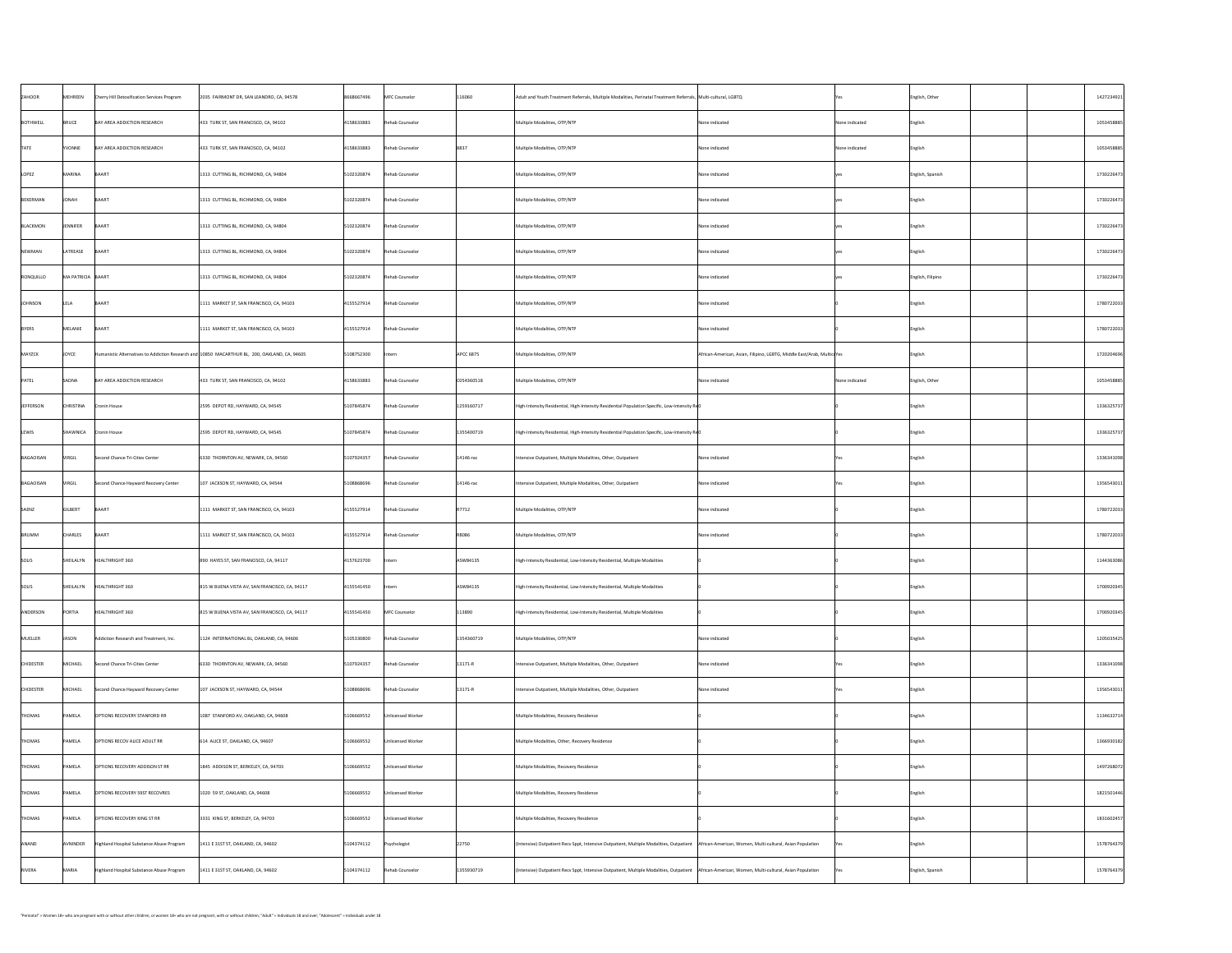| ZAHOOR           | MEHREEN           | Cherry Hill Detoxification Services Program | 2035 FAIRMONT DR, SAN LEANDRO, CA, 94578                                                      | 8668667496 | MFC Counselor     | 116060            | Adult and Youth Treatment Referrals, Multiple Modalities, Perinatal Treatment Referrals, Multi-cultural, LGBTQ                                      |                                                                        |                | English, Other    | 1427234921 |
|------------------|-------------------|---------------------------------------------|-----------------------------------------------------------------------------------------------|------------|-------------------|-------------------|-----------------------------------------------------------------------------------------------------------------------------------------------------|------------------------------------------------------------------------|----------------|-------------------|------------|
| BOTHWELL         | BRUCE             | BAY AREA ADDICTION RESEARCH                 | 433 TURK ST, SAN FRANCISCO, CA, 94102                                                         | 4158633883 | Rehab Counselor   |                   | Multiple Modalities, OTP/NTP                                                                                                                        | None indicated                                                         | None indicated | $\vert$ English   | 1053458885 |
| <b>TATE</b>      | <b>YVONNE</b>     | BAY AREA ADDICTION RESEARCH                 | 433 TURK ST, SAN FRANCISCO, CA, 94102                                                         | 4158633883 | Rehab Counselor   | 8837              | Multiple Modalities, OTP/NTP                                                                                                                        | None indicated                                                         | None indicated | $\vert$ English   | 1053458885 |
| LOPEZ            | MARINA            | BAART                                       | 1313 CUTTING BL, RICHMOND, CA, 94804                                                          | 5102320874 | Rehab Counselor   |                   | Multiple Modalities, OTP/NTP                                                                                                                        | None indicated                                                         |                | English, Spanish  | 1730226473 |
| BEKERMAN         | JONAH             | BAART                                       | 1313 CUTTING BL, RICHMOND, CA, 94804                                                          | 5102320874 | Rehab Counselor   |                   | Multiple Modalities, OTP/NTP                                                                                                                        | None indicated                                                         |                | English           | 1730226473 |
| BLACKMON         | <b>JENNIFER</b>   | BAART                                       | 1313 CUTTING BL, RICHMOND, CA, 94804                                                          | 5102320874 | Rehab Counselor   |                   | Multiple Modalities, OTP/NTP                                                                                                                        | None indicated                                                         |                | English           | 1730226473 |
| NEWMAN           | LATREASE          | BAART                                       | 1313 CUTTING BL, RICHMOND, CA, 94804                                                          | 5102320874 | Rehab Counselor   |                   | Multiple Modalities, OTP/NTP                                                                                                                        | None indicated                                                         |                | English           | 1730226473 |
| RONQUILLO        | MA PATRICIA BAART |                                             | 1313 CUTTING BL, RICHMOND, CA, 94804                                                          | 5102320874 | Rehab Counselor   |                   | Multiple Modalities, OTP/NTP                                                                                                                        | None indicated                                                         |                | English, Filipino | 1730226473 |
| JOHNSON          | <b>LELA</b>       | BAART                                       | 1111 MARKET ST, SAN FRANCISCO, CA, 94103                                                      | 4155527914 | Rehab Counselor   |                   | Multiple Modalities, OTP/NTP                                                                                                                        | None indicated                                                         |                | English           | 1780722033 |
| BYERS            | MELANIE           | BAART                                       | 1111 MARKET ST, SAN FRANCISCO, CA, 94103                                                      | 4155527914 | Rehab Counselor   |                   | Multiple Modalities, OTP/NTP                                                                                                                        | None indicated                                                         |                | English           | 1780722033 |
| MAYZCK           | <b>JOYCE</b>      |                                             | Humanistic Alternatives to Addiction Research and 10850 MACARTHUR BL, 200, OAKLAND, CA, 94605 | 5108752300 | Intern            | <b>APCC 6875</b>  | Multiple Modalities, OTP/NTP                                                                                                                        | African-American, Asian, Filipino, LGBTG, Middle East/Arab, MulticuYes |                | English           | 1720204696 |
| PATEL            | SADNA             | BAY AREA ADDICTION RESEARCH                 | 433 TURK ST, SAN FRANCISCO, CA, 94102                                                         | 4158633883 | Rehab Counselor   | C054360518        | Multiple Modalities, OTP/NTP                                                                                                                        | None indicated                                                         | None indicated | English, Other    | 1053458885 |
| <b>JEFFERSON</b> | <b>CHRISTINA</b>  | <b>Cronin House</b>                         | 2595 DEPOT RD, HAYWARD, CA, 94545                                                             | 5107845874 | Rehab Counselor   | 1259160717        | High-Intensity Residential, High-Intensity Residential Population Specific, Low-Intensity $R \notin \mathbb{Q}$                                     |                                                                        |                | English           | 1336325737 |
| LEWIS            | SHAWNICA          | Cronin House                                | 2595 DEPOT RD, HAYWARD, CA, 94545                                                             | 5107845874 | Rehab Counselor   | 1355400719        | $\vert$ High-Intensity Residential, High-Intensity Residential Population Specific, Low-Intensity Re $\vert$ 0                                      |                                                                        |                | English           | 1336325737 |
| BAGAOISAN        | <b>VIRGIL</b>     | Second Chance Tri-Cities Center             | 6330 THORNTON AV, NEWARK, CA, 94560                                                           | 5107924357 | Rehab Counselor   | $\vert$ 14146-rac | Intensive Outpatient, Multiple Modalities, Other, Outpatient                                                                                        | None indicated                                                         |                | English           | 1336341098 |
| BAGAOISAN        | VIRGIL            | Second Chance Hayward Recovery Center       | 107 JACKSON ST, HAYWARD, CA, 94544                                                            | 5108868696 | Rehab Counselor   | $ 14146$ -rac     | Intensive Outpatient, Multiple Modalities, Other, Outpatient                                                                                        | None indicated                                                         |                | English           | 1356543011 |
| SAENZ            | GILBERT           | BAART                                       | 1111 MARKET ST, SAN FRANCISCO, CA, 94103                                                      | 4155527914 | Rehab Counselor   | R7712             | Multiple Modalities, OTP/NTP                                                                                                                        | None indicated                                                         |                | English           | 1780722033 |
| BRUMM            | <b>CHARLES</b>    | BAART                                       | 1111 MARKET ST, SAN FRANCISCO, CA, 94103                                                      | 4155527914 | Rehab Counselor   | R8086             | Multiple Modalities, OTP/NTP                                                                                                                        | None indicated                                                         |                | English           | 1780722033 |
| SOLIS            | SHEILALYN         | HEALTHRIGHT 360                             | 890 HAYES ST, SAN FRANCISCO, CA, 94117                                                        | 4157623700 | Intern            | ASW84135          | High-Intensity Residential, Low-Intensity Residential, Multiple Modalities                                                                          |                                                                        |                | English           | 1144363086 |
| SOLIS            | SHEILALYN         | HEALTHRIGHT 360                             | 815 W BUENA VISTA AV, SAN FRANCISCO, CA, 94117                                                | 4155541450 | Intern            | ASW84135          | High-Intensity Residential, Low-Intensity Residential, Multiple Modalities                                                                          |                                                                        |                | English           | 1700920345 |
| ANDERSON         | PORTIA            | HEALTHRIGHT 360                             | 815 W BUENA VISTA AV, SAN FRANCISCO, CA, 94117                                                | 4155541450 | MFC Counselor     | 113890            | High-Intensity Residential, Low-Intensity Residential, Multiple Modalities                                                                          |                                                                        |                | English           | 1700920345 |
| MUELLER          | JASON             | Addiction Research and Treatment, Inc.      | 1124 INTERNATIONAL BL, OAKLAND, CA, 94606                                                     | 5105330800 | Rehab Counselor   | 1354360719        | Multiple Modalities, OTP/NTP                                                                                                                        | None indicated                                                         |                | <b>English</b>    | 1205035425 |
| <b>CHIDESTER</b> | MICHAEL           | Second Chance Tri-Cities Center             | 6330 THORNTON AV, NEWARK, CA, 94560                                                           | 5107924357 | Rehab Counselor   | $13171 - R$       | Intensive Outpatient, Multiple Modalities, Other, Outpatient                                                                                        | None indicated                                                         |                | English           | 1336341098 |
| <b>CHIDESTER</b> | MICHAEL           | Second Chance Hayward Recovery Center       | 107 JACKSON ST, HAYWARD, CA, 94544                                                            | 5108868696 | Rehab Counselor   | $13171 - R$       | Intensive Outpatient, Multiple Modalities, Other, Outpatient                                                                                        | None indicated                                                         |                | English           | 1356543011 |
| <b>THOMAS</b>    | <b>PAMELA</b>     | <b>OPTIONS RECOVERY STANFORD RR</b>         | 1087 STANFORD AV, OAKLAND, CA, 94608                                                          | 5106669552 | Unlicensed Worker |                   | Multiple Modalities, Recovery Residence                                                                                                             |                                                                        |                | English           | 1134632714 |
| <b>THOMAS</b>    | PAMELA            | <b>OPTIONS RECOV ALICE ADULT RR</b>         | 614 ALICE ST, OAKLAND, CA, 94607                                                              | 5106669552 | Unlicensed Worker |                   | Multiple Modalities, Other, Recovery Residence                                                                                                      |                                                                        |                | English           | 1366930182 |
| <b>THOMAS</b>    | PAMELA            | OPTIONS RECOVERY ADDISON ST RR              | 1845 ADDISON ST, BERKELEY, CA, 94703                                                          | 5106669552 | Unlicensed Worker |                   | Multiple Modalities, Recovery Residence                                                                                                             |                                                                        |                | English           | 1497268072 |
| <b>THOMAS</b>    | <b>PAMELA</b>     | OPTIONS RECOVERY 59ST RECOVRES              | 1020 59 ST, OAKLAND, CA, 94608                                                                | 5106669552 | Unlicensed Worker |                   | Multiple Modalities, Recovery Residence                                                                                                             |                                                                        |                | English           | 1821501446 |
| <b>THOMAS</b>    | PAMELA            | <b>OPTIONS RECOVERY KING ST RR</b>          | 3331 KING ST, BERKELEY, CA, 94703                                                             | 5106669552 | Unlicensed Worker |                   | Multiple Modalities, Recovery Residence                                                                                                             |                                                                        |                | English           | 1831602457 |
| ANAND            | AVNINDER          | Highland Hospital Substance Abuse Program   | 1411 E 31ST ST, OAKLAND, CA, 94602                                                            | 5104374112 | Psychologist      | 22750             | (Intensive) Outpatient Recv Sppt, Intensive Outpatient, Multiple Modalities, Outpatient   African-American, Women, Multi-cultural, Asian Population |                                                                        |                | English           | 1578764379 |
| RIVERA           | <b>MARIA</b>      | Highland Hospital Substance Abuse Program   | 1411 E 31ST ST, OAKLAND, CA, 94602                                                            | 5104374112 | Rehab Counselor   | 1355930719        | (Intensive) Outpatient Recv Sppt, Intensive Outpatient, Multiple Modalities, Outpatient   African-American, Women, Multi-cultural, Asian Population |                                                                        |                | English, Spanish  | 1578764379 |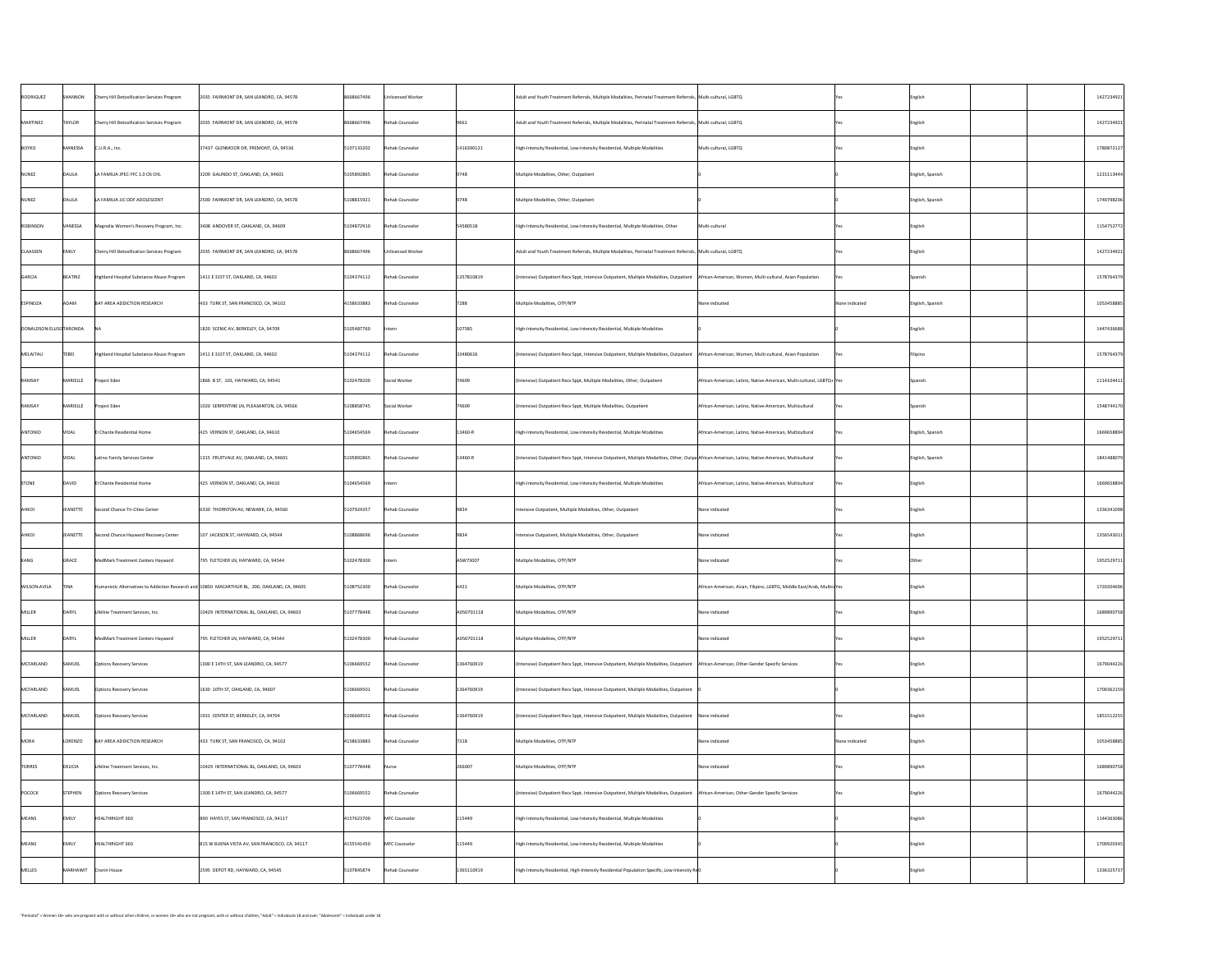| RODRIGUEZ               | SHANNON        | <b>Cherry Hill Detoxification Services Program</b> | 2035 FAIRMONT DR, SAN LEANDRO, CA, 94578                                                      | 8668667496 | Unlicensed Worker |                | Adult and Youth Treatment Referrals, Multiple Modalities, Perinatal Treatment Referrals,  Multi-cultural, LGBTQ                                     |                                                                        |                | English          | 1427234921 |
|-------------------------|----------------|----------------------------------------------------|-----------------------------------------------------------------------------------------------|------------|-------------------|----------------|-----------------------------------------------------------------------------------------------------------------------------------------------------|------------------------------------------------------------------------|----------------|------------------|------------|
| MARTINEZ                | <b>TAYLOR</b>  | Cherry Hill Detoxification Services Program        | 2035 FAIRMONT DR, SAN LEANDRO, CA, 94578                                                      | 8668667496 | Rehab Counselor   | 9661           | Adult and Youth Treatment Referrals, Multiple Modalities, Perinatal Treatment Referrals,  Multi-cultural, LGBTQ                                     |                                                                        |                | English          | 1427234921 |
| BOYKO                   | MANESSA        | $ C.U.R.A.,$ Inc.                                  | 37437 GLENMOOR DR, FREMONT, CA, 94536                                                         | 5107133202 | Rehab Counselor   | 1416390121     | High-Intensity Residential, Low-Intensity Residential, Multiple Modalities                                                                          | Multi-cultural, LGBTQ                                                  |                | English          | 1780872127 |
| NUNEZ                   | DALILA         | LA FAMILIA JPEC-YFC 1.0 OS CHL                     | 3209 GALINDO ST, OAKLAND, CA, 94601                                                           | 5105892865 | Rehab Counselor   | 9748           | Multiple Modalities, Other, Outpatient                                                                                                              |                                                                        |                | English, Spanish | 1215113444 |
| NUNEZ                   | DALILA         | LA FAMILIA JJC ODF ADOLESCENT                      | 2500 FAIRMONT DR, SAN LEANDRO, CA, 94578                                                      | 5108815921 | Rehab Counselor   | 9748           | Multiple Modalities, Other, Outpatient                                                                                                              |                                                                        |                | English, Spanish | 1740798206 |
| ROBINSON                | <b>VANESSA</b> | Magnolia Women's Recovery Program, Inc.            | 3408 ANDOVER ST, OAKLAND, CA, 94609                                                           | 5104872910 | Rehab Counselor   | 54580518       | High-Intensity Residential, Low-Intensity Residential, Multiple Modalities, Other                                                                   | Multi-cultural                                                         |                | English          | 1154752772 |
| <b>CLAASSEN</b>         | <b>EMILY</b>   | Cherry Hill Detoxification Services Program        | 2035 FAIRMONT DR, SAN LEANDRO, CA, 94578                                                      | 8668667496 | Unlicensed Worker |                | Adult and Youth Treatment Referrals, Multiple Modalities, Perinatal Treatment Referrals, Multi-cultural, LGBTQ                                      |                                                                        |                | English          | 1427234921 |
| GARCIA                  | BEATRIZ        | Highland Hospital Substance Abuse Program          | 1411 E 31ST ST, OAKLAND, CA, 94602                                                            | 5104374112 | Rehab Counselor   | 1357810819     | (Intensive) Outpatient Recv Sppt, Intensive Outpatient, Multiple Modalities, Outpatient   African-American, Women, Multi-cultural, Asian Population |                                                                        |                | <b>Spanish</b>   | 1578764379 |
| ESPINOZA                | ADAM           | BAY AREA ADDICTION RESEARCH                        | 433 TURK ST, SAN FRANCISCO, CA, 94102                                                         | 4158633883 | Rehab Counselor   | 7288           | Multiple Modalities, OTP/NTP                                                                                                                        | None indicated                                                         | None indicated | English, Spanish | 1053458885 |
| DONALDSON-ELLISQTARONDA |                |                                                    | 1820 SCENIC AV, BERKELEY, CA, 94709                                                           | 5105487760 | Intern            | 107585         | High-Intensity Residential, Low-Intensity Residential, Multiple Modalities                                                                          |                                                                        |                | English          | 1447436688 |
| MELAITAU                | <b>TEBEI</b>   | Highland Hospital Substance Abuse Program          | 1411 E 31ST ST, OAKLAND, CA, 94602                                                            | 5104374112 | Rehab Counselor   | 33480616       | (Intensive) Outpatient Recv Sppt, Intensive Outpatient, Multiple Modalities, Outpatient   African-American, Women, Multi-cultural, Asian Population |                                                                        |                | Filipino         | 1578764379 |
| RAMSAY                  | MARIELLE       | Project Eden                                       | 1866 B ST, 101, HAYWARD, CA, 94541                                                            | 5102478200 | Social Worker     | 74609          | (Intensive) Outpatient Recv Sppt, Multiple Modalities, Other, Outpatient                                                                            | African-American, Latino, Native-American, Multi-cultural, LGBTQ+ Yes  |                | <b>Spanish</b>   | 1114104411 |
| RAMSAY                  | MARIELLE       | Project Eden                                       | 1020 SERPENTINE LN, PLEASANTON, CA, 94566                                                     | 5108858745 | Social Worker     | 74609          | (Intensive) Outpatient Recv Sppt, Multiple Modalities, Outpatient                                                                                   | African-American, Latino, Native-American, Multicultural               |                | <b>Spanish</b>   | 1548744170 |
| ANTONIO                 | VIDAL          | El Chante Residential Home                         | 425 VERNON ST, OAKLAND, CA, 94610                                                             | 5104654569 | Rehab Counselor   | $13460 - R$    | High-Intensity Residential, Low-Intensity Residential, Multiple Modalities                                                                          | African-American, Latino, Native-American, Multicultural               |                | English, Spanish | 1669658894 |
| ANTONIO                 | VIDAL          | Latino Family Services Center                      | 1315 FRUITVALE AV, OAKLAND, CA, 94601                                                         | 5105892865 | Rehab Counselor   | $13460 - R$    | (Intensive) Outpatient Recv Sppt, Intensive Outpatient, Multiple Modalities, Other, Outpa African-American, Latino, Native-American, Multicultural  |                                                                        | Yes            | English, Spanish | 1841488079 |
| STONE                   | DAVID          | El Chante Residential Home                         | 425 VERNON ST, OAKLAND, CA, 94610                                                             | 5104654569 | Intern            |                | High-Intensity Residential, Low-Intensity Residential, Multiple Modalities                                                                          | African-American, Latino, Native-American, Multicultural               |                | English          | 1669658894 |
| AHKOI                   | JEANETTE       | Second Chance Tri-Cities Center                    | 6330 THORNTON AV, NEWARK, CA, 94560                                                           | 5107924357 | Rehab Counselor   | 9834           | Intensive Outpatient, Multiple Modalities, Other, Outpatient                                                                                        | None indicated                                                         |                | English          | 1336341098 |
| AHKOI                   | JEANETTE       | Second Chance Hayward Recovery Center              | $107$ JACKSON ST, HAYWARD, CA, 94544                                                          | 5108868696 | Rehab Counselor   | 9834           | Intensive Outpatient, Multiple Modalities, Other, Outpatient                                                                                        | None indicated                                                         |                | English          | 1356543011 |
| KANG                    | GRACE          | MedMark Treatment Centers Hayward                  | 795 FLETCHER LN, HAYWARD, CA, 94544                                                           | 5102478300 | Intern            | ASW73007       | Multiple Modalities, OTP/NTP                                                                                                                        | None indicated                                                         |                | Other            | 1952529711 |
| <b>WILSON-AVILA</b>     | <b>TINA</b>    |                                                    | Humanistic Alternatives to Addiction Research and 10850 MACARTHUR BL, 200, OAKLAND, CA, 94605 | 5108752300 | Rehab Counselor   | $ 6421\rangle$ | Multiple Modalities, OTP/NTP                                                                                                                        | African-American, Asian, Filipino, LGBTG, Middle East/Arab, MulticuYes |                | English          | 1720204696 |
| MILLER                  | DARYL          | Lifeline Treatment Services, Inc.                  | 10429 INTERNATIONAL BL, OAKLAND, CA, 94603                                                    | 5107778448 | Rehab Counselor   | A050701118     | Multiple Modalities, OTP/NTP                                                                                                                        | None indicated                                                         |                | English          | 1689890758 |
| MILLER                  | <b>DARYL</b>   | MedMark Treatment Centers Hayward                  | 795 FLETCHER LN, HAYWARD, CA, 94544                                                           | 5102478300 | Rehab Counselor   | A050701118     | Multiple Modalities, OTP/NTP                                                                                                                        | None indicated                                                         |                | English          | 1952529711 |
| MCFARLAND               | SAMUEL         | Options Recovery Services                          | 1300 E 14TH ST, SAN LEANDRO, CA, 94577                                                        | 5106669552 | Rehab Counselor   | 1364760919     | (Intensive) Outpatient Recv Sppt, Intensive Outpatient, Multiple Modalities, Outpatient   African-American, Other-Gender Specific Services          |                                                                        |                | English          | 1679044226 |
| MCFARLAND               | SAMUEL         | Options Recovery Services                          | 1630 10TH ST, OAKLAND, CA, 94607                                                              | 5106669501 | Rehab Counselor   | 1364760919     | (Intensive) Outpatient Recv Sppt, Intensive Outpatient, Multiple Modalities, Outpatient                                                             |                                                                        |                | English          | 1700362159 |
| MCFARLAND               | <b>SAMUEL</b>  | <b>Options Recovery Services</b>                   | 1931 CENTER ST, BERKELEY, CA, 94704                                                           | 5106669552 | Rehab Counselor   | 1364760919     | $\vert$ (Intensive) Outpatient Recv Sppt, Intensive Outpatient, Multiple Modalities, Outpatient $\vert$ None indicated                              |                                                                        |                | English          | 1851512255 |
| MORA                    | LORENZO        | BAY AREA ADDICTION RESEARCH                        | 433 TURK ST, SAN FRANCISCO, CA, 94102                                                         | 4158633883 | Rehab Counselor   | 7318           | Multiple Modalities, OTP/NTP                                                                                                                        | None indicated                                                         | None indicated | English          | 1053458885 |
| <b>TORRES</b>           | DELICIA        | Lifeline Treatment Services, Inc.                  | 10429 INTERNATIONAL BL, OAKLAND, CA, 94603                                                    | 5107778448 | Nurse             | 266007         | Multiple Modalities, OTP/NTP                                                                                                                        | None indicated                                                         |                | English          | 1689890758 |
| POCOCK                  | STEPHEN        | Options Recovery Services                          | 1300 E 14TH ST, SAN LEANDRO, CA, 94577                                                        | 5106669552 | Rehab Counselor   |                | (Intensive) Outpatient Recv Sppt, Intensive Outpatient, Multiple Modalities, Outpatient   African-American, Other-Gender Specific Services          |                                                                        |                | English          | 1679044226 |
| MEANS                   | <b>EMILY</b>   | HEALTHRIGHT 360                                    | 890 HAYES ST, SAN FRANCISCO, CA, 94117                                                        | 4157623700 | MFC Counselor     | 115449         | High-Intensity Residential, Low-Intensity Residential, Multiple Modalities                                                                          |                                                                        |                | English          | 1144363086 |
| MEANS                   | <b>EMILY</b>   | HEALTHRIGHT 360                                    | 815 W BUENA VISTA AV, SAN FRANCISCO, CA, 94117                                                | 4155541450 | MFC Counselor     | 115449         | High-Intensity Residential, Low-Intensity Residential, Multiple Modalities                                                                          |                                                                        |                | English          | 1700920345 |
| MELLES                  | MARHAWIT       | Cronin House                                       | 2595 DEPOT RD, HAYWARD, CA, 94545                                                             | 5107845874 | Rehab Counselor   | 1365110919     | High-Intensity Residential, High-Intensity Residential Population Specific, Low-Intensity $Rd0$                                                     |                                                                        |                | English          | 1336325737 |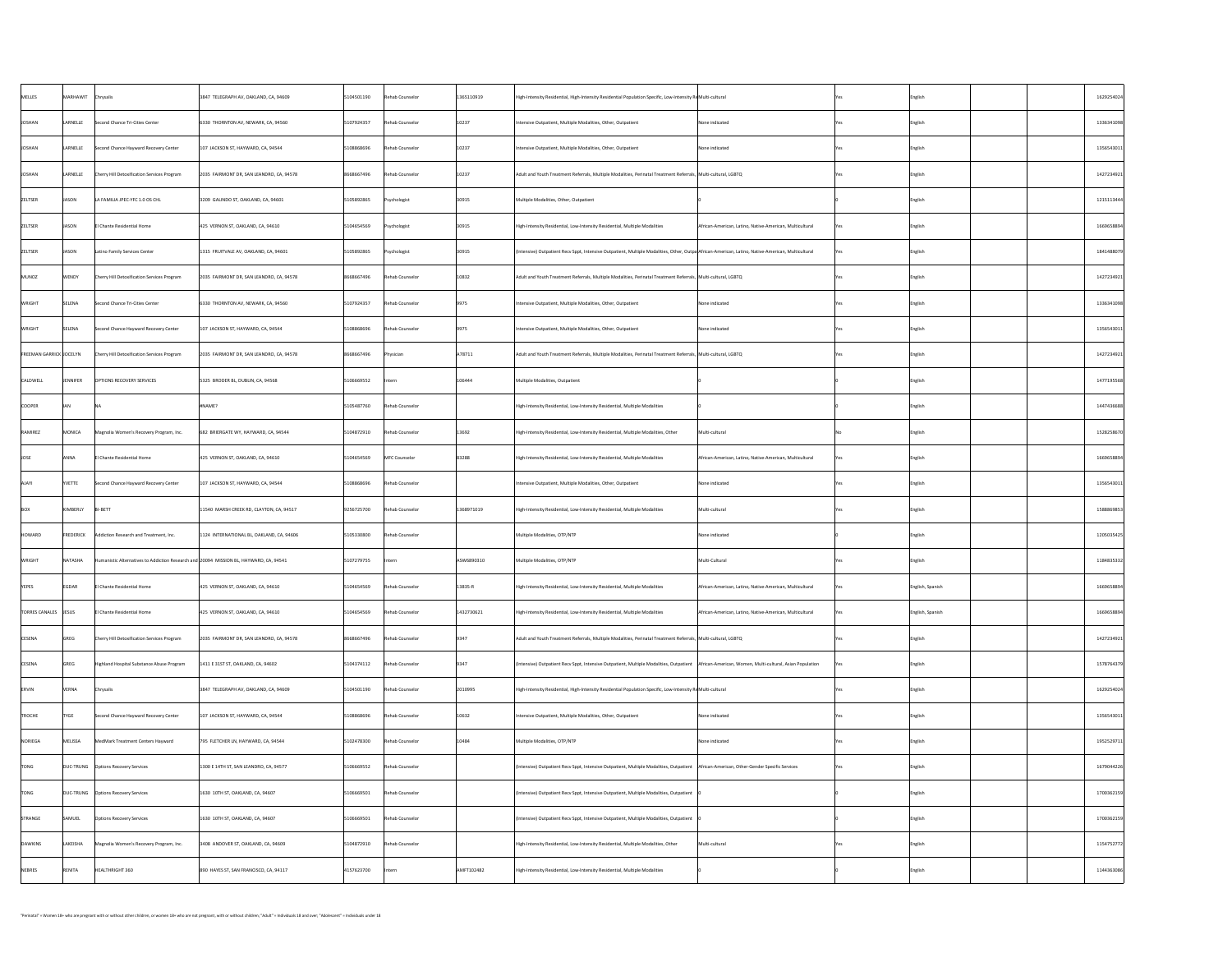| MARHAWIT Chrysalis<br>MELLES<br>5104501190<br>Rehab Counselor<br>1365110919<br>3847 TELEGRAPH AV, OAKLAND, CA, 94609<br>High-Intensity Residential, High-Intensity Residential Population Specific, Low-Intensity Re Multi-cultural<br>English<br>10237<br>LARNELLE<br>JOSHAN<br>5107924357<br>Rehab Counselor<br>Second Chance Tri-Cities Center<br>6330 THORNTON AV, NEWARK, CA, 94560<br>Intensive Outpatient, Multiple Modalities, Other, Outpatient<br>None indicated<br>English<br>10237<br>LARNELLE<br>5108868696<br>JOSHAN<br>Rehab Counselor<br>Second Chance Hayward Recovery Center<br>107 JACKSON ST, HAYWARD, CA, 94544<br>Intensive Outpatient, Multiple Modalities, Other, Outpatient<br>None indicated<br>  English<br>10237<br>LARNELLE<br>8668667496<br>JOSHAN<br>Rehab Counselor<br><b>Cherry Hill Detoxification Services Program</b><br>Adult and Youth Treatment Referrals, Multiple Modalities, Perinatal Treatment Referrals, Multi-cultural, LGBTQ<br>2035 FAIRMONT DR, SAN LEANDRO, CA, 94578<br>English<br>JASON<br>ZELTSER<br>30915<br>5105892865<br>LA FAMILIA JPEC-YFC 1.0 OS CHL<br>3209 GALINDO ST, OAKLAND, CA, 94601<br>Psychologist<br>Multiple Modalities, Other, Outpatient<br>English<br>ZELTSER<br>JASON<br>5104654569<br>30915<br>425 VERNON ST, OAKLAND, CA, 94610<br>Psychologist<br>El Chante Residential Home<br>High-Intensity Residential, Low-Intensity Residential, Multiple Modalities<br>English<br>African-American, Latino, Native-American, Multicultural<br>JASON<br>ZELTSER<br>5105892865<br>30915<br>Psychologist<br>  (Intensive) Outpatient Recv Sppt, Intensive Outpatient, Multiple Modalities, Other, Outpa African-American, Latino, Native-American, Multicultural<br>Latino Family Services Center<br>1315 FRUITVALE AV, OAKLAND, CA, 94601<br>English<br>8668667496<br>WENDY<br>10832<br>Rehab Counselor<br>MUNOZ<br>Adult and Youth Treatment Referrals, Multiple Modalities, Perinatal Treatment Referrals, Multi-cultural, LGBTQ<br>Cherry Hill Detoxification Services Program<br>2035 FAIRMONT DR, SAN LEANDRO, CA, 94578<br>  English<br><b>WRIGHT</b><br>SELENA<br> 9975 <br>5107924357<br>Rehab Counselor<br>Second Chance Tri-Cities Center<br>Intensive Outpatient, Multiple Modalities, Other, Outpatient<br>None indicated<br>6330 THORNTON AV, NEWARK, CA, 94560<br>  English<br>SELENA<br>5108868696<br> 9975 <br><b>WRIGHT</b><br>Rehab Counselor<br>$107$ JACKSON ST, HAYWARD, CA, 94544<br>Second Chance Hayward Recovery Center<br>Intensive Outpatient, Multiple Modalities, Other, Outpatient<br>None indicated<br>  English<br>8668667496<br>A78711<br><b>FREEMAN GARRICK JOCELYN</b><br>Adult and Youth Treatment Referrals, Multiple Modalities, Perinatal Treatment Referrals, Multi-cultural, LGBTQ<br><b>Cherry Hill Detoxification Services Program</b><br>2035 FAIRMONT DR, SAN LEANDRO, CA, 94578<br>Physician<br>  English<br>5106669552<br>CALDWELL<br><b>JENNIFER</b><br><b>OPTIONS RECOVERY SERVICES</b><br>106444<br>5325 BRODER BL, DUBLIN, CA, 94568<br>Multiple Modalities, Outpatient<br>Intern<br>  English<br><b>COOPER</b><br>5105487760<br>Rehab Counselor<br>$ $ #NAME?<br>High-Intensity Residential, Low-Intensity Residential, Multiple Modalities<br> English<br>MONICA<br>13692<br>5104872910<br>RAMIREZ<br>Rehab Counselor<br>Multi-cultural<br>Magnolia Women's Recovery Program, Inc.<br>682 BRIERGATE WY, HAYWARD, CA, 94544<br>High-Intensity Residential, Low-Intensity Residential, Multiple Modalities, Other<br>  English<br>ANNA<br>83288<br>5104654569<br>MFC Counselor<br><b>IOSE</b><br>425 VERNON ST, OAKLAND, CA, 94610<br>El Chante Residential Home<br>  High-Intensity Residential, Low-Intensity Residential, Multiple Modalities<br>African-American, Latino, Native-American, Multicultural<br>  English<br><b>YVETTE</b><br>5108868696<br>Rehab Counselor<br>$\vert$ 107 JACKSON ST, HAYWARD, CA, 94544<br>Intensive Outpatient, Multiple Modalities, Other, Outpatient<br>Second Chance Hayward Recovery Center<br><b>NALA</b><br>None indicated<br>  English<br>KIMBERLY<br>1368971019<br>9256725700<br>Multi-cultural<br>$ B -BETT$<br>11540 MARSH CREEK RD, CLAYTON, CA, 94517<br>Rehab Counselor<br>High-Intensity Residential, Low-Intensity Residential, Multiple Modalities<br><b>BOX</b><br>English<br>5105330800<br>FREDERICK<br>HOWARD<br>Rehab Counselor<br>Multiple Modalities, OTP/NTP<br>Addiction Research and Treatment, Inc.<br>1124 INTERNATIONAL BL, OAKLAND, CA, 94606<br>None indicated<br> English<br>5107279755<br>NATASHA<br><b>WRIGHT</b><br>ASW6890310<br>Multi-Cultural<br>Multiple Modalities, OTP/NTP<br>Humanistic Alternatives to Addiction Research and 20094 MISSION BL, HAYWARD, CA, 94541<br> Intern<br>English<br>EGDAR<br>$13835-R$<br>5104654569<br>Rehab Counselor<br>YEPES<br>425 VERNON ST, OAKLAND, CA, 94610<br>English, Spanish<br>El Chante Residential Home<br>  High-Intensity Residential, Low-Intensity Residential, Multiple Modalities<br>African-American, Latino, Native-American, Multicultural<br><b>Yes</b><br>1432730621<br>5104654569<br>Rehab Counselor<br>TORRES CANALES   JESUS<br>English, Spanish<br>El Chante Residential Home<br>425 VERNON ST, OAKLAND, CA, 94610<br>African-American, Latino, Native-American, Multicultural<br>  High-Intensity Residential, Low-Intensity Residential, Multiple Modalities<br>Yes.<br><b>GREG</b><br>8668667496<br><b>CESENA</b><br>Rehab Counselor<br>2035 FAIRMONT DR, SAN LEANDRO, CA, 94578<br>9347<br>Adult and Youth Treatment Referrals, Multiple Modalities, Perinatal Treatment Referrals, Multi-cultural, LGBTQ<br><b>Cherry Hill Detoxification Services Program</b><br>English<br>GREG<br> 9347<br><b>CESENA</b><br>5104374112<br>Rehab Counselor<br>(Intensive) Outpatient Recv Sppt, Intensive Outpatient, Multiple Modalities, Outpatient   African-American, Women, Multi-cultural, Asian Population<br>Highland Hospital Substance Abuse Program<br>1411 E 31ST ST, OAKLAND, CA, 94602<br>  English<br>VERNA<br>5104501190<br>2010995<br>Rehab Counselor<br><b>ERVIN</b><br>3847 TELEGRAPH AV, OAKLAND, CA, 94609<br>  Chrysalis<br>High-Intensity Residential, High-Intensity Residential Population Specific, Low-Intensity ReMulti-cultural<br>English<br><b>TYGE</b><br><b>TROCHE</b><br>10632<br>5108868696<br>Rehab Counselor<br>Second Chance Hayward Recovery Center<br>107 JACKSON ST, HAYWARD, CA, 94544<br>Intensive Outpatient, Multiple Modalities, Other, Outpatient<br>None indicated<br>English<br>MELISSA<br>NORIEGA<br>5102478300<br> 10484<br>Rehab Counselor<br>MedMark Treatment Centers Hayward<br>795 FLETCHER LN, HAYWARD, CA, 94544<br>Multiple Modalities, OTP/NTP<br>None indicated<br>  English<br>DUC-TRUNG   Options Recovery Services<br>5106669552<br>Rehab Counselor<br>TONG<br>(Intensive) Outpatient Recv Sppt, Intensive Outpatient, Multiple Modalities, Outpatient   African-American, Other-Gender Specific Services<br>1300 E 14TH ST, SAN LEANDRO, CA, 94577<br>  English<br>Yes.<br>TONG<br>5106669501<br>Rehab Counselor<br>DUC-TRUNG   Options Recovery Services<br>1630 10TH ST, OAKLAND, CA, 94607<br>  (Intensive) Outpatient Recv Sppt, Intensive Outpatient, Multiple Modalities, Outpatient<br> English<br>SAMUEL<br>5106669501<br>Rehab Counselor<br>STRANGE<br><b>Options Recovery Services</b><br>1630 10TH ST, OAKLAND, CA, 94607<br>  (Intensive) Outpatient Recv Sppt, Intensive Outpatient, Multiple Modalities, Outpatient<br> English<br><b>LAKEISHA</b><br>5104872910<br>DAWKINS<br>Rehab Counselor<br>Multi-cultural<br>Magnolia Women's Recovery Program, Inc.<br>3408 ANDOVER ST, OAKLAND, CA, 94609<br>  High-Intensity Residential, Low-Intensity Residential, Multiple Modalities, Other<br>English<br>NEBRES<br>RENITA<br>AMFT102482<br>HEALTHRIGHT 360<br>4157623700<br>890 HAYES ST, SAN FRANCISCO, CA, 94117<br>  High-Intensity Residential, Low-Intensity Residential, Multiple Modalities<br>  English<br> Intern |  |  |  |  |  |            |
|----------------------------------------------------------------------------------------------------------------------------------------------------------------------------------------------------------------------------------------------------------------------------------------------------------------------------------------------------------------------------------------------------------------------------------------------------------------------------------------------------------------------------------------------------------------------------------------------------------------------------------------------------------------------------------------------------------------------------------------------------------------------------------------------------------------------------------------------------------------------------------------------------------------------------------------------------------------------------------------------------------------------------------------------------------------------------------------------------------------------------------------------------------------------------------------------------------------------------------------------------------------------------------------------------------------------------------------------------------------------------------------------------------------------------------------------------------------------------------------------------------------------------------------------------------------------------------------------------------------------------------------------------------------------------------------------------------------------------------------------------------------------------------------------------------------------------------------------------------------------------------------------------------------------------------------------------------------------------------------------------------------------------------------------------------------------------------------------------------------------------------------------------------------------------------------------------------------------------------------------------------------------------------------------------------------------------------------------------------------------------------------------------------------------------------------------------------------------------------------------------------------------------------------------------------------------------------------------------------------------------------------------------------------------------------------------------------------------------------------------------------------------------------------------------------------------------------------------------------------------------------------------------------------------------------------------------------------------------------------------------------------------------------------------------------------------------------------------------------------------------------------------------------------------------------------------------------------------------------------------------------------------------------------------------------------------------------------------------------------------------------------------------------------------------------------------------------------------------------------------------------------------------------------------------------------------------------------------------------------------------------------------------------------------------------------------------------------------------------------------------------------------------------------------------------------------------------------------------------------------------------------------------------------------------------------------------------------------------------------------------------------------------------------------------------------------------------------------------------------------------------------------------------------------------------------------------------------------------------------------------------------------------------------------------------------------------------------------------------------------------------------------------------------------------------------------------------------------------------------------------------------------------------------------------------------------------------------------------------------------------------------------------------------------------------------------------------------------------------------------------------------------------------------------------------------------------------------------------------------------------------------------------------------------------------------------------------------------------------------------------------------------------------------------------------------------------------------------------------------------------------------------------------------------------------------------------------------------------------------------------------------------------------------------------------------------------------------------------------------------------------------------------------------------------------------------------------------------------------------------------------------------------------------------------------------------------------------------------------------------------------------------------------------------------------------------------------------------------------------------------------------------------------------------------------------------------------------------------------------------------------------------------------------------------------------------------------------------------------------------------------------------------------------------------------------------------------------------------------------------------------------------------------------------------------------------------------------------------------------------------------------------------------------------------------------------------------------------------------------------------------------------------------------------------------------------------------------------------------------------------------------------------------------------------------------------------------------------------------------------------------------------------------------------------------------------------------------------------------------------------------------------------------------------------------------------------------------------------------------------------------------------------------------------------------------------------------------------------------------------------------------------------------------------------------------------------------------------------------------------------------------------------------------------------------------------------------------------------------------------------------------------------------------------------------------------------------------------------------------------------------------------------------------------------------------------------------------------------------------------------------------------------------------------------------------------------------------------------------------------------------------------------------------------------------------------------------------------------------------------------------------------------------------------------------------------------------------------------------------------------------------------------------------------------------------------------------------------------------------------------------------------------------------------------------|--|--|--|--|--|------------|
|                                                                                                                                                                                                                                                                                                                                                                                                                                                                                                                                                                                                                                                                                                                                                                                                                                                                                                                                                                                                                                                                                                                                                                                                                                                                                                                                                                                                                                                                                                                                                                                                                                                                                                                                                                                                                                                                                                                                                                                                                                                                                                                                                                                                                                                                                                                                                                                                                                                                                                                                                                                                                                                                                                                                                                                                                                                                                                                                                                                                                                                                                                                                                                                                                                                                                                                                                                                                                                                                                                                                                                                                                                                                                                                                                                                                                                                                                                                                                                                                                                                                                                                                                                                                                                                                                                                                                                                                                                                                                                                                                                                                                                                                                                                                                                                                                                                                                                                                                                                                                                                                                                                                                                                                                                                                                                                                                                                                                                                                                                                                                                                                                                                                                                                                                                                                                                                                                                                                                                                                                                                                                                                                                                                                                                                                                                                                                                                                                                                                                                                                                                                                                                                                                                                                                                                                                                                                                                                                                                                                                                                                                                                                                                                                                                                                                                                                                                                                                                                                                                                                                                                                                                                                                                                                                                                                                                                                                                                                                                                                                                                          |  |  |  |  |  | 1629254024 |
|                                                                                                                                                                                                                                                                                                                                                                                                                                                                                                                                                                                                                                                                                                                                                                                                                                                                                                                                                                                                                                                                                                                                                                                                                                                                                                                                                                                                                                                                                                                                                                                                                                                                                                                                                                                                                                                                                                                                                                                                                                                                                                                                                                                                                                                                                                                                                                                                                                                                                                                                                                                                                                                                                                                                                                                                                                                                                                                                                                                                                                                                                                                                                                                                                                                                                                                                                                                                                                                                                                                                                                                                                                                                                                                                                                                                                                                                                                                                                                                                                                                                                                                                                                                                                                                                                                                                                                                                                                                                                                                                                                                                                                                                                                                                                                                                                                                                                                                                                                                                                                                                                                                                                                                                                                                                                                                                                                                                                                                                                                                                                                                                                                                                                                                                                                                                                                                                                                                                                                                                                                                                                                                                                                                                                                                                                                                                                                                                                                                                                                                                                                                                                                                                                                                                                                                                                                                                                                                                                                                                                                                                                                                                                                                                                                                                                                                                                                                                                                                                                                                                                                                                                                                                                                                                                                                                                                                                                                                                                                                                                                                          |  |  |  |  |  | 1336341098 |
|                                                                                                                                                                                                                                                                                                                                                                                                                                                                                                                                                                                                                                                                                                                                                                                                                                                                                                                                                                                                                                                                                                                                                                                                                                                                                                                                                                                                                                                                                                                                                                                                                                                                                                                                                                                                                                                                                                                                                                                                                                                                                                                                                                                                                                                                                                                                                                                                                                                                                                                                                                                                                                                                                                                                                                                                                                                                                                                                                                                                                                                                                                                                                                                                                                                                                                                                                                                                                                                                                                                                                                                                                                                                                                                                                                                                                                                                                                                                                                                                                                                                                                                                                                                                                                                                                                                                                                                                                                                                                                                                                                                                                                                                                                                                                                                                                                                                                                                                                                                                                                                                                                                                                                                                                                                                                                                                                                                                                                                                                                                                                                                                                                                                                                                                                                                                                                                                                                                                                                                                                                                                                                                                                                                                                                                                                                                                                                                                                                                                                                                                                                                                                                                                                                                                                                                                                                                                                                                                                                                                                                                                                                                                                                                                                                                                                                                                                                                                                                                                                                                                                                                                                                                                                                                                                                                                                                                                                                                                                                                                                                                          |  |  |  |  |  | 1356543011 |
|                                                                                                                                                                                                                                                                                                                                                                                                                                                                                                                                                                                                                                                                                                                                                                                                                                                                                                                                                                                                                                                                                                                                                                                                                                                                                                                                                                                                                                                                                                                                                                                                                                                                                                                                                                                                                                                                                                                                                                                                                                                                                                                                                                                                                                                                                                                                                                                                                                                                                                                                                                                                                                                                                                                                                                                                                                                                                                                                                                                                                                                                                                                                                                                                                                                                                                                                                                                                                                                                                                                                                                                                                                                                                                                                                                                                                                                                                                                                                                                                                                                                                                                                                                                                                                                                                                                                                                                                                                                                                                                                                                                                                                                                                                                                                                                                                                                                                                                                                                                                                                                                                                                                                                                                                                                                                                                                                                                                                                                                                                                                                                                                                                                                                                                                                                                                                                                                                                                                                                                                                                                                                                                                                                                                                                                                                                                                                                                                                                                                                                                                                                                                                                                                                                                                                                                                                                                                                                                                                                                                                                                                                                                                                                                                                                                                                                                                                                                                                                                                                                                                                                                                                                                                                                                                                                                                                                                                                                                                                                                                                                                          |  |  |  |  |  | 1427234921 |
|                                                                                                                                                                                                                                                                                                                                                                                                                                                                                                                                                                                                                                                                                                                                                                                                                                                                                                                                                                                                                                                                                                                                                                                                                                                                                                                                                                                                                                                                                                                                                                                                                                                                                                                                                                                                                                                                                                                                                                                                                                                                                                                                                                                                                                                                                                                                                                                                                                                                                                                                                                                                                                                                                                                                                                                                                                                                                                                                                                                                                                                                                                                                                                                                                                                                                                                                                                                                                                                                                                                                                                                                                                                                                                                                                                                                                                                                                                                                                                                                                                                                                                                                                                                                                                                                                                                                                                                                                                                                                                                                                                                                                                                                                                                                                                                                                                                                                                                                                                                                                                                                                                                                                                                                                                                                                                                                                                                                                                                                                                                                                                                                                                                                                                                                                                                                                                                                                                                                                                                                                                                                                                                                                                                                                                                                                                                                                                                                                                                                                                                                                                                                                                                                                                                                                                                                                                                                                                                                                                                                                                                                                                                                                                                                                                                                                                                                                                                                                                                                                                                                                                                                                                                                                                                                                                                                                                                                                                                                                                                                                                                          |  |  |  |  |  | 1215113444 |
|                                                                                                                                                                                                                                                                                                                                                                                                                                                                                                                                                                                                                                                                                                                                                                                                                                                                                                                                                                                                                                                                                                                                                                                                                                                                                                                                                                                                                                                                                                                                                                                                                                                                                                                                                                                                                                                                                                                                                                                                                                                                                                                                                                                                                                                                                                                                                                                                                                                                                                                                                                                                                                                                                                                                                                                                                                                                                                                                                                                                                                                                                                                                                                                                                                                                                                                                                                                                                                                                                                                                                                                                                                                                                                                                                                                                                                                                                                                                                                                                                                                                                                                                                                                                                                                                                                                                                                                                                                                                                                                                                                                                                                                                                                                                                                                                                                                                                                                                                                                                                                                                                                                                                                                                                                                                                                                                                                                                                                                                                                                                                                                                                                                                                                                                                                                                                                                                                                                                                                                                                                                                                                                                                                                                                                                                                                                                                                                                                                                                                                                                                                                                                                                                                                                                                                                                                                                                                                                                                                                                                                                                                                                                                                                                                                                                                                                                                                                                                                                                                                                                                                                                                                                                                                                                                                                                                                                                                                                                                                                                                                                          |  |  |  |  |  | 1669658894 |
|                                                                                                                                                                                                                                                                                                                                                                                                                                                                                                                                                                                                                                                                                                                                                                                                                                                                                                                                                                                                                                                                                                                                                                                                                                                                                                                                                                                                                                                                                                                                                                                                                                                                                                                                                                                                                                                                                                                                                                                                                                                                                                                                                                                                                                                                                                                                                                                                                                                                                                                                                                                                                                                                                                                                                                                                                                                                                                                                                                                                                                                                                                                                                                                                                                                                                                                                                                                                                                                                                                                                                                                                                                                                                                                                                                                                                                                                                                                                                                                                                                                                                                                                                                                                                                                                                                                                                                                                                                                                                                                                                                                                                                                                                                                                                                                                                                                                                                                                                                                                                                                                                                                                                                                                                                                                                                                                                                                                                                                                                                                                                                                                                                                                                                                                                                                                                                                                                                                                                                                                                                                                                                                                                                                                                                                                                                                                                                                                                                                                                                                                                                                                                                                                                                                                                                                                                                                                                                                                                                                                                                                                                                                                                                                                                                                                                                                                                                                                                                                                                                                                                                                                                                                                                                                                                                                                                                                                                                                                                                                                                                                          |  |  |  |  |  | 1841488079 |
|                                                                                                                                                                                                                                                                                                                                                                                                                                                                                                                                                                                                                                                                                                                                                                                                                                                                                                                                                                                                                                                                                                                                                                                                                                                                                                                                                                                                                                                                                                                                                                                                                                                                                                                                                                                                                                                                                                                                                                                                                                                                                                                                                                                                                                                                                                                                                                                                                                                                                                                                                                                                                                                                                                                                                                                                                                                                                                                                                                                                                                                                                                                                                                                                                                                                                                                                                                                                                                                                                                                                                                                                                                                                                                                                                                                                                                                                                                                                                                                                                                                                                                                                                                                                                                                                                                                                                                                                                                                                                                                                                                                                                                                                                                                                                                                                                                                                                                                                                                                                                                                                                                                                                                                                                                                                                                                                                                                                                                                                                                                                                                                                                                                                                                                                                                                                                                                                                                                                                                                                                                                                                                                                                                                                                                                                                                                                                                                                                                                                                                                                                                                                                                                                                                                                                                                                                                                                                                                                                                                                                                                                                                                                                                                                                                                                                                                                                                                                                                                                                                                                                                                                                                                                                                                                                                                                                                                                                                                                                                                                                                                          |  |  |  |  |  | 1427234921 |
|                                                                                                                                                                                                                                                                                                                                                                                                                                                                                                                                                                                                                                                                                                                                                                                                                                                                                                                                                                                                                                                                                                                                                                                                                                                                                                                                                                                                                                                                                                                                                                                                                                                                                                                                                                                                                                                                                                                                                                                                                                                                                                                                                                                                                                                                                                                                                                                                                                                                                                                                                                                                                                                                                                                                                                                                                                                                                                                                                                                                                                                                                                                                                                                                                                                                                                                                                                                                                                                                                                                                                                                                                                                                                                                                                                                                                                                                                                                                                                                                                                                                                                                                                                                                                                                                                                                                                                                                                                                                                                                                                                                                                                                                                                                                                                                                                                                                                                                                                                                                                                                                                                                                                                                                                                                                                                                                                                                                                                                                                                                                                                                                                                                                                                                                                                                                                                                                                                                                                                                                                                                                                                                                                                                                                                                                                                                                                                                                                                                                                                                                                                                                                                                                                                                                                                                                                                                                                                                                                                                                                                                                                                                                                                                                                                                                                                                                                                                                                                                                                                                                                                                                                                                                                                                                                                                                                                                                                                                                                                                                                                                          |  |  |  |  |  | 1336341098 |
|                                                                                                                                                                                                                                                                                                                                                                                                                                                                                                                                                                                                                                                                                                                                                                                                                                                                                                                                                                                                                                                                                                                                                                                                                                                                                                                                                                                                                                                                                                                                                                                                                                                                                                                                                                                                                                                                                                                                                                                                                                                                                                                                                                                                                                                                                                                                                                                                                                                                                                                                                                                                                                                                                                                                                                                                                                                                                                                                                                                                                                                                                                                                                                                                                                                                                                                                                                                                                                                                                                                                                                                                                                                                                                                                                                                                                                                                                                                                                                                                                                                                                                                                                                                                                                                                                                                                                                                                                                                                                                                                                                                                                                                                                                                                                                                                                                                                                                                                                                                                                                                                                                                                                                                                                                                                                                                                                                                                                                                                                                                                                                                                                                                                                                                                                                                                                                                                                                                                                                                                                                                                                                                                                                                                                                                                                                                                                                                                                                                                                                                                                                                                                                                                                                                                                                                                                                                                                                                                                                                                                                                                                                                                                                                                                                                                                                                                                                                                                                                                                                                                                                                                                                                                                                                                                                                                                                                                                                                                                                                                                                                          |  |  |  |  |  | 1356543011 |
|                                                                                                                                                                                                                                                                                                                                                                                                                                                                                                                                                                                                                                                                                                                                                                                                                                                                                                                                                                                                                                                                                                                                                                                                                                                                                                                                                                                                                                                                                                                                                                                                                                                                                                                                                                                                                                                                                                                                                                                                                                                                                                                                                                                                                                                                                                                                                                                                                                                                                                                                                                                                                                                                                                                                                                                                                                                                                                                                                                                                                                                                                                                                                                                                                                                                                                                                                                                                                                                                                                                                                                                                                                                                                                                                                                                                                                                                                                                                                                                                                                                                                                                                                                                                                                                                                                                                                                                                                                                                                                                                                                                                                                                                                                                                                                                                                                                                                                                                                                                                                                                                                                                                                                                                                                                                                                                                                                                                                                                                                                                                                                                                                                                                                                                                                                                                                                                                                                                                                                                                                                                                                                                                                                                                                                                                                                                                                                                                                                                                                                                                                                                                                                                                                                                                                                                                                                                                                                                                                                                                                                                                                                                                                                                                                                                                                                                                                                                                                                                                                                                                                                                                                                                                                                                                                                                                                                                                                                                                                                                                                                                          |  |  |  |  |  | 1427234921 |
|                                                                                                                                                                                                                                                                                                                                                                                                                                                                                                                                                                                                                                                                                                                                                                                                                                                                                                                                                                                                                                                                                                                                                                                                                                                                                                                                                                                                                                                                                                                                                                                                                                                                                                                                                                                                                                                                                                                                                                                                                                                                                                                                                                                                                                                                                                                                                                                                                                                                                                                                                                                                                                                                                                                                                                                                                                                                                                                                                                                                                                                                                                                                                                                                                                                                                                                                                                                                                                                                                                                                                                                                                                                                                                                                                                                                                                                                                                                                                                                                                                                                                                                                                                                                                                                                                                                                                                                                                                                                                                                                                                                                                                                                                                                                                                                                                                                                                                                                                                                                                                                                                                                                                                                                                                                                                                                                                                                                                                                                                                                                                                                                                                                                                                                                                                                                                                                                                                                                                                                                                                                                                                                                                                                                                                                                                                                                                                                                                                                                                                                                                                                                                                                                                                                                                                                                                                                                                                                                                                                                                                                                                                                                                                                                                                                                                                                                                                                                                                                                                                                                                                                                                                                                                                                                                                                                                                                                                                                                                                                                                                                          |  |  |  |  |  | 1477195568 |
|                                                                                                                                                                                                                                                                                                                                                                                                                                                                                                                                                                                                                                                                                                                                                                                                                                                                                                                                                                                                                                                                                                                                                                                                                                                                                                                                                                                                                                                                                                                                                                                                                                                                                                                                                                                                                                                                                                                                                                                                                                                                                                                                                                                                                                                                                                                                                                                                                                                                                                                                                                                                                                                                                                                                                                                                                                                                                                                                                                                                                                                                                                                                                                                                                                                                                                                                                                                                                                                                                                                                                                                                                                                                                                                                                                                                                                                                                                                                                                                                                                                                                                                                                                                                                                                                                                                                                                                                                                                                                                                                                                                                                                                                                                                                                                                                                                                                                                                                                                                                                                                                                                                                                                                                                                                                                                                                                                                                                                                                                                                                                                                                                                                                                                                                                                                                                                                                                                                                                                                                                                                                                                                                                                                                                                                                                                                                                                                                                                                                                                                                                                                                                                                                                                                                                                                                                                                                                                                                                                                                                                                                                                                                                                                                                                                                                                                                                                                                                                                                                                                                                                                                                                                                                                                                                                                                                                                                                                                                                                                                                                                          |  |  |  |  |  | 1447436688 |
|                                                                                                                                                                                                                                                                                                                                                                                                                                                                                                                                                                                                                                                                                                                                                                                                                                                                                                                                                                                                                                                                                                                                                                                                                                                                                                                                                                                                                                                                                                                                                                                                                                                                                                                                                                                                                                                                                                                                                                                                                                                                                                                                                                                                                                                                                                                                                                                                                                                                                                                                                                                                                                                                                                                                                                                                                                                                                                                                                                                                                                                                                                                                                                                                                                                                                                                                                                                                                                                                                                                                                                                                                                                                                                                                                                                                                                                                                                                                                                                                                                                                                                                                                                                                                                                                                                                                                                                                                                                                                                                                                                                                                                                                                                                                                                                                                                                                                                                                                                                                                                                                                                                                                                                                                                                                                                                                                                                                                                                                                                                                                                                                                                                                                                                                                                                                                                                                                                                                                                                                                                                                                                                                                                                                                                                                                                                                                                                                                                                                                                                                                                                                                                                                                                                                                                                                                                                                                                                                                                                                                                                                                                                                                                                                                                                                                                                                                                                                                                                                                                                                                                                                                                                                                                                                                                                                                                                                                                                                                                                                                                                          |  |  |  |  |  | 1528258670 |
|                                                                                                                                                                                                                                                                                                                                                                                                                                                                                                                                                                                                                                                                                                                                                                                                                                                                                                                                                                                                                                                                                                                                                                                                                                                                                                                                                                                                                                                                                                                                                                                                                                                                                                                                                                                                                                                                                                                                                                                                                                                                                                                                                                                                                                                                                                                                                                                                                                                                                                                                                                                                                                                                                                                                                                                                                                                                                                                                                                                                                                                                                                                                                                                                                                                                                                                                                                                                                                                                                                                                                                                                                                                                                                                                                                                                                                                                                                                                                                                                                                                                                                                                                                                                                                                                                                                                                                                                                                                                                                                                                                                                                                                                                                                                                                                                                                                                                                                                                                                                                                                                                                                                                                                                                                                                                                                                                                                                                                                                                                                                                                                                                                                                                                                                                                                                                                                                                                                                                                                                                                                                                                                                                                                                                                                                                                                                                                                                                                                                                                                                                                                                                                                                                                                                                                                                                                                                                                                                                                                                                                                                                                                                                                                                                                                                                                                                                                                                                                                                                                                                                                                                                                                                                                                                                                                                                                                                                                                                                                                                                                                          |  |  |  |  |  | 1669658894 |
|                                                                                                                                                                                                                                                                                                                                                                                                                                                                                                                                                                                                                                                                                                                                                                                                                                                                                                                                                                                                                                                                                                                                                                                                                                                                                                                                                                                                                                                                                                                                                                                                                                                                                                                                                                                                                                                                                                                                                                                                                                                                                                                                                                                                                                                                                                                                                                                                                                                                                                                                                                                                                                                                                                                                                                                                                                                                                                                                                                                                                                                                                                                                                                                                                                                                                                                                                                                                                                                                                                                                                                                                                                                                                                                                                                                                                                                                                                                                                                                                                                                                                                                                                                                                                                                                                                                                                                                                                                                                                                                                                                                                                                                                                                                                                                                                                                                                                                                                                                                                                                                                                                                                                                                                                                                                                                                                                                                                                                                                                                                                                                                                                                                                                                                                                                                                                                                                                                                                                                                                                                                                                                                                                                                                                                                                                                                                                                                                                                                                                                                                                                                                                                                                                                                                                                                                                                                                                                                                                                                                                                                                                                                                                                                                                                                                                                                                                                                                                                                                                                                                                                                                                                                                                                                                                                                                                                                                                                                                                                                                                                                          |  |  |  |  |  | 1356543011 |
|                                                                                                                                                                                                                                                                                                                                                                                                                                                                                                                                                                                                                                                                                                                                                                                                                                                                                                                                                                                                                                                                                                                                                                                                                                                                                                                                                                                                                                                                                                                                                                                                                                                                                                                                                                                                                                                                                                                                                                                                                                                                                                                                                                                                                                                                                                                                                                                                                                                                                                                                                                                                                                                                                                                                                                                                                                                                                                                                                                                                                                                                                                                                                                                                                                                                                                                                                                                                                                                                                                                                                                                                                                                                                                                                                                                                                                                                                                                                                                                                                                                                                                                                                                                                                                                                                                                                                                                                                                                                                                                                                                                                                                                                                                                                                                                                                                                                                                                                                                                                                                                                                                                                                                                                                                                                                                                                                                                                                                                                                                                                                                                                                                                                                                                                                                                                                                                                                                                                                                                                                                                                                                                                                                                                                                                                                                                                                                                                                                                                                                                                                                                                                                                                                                                                                                                                                                                                                                                                                                                                                                                                                                                                                                                                                                                                                                                                                                                                                                                                                                                                                                                                                                                                                                                                                                                                                                                                                                                                                                                                                                                          |  |  |  |  |  | 1588869853 |
|                                                                                                                                                                                                                                                                                                                                                                                                                                                                                                                                                                                                                                                                                                                                                                                                                                                                                                                                                                                                                                                                                                                                                                                                                                                                                                                                                                                                                                                                                                                                                                                                                                                                                                                                                                                                                                                                                                                                                                                                                                                                                                                                                                                                                                                                                                                                                                                                                                                                                                                                                                                                                                                                                                                                                                                                                                                                                                                                                                                                                                                                                                                                                                                                                                                                                                                                                                                                                                                                                                                                                                                                                                                                                                                                                                                                                                                                                                                                                                                                                                                                                                                                                                                                                                                                                                                                                                                                                                                                                                                                                                                                                                                                                                                                                                                                                                                                                                                                                                                                                                                                                                                                                                                                                                                                                                                                                                                                                                                                                                                                                                                                                                                                                                                                                                                                                                                                                                                                                                                                                                                                                                                                                                                                                                                                                                                                                                                                                                                                                                                                                                                                                                                                                                                                                                                                                                                                                                                                                                                                                                                                                                                                                                                                                                                                                                                                                                                                                                                                                                                                                                                                                                                                                                                                                                                                                                                                                                                                                                                                                                                          |  |  |  |  |  | 1205035425 |
|                                                                                                                                                                                                                                                                                                                                                                                                                                                                                                                                                                                                                                                                                                                                                                                                                                                                                                                                                                                                                                                                                                                                                                                                                                                                                                                                                                                                                                                                                                                                                                                                                                                                                                                                                                                                                                                                                                                                                                                                                                                                                                                                                                                                                                                                                                                                                                                                                                                                                                                                                                                                                                                                                                                                                                                                                                                                                                                                                                                                                                                                                                                                                                                                                                                                                                                                                                                                                                                                                                                                                                                                                                                                                                                                                                                                                                                                                                                                                                                                                                                                                                                                                                                                                                                                                                                                                                                                                                                                                                                                                                                                                                                                                                                                                                                                                                                                                                                                                                                                                                                                                                                                                                                                                                                                                                                                                                                                                                                                                                                                                                                                                                                                                                                                                                                                                                                                                                                                                                                                                                                                                                                                                                                                                                                                                                                                                                                                                                                                                                                                                                                                                                                                                                                                                                                                                                                                                                                                                                                                                                                                                                                                                                                                                                                                                                                                                                                                                                                                                                                                                                                                                                                                                                                                                                                                                                                                                                                                                                                                                                                          |  |  |  |  |  | 1184835332 |
|                                                                                                                                                                                                                                                                                                                                                                                                                                                                                                                                                                                                                                                                                                                                                                                                                                                                                                                                                                                                                                                                                                                                                                                                                                                                                                                                                                                                                                                                                                                                                                                                                                                                                                                                                                                                                                                                                                                                                                                                                                                                                                                                                                                                                                                                                                                                                                                                                                                                                                                                                                                                                                                                                                                                                                                                                                                                                                                                                                                                                                                                                                                                                                                                                                                                                                                                                                                                                                                                                                                                                                                                                                                                                                                                                                                                                                                                                                                                                                                                                                                                                                                                                                                                                                                                                                                                                                                                                                                                                                                                                                                                                                                                                                                                                                                                                                                                                                                                                                                                                                                                                                                                                                                                                                                                                                                                                                                                                                                                                                                                                                                                                                                                                                                                                                                                                                                                                                                                                                                                                                                                                                                                                                                                                                                                                                                                                                                                                                                                                                                                                                                                                                                                                                                                                                                                                                                                                                                                                                                                                                                                                                                                                                                                                                                                                                                                                                                                                                                                                                                                                                                                                                                                                                                                                                                                                                                                                                                                                                                                                                                          |  |  |  |  |  | 1669658894 |
|                                                                                                                                                                                                                                                                                                                                                                                                                                                                                                                                                                                                                                                                                                                                                                                                                                                                                                                                                                                                                                                                                                                                                                                                                                                                                                                                                                                                                                                                                                                                                                                                                                                                                                                                                                                                                                                                                                                                                                                                                                                                                                                                                                                                                                                                                                                                                                                                                                                                                                                                                                                                                                                                                                                                                                                                                                                                                                                                                                                                                                                                                                                                                                                                                                                                                                                                                                                                                                                                                                                                                                                                                                                                                                                                                                                                                                                                                                                                                                                                                                                                                                                                                                                                                                                                                                                                                                                                                                                                                                                                                                                                                                                                                                                                                                                                                                                                                                                                                                                                                                                                                                                                                                                                                                                                                                                                                                                                                                                                                                                                                                                                                                                                                                                                                                                                                                                                                                                                                                                                                                                                                                                                                                                                                                                                                                                                                                                                                                                                                                                                                                                                                                                                                                                                                                                                                                                                                                                                                                                                                                                                                                                                                                                                                                                                                                                                                                                                                                                                                                                                                                                                                                                                                                                                                                                                                                                                                                                                                                                                                                                          |  |  |  |  |  | 1669658894 |
|                                                                                                                                                                                                                                                                                                                                                                                                                                                                                                                                                                                                                                                                                                                                                                                                                                                                                                                                                                                                                                                                                                                                                                                                                                                                                                                                                                                                                                                                                                                                                                                                                                                                                                                                                                                                                                                                                                                                                                                                                                                                                                                                                                                                                                                                                                                                                                                                                                                                                                                                                                                                                                                                                                                                                                                                                                                                                                                                                                                                                                                                                                                                                                                                                                                                                                                                                                                                                                                                                                                                                                                                                                                                                                                                                                                                                                                                                                                                                                                                                                                                                                                                                                                                                                                                                                                                                                                                                                                                                                                                                                                                                                                                                                                                                                                                                                                                                                                                                                                                                                                                                                                                                                                                                                                                                                                                                                                                                                                                                                                                                                                                                                                                                                                                                                                                                                                                                                                                                                                                                                                                                                                                                                                                                                                                                                                                                                                                                                                                                                                                                                                                                                                                                                                                                                                                                                                                                                                                                                                                                                                                                                                                                                                                                                                                                                                                                                                                                                                                                                                                                                                                                                                                                                                                                                                                                                                                                                                                                                                                                                                          |  |  |  |  |  | 1427234921 |
|                                                                                                                                                                                                                                                                                                                                                                                                                                                                                                                                                                                                                                                                                                                                                                                                                                                                                                                                                                                                                                                                                                                                                                                                                                                                                                                                                                                                                                                                                                                                                                                                                                                                                                                                                                                                                                                                                                                                                                                                                                                                                                                                                                                                                                                                                                                                                                                                                                                                                                                                                                                                                                                                                                                                                                                                                                                                                                                                                                                                                                                                                                                                                                                                                                                                                                                                                                                                                                                                                                                                                                                                                                                                                                                                                                                                                                                                                                                                                                                                                                                                                                                                                                                                                                                                                                                                                                                                                                                                                                                                                                                                                                                                                                                                                                                                                                                                                                                                                                                                                                                                                                                                                                                                                                                                                                                                                                                                                                                                                                                                                                                                                                                                                                                                                                                                                                                                                                                                                                                                                                                                                                                                                                                                                                                                                                                                                                                                                                                                                                                                                                                                                                                                                                                                                                                                                                                                                                                                                                                                                                                                                                                                                                                                                                                                                                                                                                                                                                                                                                                                                                                                                                                                                                                                                                                                                                                                                                                                                                                                                                                          |  |  |  |  |  | 1578764379 |
|                                                                                                                                                                                                                                                                                                                                                                                                                                                                                                                                                                                                                                                                                                                                                                                                                                                                                                                                                                                                                                                                                                                                                                                                                                                                                                                                                                                                                                                                                                                                                                                                                                                                                                                                                                                                                                                                                                                                                                                                                                                                                                                                                                                                                                                                                                                                                                                                                                                                                                                                                                                                                                                                                                                                                                                                                                                                                                                                                                                                                                                                                                                                                                                                                                                                                                                                                                                                                                                                                                                                                                                                                                                                                                                                                                                                                                                                                                                                                                                                                                                                                                                                                                                                                                                                                                                                                                                                                                                                                                                                                                                                                                                                                                                                                                                                                                                                                                                                                                                                                                                                                                                                                                                                                                                                                                                                                                                                                                                                                                                                                                                                                                                                                                                                                                                                                                                                                                                                                                                                                                                                                                                                                                                                                                                                                                                                                                                                                                                                                                                                                                                                                                                                                                                                                                                                                                                                                                                                                                                                                                                                                                                                                                                                                                                                                                                                                                                                                                                                                                                                                                                                                                                                                                                                                                                                                                                                                                                                                                                                                                                          |  |  |  |  |  | 1629254024 |
|                                                                                                                                                                                                                                                                                                                                                                                                                                                                                                                                                                                                                                                                                                                                                                                                                                                                                                                                                                                                                                                                                                                                                                                                                                                                                                                                                                                                                                                                                                                                                                                                                                                                                                                                                                                                                                                                                                                                                                                                                                                                                                                                                                                                                                                                                                                                                                                                                                                                                                                                                                                                                                                                                                                                                                                                                                                                                                                                                                                                                                                                                                                                                                                                                                                                                                                                                                                                                                                                                                                                                                                                                                                                                                                                                                                                                                                                                                                                                                                                                                                                                                                                                                                                                                                                                                                                                                                                                                                                                                                                                                                                                                                                                                                                                                                                                                                                                                                                                                                                                                                                                                                                                                                                                                                                                                                                                                                                                                                                                                                                                                                                                                                                                                                                                                                                                                                                                                                                                                                                                                                                                                                                                                                                                                                                                                                                                                                                                                                                                                                                                                                                                                                                                                                                                                                                                                                                                                                                                                                                                                                                                                                                                                                                                                                                                                                                                                                                                                                                                                                                                                                                                                                                                                                                                                                                                                                                                                                                                                                                                                                          |  |  |  |  |  | 1356543011 |
|                                                                                                                                                                                                                                                                                                                                                                                                                                                                                                                                                                                                                                                                                                                                                                                                                                                                                                                                                                                                                                                                                                                                                                                                                                                                                                                                                                                                                                                                                                                                                                                                                                                                                                                                                                                                                                                                                                                                                                                                                                                                                                                                                                                                                                                                                                                                                                                                                                                                                                                                                                                                                                                                                                                                                                                                                                                                                                                                                                                                                                                                                                                                                                                                                                                                                                                                                                                                                                                                                                                                                                                                                                                                                                                                                                                                                                                                                                                                                                                                                                                                                                                                                                                                                                                                                                                                                                                                                                                                                                                                                                                                                                                                                                                                                                                                                                                                                                                                                                                                                                                                                                                                                                                                                                                                                                                                                                                                                                                                                                                                                                                                                                                                                                                                                                                                                                                                                                                                                                                                                                                                                                                                                                                                                                                                                                                                                                                                                                                                                                                                                                                                                                                                                                                                                                                                                                                                                                                                                                                                                                                                                                                                                                                                                                                                                                                                                                                                                                                                                                                                                                                                                                                                                                                                                                                                                                                                                                                                                                                                                                                          |  |  |  |  |  | 1952529711 |
|                                                                                                                                                                                                                                                                                                                                                                                                                                                                                                                                                                                                                                                                                                                                                                                                                                                                                                                                                                                                                                                                                                                                                                                                                                                                                                                                                                                                                                                                                                                                                                                                                                                                                                                                                                                                                                                                                                                                                                                                                                                                                                                                                                                                                                                                                                                                                                                                                                                                                                                                                                                                                                                                                                                                                                                                                                                                                                                                                                                                                                                                                                                                                                                                                                                                                                                                                                                                                                                                                                                                                                                                                                                                                                                                                                                                                                                                                                                                                                                                                                                                                                                                                                                                                                                                                                                                                                                                                                                                                                                                                                                                                                                                                                                                                                                                                                                                                                                                                                                                                                                                                                                                                                                                                                                                                                                                                                                                                                                                                                                                                                                                                                                                                                                                                                                                                                                                                                                                                                                                                                                                                                                                                                                                                                                                                                                                                                                                                                                                                                                                                                                                                                                                                                                                                                                                                                                                                                                                                                                                                                                                                                                                                                                                                                                                                                                                                                                                                                                                                                                                                                                                                                                                                                                                                                                                                                                                                                                                                                                                                                                          |  |  |  |  |  | 1679044226 |
|                                                                                                                                                                                                                                                                                                                                                                                                                                                                                                                                                                                                                                                                                                                                                                                                                                                                                                                                                                                                                                                                                                                                                                                                                                                                                                                                                                                                                                                                                                                                                                                                                                                                                                                                                                                                                                                                                                                                                                                                                                                                                                                                                                                                                                                                                                                                                                                                                                                                                                                                                                                                                                                                                                                                                                                                                                                                                                                                                                                                                                                                                                                                                                                                                                                                                                                                                                                                                                                                                                                                                                                                                                                                                                                                                                                                                                                                                                                                                                                                                                                                                                                                                                                                                                                                                                                                                                                                                                                                                                                                                                                                                                                                                                                                                                                                                                                                                                                                                                                                                                                                                                                                                                                                                                                                                                                                                                                                                                                                                                                                                                                                                                                                                                                                                                                                                                                                                                                                                                                                                                                                                                                                                                                                                                                                                                                                                                                                                                                                                                                                                                                                                                                                                                                                                                                                                                                                                                                                                                                                                                                                                                                                                                                                                                                                                                                                                                                                                                                                                                                                                                                                                                                                                                                                                                                                                                                                                                                                                                                                                                                          |  |  |  |  |  | 1700362159 |
|                                                                                                                                                                                                                                                                                                                                                                                                                                                                                                                                                                                                                                                                                                                                                                                                                                                                                                                                                                                                                                                                                                                                                                                                                                                                                                                                                                                                                                                                                                                                                                                                                                                                                                                                                                                                                                                                                                                                                                                                                                                                                                                                                                                                                                                                                                                                                                                                                                                                                                                                                                                                                                                                                                                                                                                                                                                                                                                                                                                                                                                                                                                                                                                                                                                                                                                                                                                                                                                                                                                                                                                                                                                                                                                                                                                                                                                                                                                                                                                                                                                                                                                                                                                                                                                                                                                                                                                                                                                                                                                                                                                                                                                                                                                                                                                                                                                                                                                                                                                                                                                                                                                                                                                                                                                                                                                                                                                                                                                                                                                                                                                                                                                                                                                                                                                                                                                                                                                                                                                                                                                                                                                                                                                                                                                                                                                                                                                                                                                                                                                                                                                                                                                                                                                                                                                                                                                                                                                                                                                                                                                                                                                                                                                                                                                                                                                                                                                                                                                                                                                                                                                                                                                                                                                                                                                                                                                                                                                                                                                                                                                          |  |  |  |  |  | 1700362159 |
|                                                                                                                                                                                                                                                                                                                                                                                                                                                                                                                                                                                                                                                                                                                                                                                                                                                                                                                                                                                                                                                                                                                                                                                                                                                                                                                                                                                                                                                                                                                                                                                                                                                                                                                                                                                                                                                                                                                                                                                                                                                                                                                                                                                                                                                                                                                                                                                                                                                                                                                                                                                                                                                                                                                                                                                                                                                                                                                                                                                                                                                                                                                                                                                                                                                                                                                                                                                                                                                                                                                                                                                                                                                                                                                                                                                                                                                                                                                                                                                                                                                                                                                                                                                                                                                                                                                                                                                                                                                                                                                                                                                                                                                                                                                                                                                                                                                                                                                                                                                                                                                                                                                                                                                                                                                                                                                                                                                                                                                                                                                                                                                                                                                                                                                                                                                                                                                                                                                                                                                                                                                                                                                                                                                                                                                                                                                                                                                                                                                                                                                                                                                                                                                                                                                                                                                                                                                                                                                                                                                                                                                                                                                                                                                                                                                                                                                                                                                                                                                                                                                                                                                                                                                                                                                                                                                                                                                                                                                                                                                                                                                          |  |  |  |  |  | 1154752772 |
|                                                                                                                                                                                                                                                                                                                                                                                                                                                                                                                                                                                                                                                                                                                                                                                                                                                                                                                                                                                                                                                                                                                                                                                                                                                                                                                                                                                                                                                                                                                                                                                                                                                                                                                                                                                                                                                                                                                                                                                                                                                                                                                                                                                                                                                                                                                                                                                                                                                                                                                                                                                                                                                                                                                                                                                                                                                                                                                                                                                                                                                                                                                                                                                                                                                                                                                                                                                                                                                                                                                                                                                                                                                                                                                                                                                                                                                                                                                                                                                                                                                                                                                                                                                                                                                                                                                                                                                                                                                                                                                                                                                                                                                                                                                                                                                                                                                                                                                                                                                                                                                                                                                                                                                                                                                                                                                                                                                                                                                                                                                                                                                                                                                                                                                                                                                                                                                                                                                                                                                                                                                                                                                                                                                                                                                                                                                                                                                                                                                                                                                                                                                                                                                                                                                                                                                                                                                                                                                                                                                                                                                                                                                                                                                                                                                                                                                                                                                                                                                                                                                                                                                                                                                                                                                                                                                                                                                                                                                                                                                                                                                          |  |  |  |  |  | 1144363086 |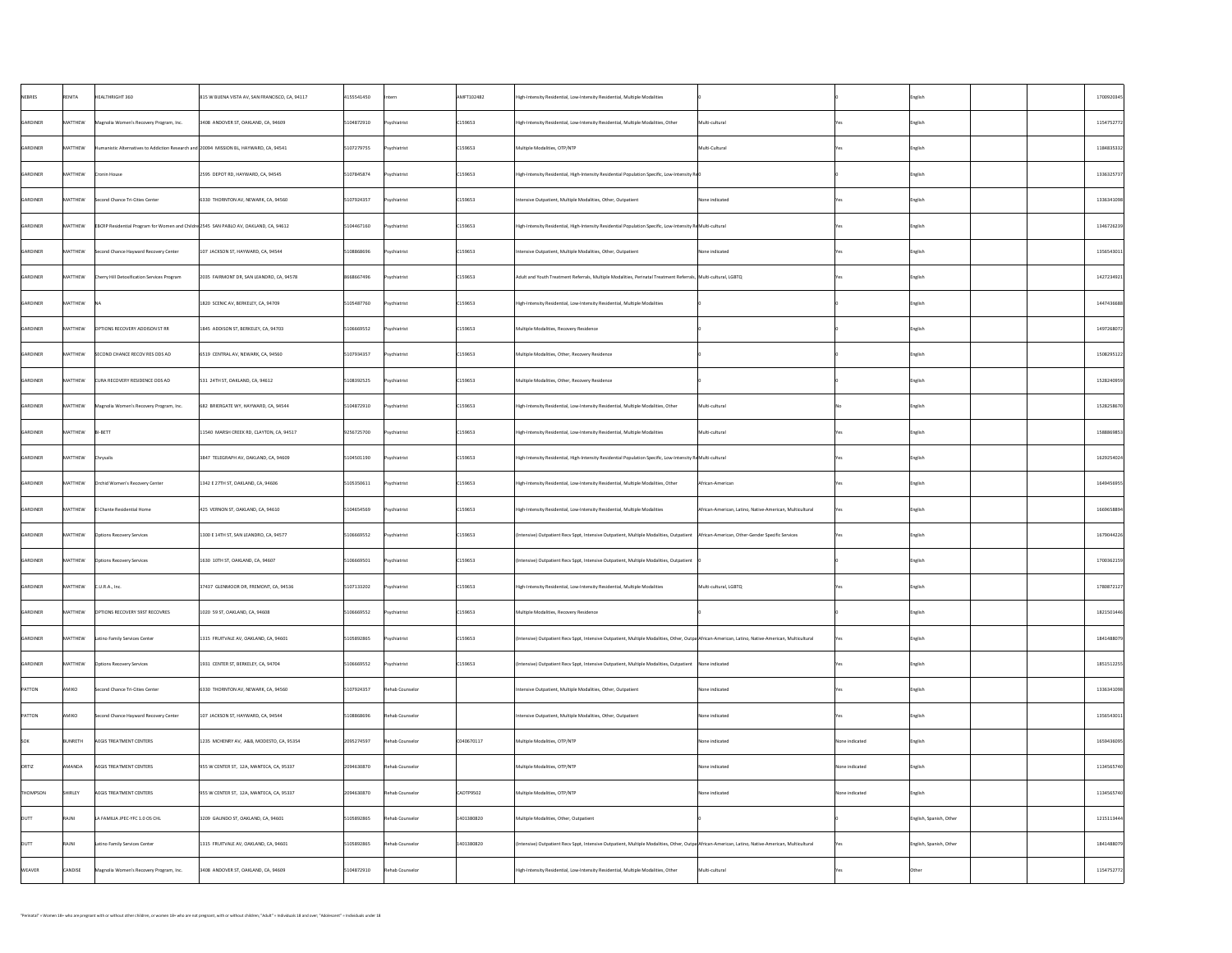| NEBRES        | RENITA       | HEALTHRIGHT 360                                                                        | 815 W BUENA VISTA AV, SAN FRANCISCO, CA, 94117             | 4155541450 | Intern          | AMFT102482      | High-Intensity Residential, Low-Intensity Residential, Multiple Modalities                                                                         |                                                          |                | English                 | 1700920345 |
|---------------|--------------|----------------------------------------------------------------------------------------|------------------------------------------------------------|------------|-----------------|-----------------|----------------------------------------------------------------------------------------------------------------------------------------------------|----------------------------------------------------------|----------------|-------------------------|------------|
| GARDINER      | MATTHEW      | Magnolia Women's Recovery Program, Inc.                                                | 3408 ANDOVER ST, OAKLAND, CA, 94609                        | 5104872910 | Psychiatrist    | C159653         | High-Intensity Residential, Low-Intensity Residential, Multiple Modalities, Other                                                                  | Multi-cultural                                           |                | English                 | 1154752772 |
| GARDINER      | MATTHEW      | Humanistic Alternatives to Addiction Research and 20094 MISSION BL, HAYWARD, CA, 94541 |                                                            | 5107279755 | Psychiatrist    | $\vert$ C159653 | Multiple Modalities, OTP/NTP                                                                                                                       | Multi-Cultural                                           |                | English                 | 1184835332 |
| GARDINER      | MATTHEW      | <b>Cronin House</b>                                                                    | 2595 DEPOT RD, HAYWARD, CA, 94545                          | 5107845874 | Psychiatrist    | C159653         | High-Intensity Residential, High-Intensity Residential Population Specific, Low-Intensity Re $0$                                                   |                                                          |                | English                 | 1336325737 |
| GARDINER      | MATTHEW      | Second Chance Tri-Cities Center                                                        | 6330 THORNTON AV, NEWARK, CA, 94560                        | 5107924357 | Psychiatrist    | C159653         | Intensive Outpatient, Multiple Modalities, Other, Outpatient                                                                                       | None indicated                                           |                | English                 | 1336341098 |
| GARDINER      | MATTHEW      | EBCRP Residential Program for Women and Childre 2545 SAN PABLO AV, OAKLAND, CA, 94612  |                                                            | 5104467160 | Psychiatrist    | $\vert$ C159653 | High-Intensity Residential, High-Intensity Residential Population Specific, Low-Intensity ReMulti-cultural                                         |                                                          |                | English                 | 1346726239 |
| GARDINER      | MATTHEW      | Second Chance Hayward Recovery Center                                                  | 107 JACKSON ST, HAYWARD, CA, 94544                         | 5108868696 | Psychiatrist    | C159653         | Intensive Outpatient, Multiple Modalities, Other, Outpatient                                                                                       | None indicated                                           |                | English                 | 1356543011 |
| GARDINER      | MATTHEW      | Cherry Hill Detoxification Services Program                                            | 2035 FAIRMONT DR, SAN LEANDRO, CA, 94578                   | 8668667496 | Psychiatrist    | C159653         | Adult and Youth Treatment Referrals, Multiple Modalities, Perinatal Treatment Referrals, Multi-cultural, LGBTQ                                     |                                                          |                | English                 | 1427234921 |
| GARDINER      | MATTHEW      |                                                                                        | $\vert$ 1820 SCENIC AV, BERKELEY, CA, 94709                | 5105487760 | Psychiatrist    | C159653         | High-Intensity Residential, Low-Intensity Residential, Multiple Modalities                                                                         |                                                          |                | English                 | 1447436688 |
| GARDINER      | MATTHEW      | OPTIONS RECOVERY ADDISON ST RR                                                         | 1845 ADDISON ST, BERKELEY, CA, 94703                       | 5106669552 | Psychiatrist    | C159653         | Multiple Modalities, Recovery Residence                                                                                                            |                                                          |                | English                 | 1497268072 |
| GARDINER      | MATTHEW      | SECOND CHANCE RECOV RES ODS AD                                                         | 6519 CENTRAL AV, NEWARK, CA, 94560                         | 5107934357 | Psychiatrist    | C159653         | Multiple Modalities, Other, Recovery Residence                                                                                                     |                                                          |                | English                 | 1508295122 |
| GARDINER      | MATTHEW      | CURA RECOVERY RESIDENCE ODS AD                                                         | 531 24TH ST, OAKLAND, CA, 94612                            | 5108392525 | Psychiatrist    | C159653         | Multiple Modalities, Other, Recovery Residence                                                                                                     |                                                          |                | English                 | 1528240959 |
| GARDINER      | MATTHEW      | Magnolia Women's Recovery Program, Inc.                                                | 682 BRIERGATE WY, HAYWARD, CA, 94544                       | 5104872910 | Psychiatrist    | C159653         | High-Intensity Residential, Low-Intensity Residential, Multiple Modalities, Other                                                                  | Multi-cultural                                           |                | English                 | 1528258670 |
| GARDINER      | MATTHEW      | $ B $ -BETT                                                                            | $\vert$ 11540 $\,$ MARSH CREEK RD, CLAYTON, CA, 94517 $\,$ | 9256725700 | Psychiatrist    | C159653         | High-Intensity Residential, Low-Intensity Residential, Multiple Modalities                                                                         | Multi-cultural                                           |                | English                 | 1588869853 |
| GARDINER      | MATTHEW      | Chrysalis                                                                              | 3847 TELEGRAPH AV, OAKLAND, CA, 94609                      | 5104501190 | Psychiatrist    | $\vert$ C159653 | High-Intensity Residential, High-Intensity Residential Population Specific, Low-Intensity ReMulti-cultural                                         |                                                          |                | English                 | 1629254024 |
| GARDINER      | MATTHEW      | Orchid Women's Recovery Center                                                         | 1342 E 27TH ST, OAKLAND, CA, 94606                         | 5105350611 | Psychiatrist    | $\vert$ C159653 | High-Intensity Residential, Low-Intensity Residential, Multiple Modalities, Other                                                                  | African-American                                         |                | English                 | 1649456955 |
| GARDINER      | MATTHEW      | El Chante Residential Home                                                             | 425 VERNON ST, OAKLAND, CA, 94610                          | 5104654569 | Psychiatrist    | C159653         | High-Intensity Residential, Low-Intensity Residential, Multiple Modalities                                                                         | African-American, Latino, Native-American, Multicultural |                | English                 | 1669658894 |
| GARDINER      | MATTHEW      | <b>Options Recovery Services</b>                                                       | 1300 E 14TH ST, SAN LEANDRO, CA, 94577                     | 5106669552 | Psychiatrist    | C159653         | (Intensive) Outpatient Recv Sppt, Intensive Outpatient, Multiple Modalities, Outpatient   African-American, Other-Gender Specific Services         |                                                          |                | English                 | 1679044226 |
| GARDINER      | MATTHEW      | <b>Options Recovery Services</b>                                                       | 1630 10TH ST, OAKLAND, CA, 94607                           | 5106669501 | Psychiatrist    | C159653         | (Intensive) Outpatient Recv Sppt, Intensive Outpatient, Multiple Modalities, Outpatient                                                            |                                                          |                | English                 | 1700362159 |
| GARDINER      | MATTHEW      | $ C.U.R.A.,$ Inc.                                                                      | 37437 GLENMOOR DR, FREMONT, CA, 94536                      | 5107133202 | Psychiatrist    | C159653         | High-Intensity Residential, Low-Intensity Residential, Multiple Modalities                                                                         | Multi-cultural, LGBTQ                                    |                | English                 | 1780872127 |
| GARDINER      | MATTHEW      | <b>OPTIONS RECOVERY 59ST RECOVRES</b>                                                  | 1020 59 ST, OAKLAND, CA, 94608                             | 5106669552 | Psychiatrist    | $\big $ C159653 | Multiple Modalities, Recovery Residence                                                                                                            |                                                          |                | English                 | 1821501446 |
| GARDINER      |              | $\vert$ MATTHEW $\vert$ Latino Family Services Center                                  | 1315 FRUITVALE AV, OAKLAND, CA, 94601                      | 5105892865 | Psychiatrist    | C159653         | (Intensive) Outpatient Recv Sppt, Intensive Outpatient, Multiple Modalities, Other, Outpa African-American, Latino, Native-American, Multicultural |                                                          |                | English                 | 1841488079 |
| GARDINER      | MATTHEW      | <b>Options Recovery Services</b>                                                       | 1931 CENTER ST, BERKELEY, CA, 94704                        | 5106669552 | Psychiatrist    | $\vert$ C159653 | (Intensive) Outpatient Recv Sppt, Intensive Outpatient, Multiple Modalities, Outpatient   None indicated                                           |                                                          |                | English                 | 1851512255 |
| PATTON        | AMIKO        | Second Chance Tri-Cities Center                                                        | 6330 THORNTON AV, NEWARK, CA, 94560                        | 5107924357 | Rehab Counselor |                 | Intensive Outpatient, Multiple Modalities, Other, Outpatient                                                                                       | None indicated                                           |                | English                 | 1336341098 |
| PATTON        | AMIKO        | Second Chance Hayward Recovery Center                                                  | 107 JACKSON ST, HAYWARD, CA, 94544                         | 5108868696 | Rehab Counselor |                 | Intensive Outpatient, Multiple Modalities, Other, Outpatient                                                                                       | None indicated                                           |                | English                 | 1356543011 |
| <b>SOK</b>    | BUNRETH      | AEGIS TREATMENT CENTERS                                                                | 1235 MCHENRY AV, A&B, MODESTO, CA, 95354                   | 2095274597 | Rehab Counselor | CO40670117      | Multiple Modalities, OTP/NTP                                                                                                                       | None indicated                                           | None indicated | English                 | 1659436095 |
| ORTIZ         | AMANDA       | <b>AEGIS TREATMENT CENTERS</b>                                                         | 955 W CENTER ST, 12A, MANTECA, CA, 95337                   | 2094630870 | Rehab Counselor |                 | Multiple Modalities, OTP/NTP                                                                                                                       | None indicated                                           | None indicated | English                 | 1134565740 |
| THOMPSON      | SHIRLEY      | <b>AEGIS TREATMENT CENTERS</b>                                                         | 955 W CENTER ST, 12A, MANTECA, CA, 95337                   | 2094630870 | Rehab Counselor | CADTP9502       | Multiple Modalities, OTP/NTP                                                                                                                       | None indicated                                           | None indicated | English                 | 1134565740 |
| <b>DUTT</b>   | <b>RAJNI</b> | LA FAMILIA JPEC-YFC 1.0 OS CHL                                                         | 3209 GALINDO ST, OAKLAND, CA, 94601                        | 5105892865 | Rehab Counselor | 1401380820      | Multiple Modalities, Other, Outpatient                                                                                                             |                                                          |                | English, Spanish, Other | 1215113444 |
| <b>DUTT</b>   | <b>RAJNI</b> | Latino Family Services Center                                                          | 1315 FRUITVALE AV, OAKLAND, CA, 94601                      | 5105892865 | Rehab Counselor | 1401380820      | (Intensive) Outpatient Recv Sppt, Intensive Outpatient, Multiple Modalities, Other, Outpa African-American, Latino, Native-American, Multicultural |                                                          |                | English, Spanish, Other | 1841488079 |
| <b>WEAVER</b> | CANDISE      | Magnolia Women's Recovery Program, Inc.                                                | 3408 ANDOVER ST, OAKLAND, CA, 94609                        | 5104872910 | Rehab Counselor |                 | High-Intensity Residential, Low-Intensity Residential, Multiple Modalities, Other                                                                  | Multi-cultural                                           |                | Other                   | 1154752772 |
|               |              |                                                                                        |                                                            |            |                 |                 |                                                                                                                                                    |                                                          |                |                         |            |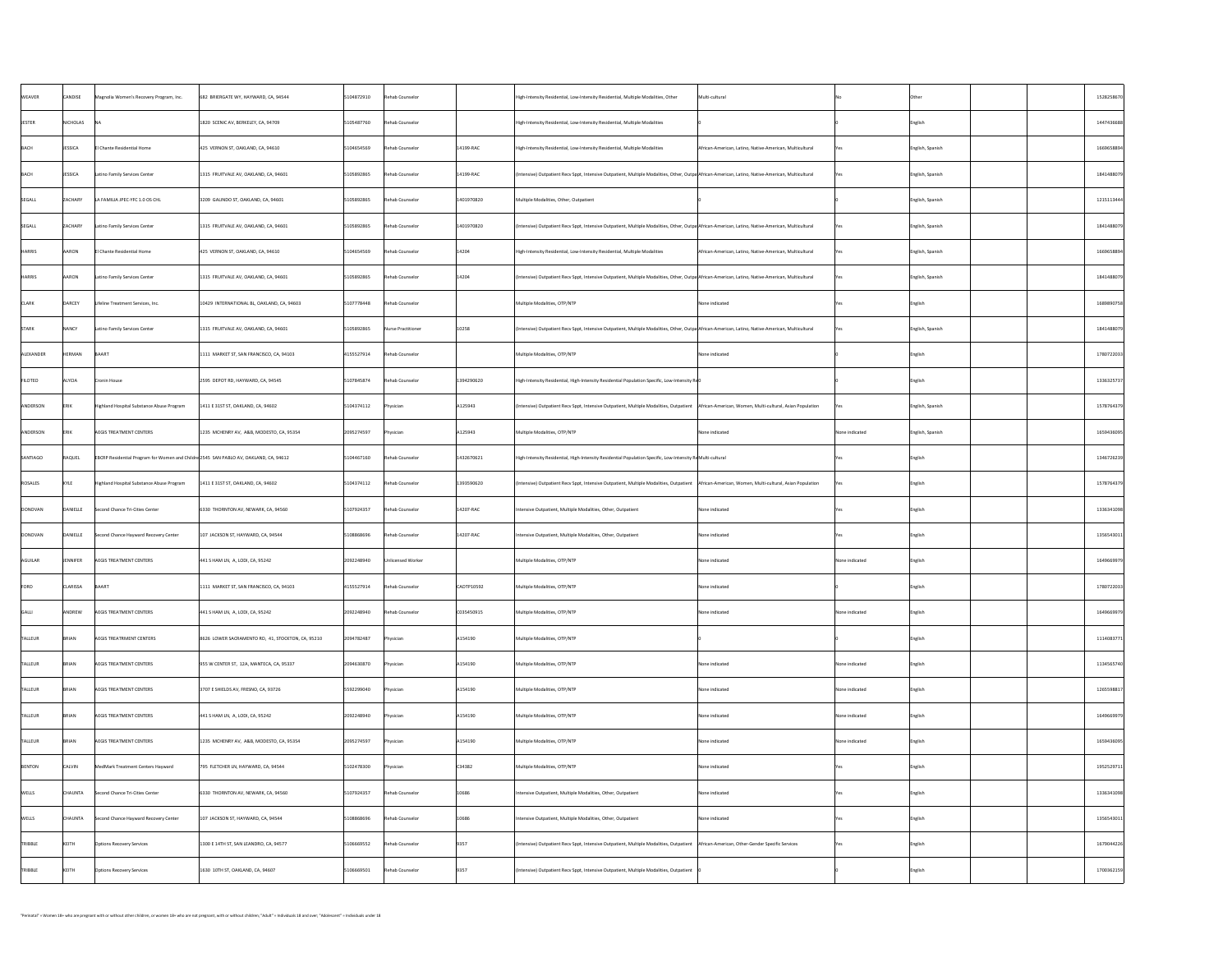| <b>WEAVER</b>  | CANDISE         | Magnolia Women's Recovery Program, Inc.                                               | 682 BRIERGATE WY, HAYWARD, CA, 94544                | 5104872910 | Rehab Counselor    |                | High-Intensity Residential, Low-Intensity Residential, Multiple Modalities, Other                                                                   | Multi-cultural                                           |                | Other                     | 1528258670 |
|----------------|-----------------|---------------------------------------------------------------------------------------|-----------------------------------------------------|------------|--------------------|----------------|-----------------------------------------------------------------------------------------------------------------------------------------------------|----------------------------------------------------------|----------------|---------------------------|------------|
| <b>JESTER</b>  | NICHOLAS        |                                                                                       | 1820 SCENIC AV, BERKELEY, CA, 94709                 | 5105487760 | Rehab Counselor    |                | High-Intensity Residential, Low-Intensity Residential, Multiple Modalities                                                                          |                                                          |                | English                   | 1447436688 |
| BACH           | <b>JESSICA</b>  | <b>El Chante Residential Home</b>                                                     | 425 VERNON ST, OAKLAND, CA, 94610                   | 5104654569 | Rehab Counselor    | $14199-RAC$    | High-Intensity Residential, Low-Intensity Residential, Multiple Modalities                                                                          | African-American, Latino, Native-American, Multicultural |                | English, Spanish          | 1669658894 |
| BACH           | JESSICA         | Latino Family Services Center                                                         | 1315 FRUITVALE AV, OAKLAND, CA, 94601               | 5105892865 | Rehab Counselor    | $14199 - RAC$  | (Intensive) Outpatient Recv Sppt, Intensive Outpatient, Multiple Modalities, Other, Outpa African-American, Latino, Native-American, Multicultural  |                                                          |                | English, Spanish          | 1841488079 |
| SEGALL         | <b>ZACHARY</b>  | LA FAMILIA JPEC-YFC 1.0 OS CHL                                                        | 3209 GALINDO ST, OAKLAND, CA, 94601                 | 5105892865 | Rehab Counselor    | 1401970820     | Multiple Modalities, Other, Outpatient                                                                                                              |                                                          |                | English, Spanish          | 1215113444 |
| SEGALL         | ZACHARY         | Latino Family Services Center                                                         | 1315 FRUITVALE AV, OAKLAND, CA, 94601               | 5105892865 | Rehab Counselor    | 1401970820     | (Intensive) Outpatient Recv Sppt, Intensive Outpatient, Multiple Modalities, Other, Outpa African-American, Latino, Native-American, Multicultural  |                                                          |                | $\left $ English, Spanish | 1841488079 |
| HARRIS         | <b>AARON</b>    | El Chante Residential Home                                                            | 425 VERNON ST, OAKLAND, CA, 94610                   | 5104654569 | Rehab Counselor    | 14204          | High-Intensity Residential, Low-Intensity Residential, Multiple Modalities                                                                          | African-American, Latino, Native-American, Multicultural |                | English, Spanish          | 1669658894 |
| <b>HARRIS</b>  | AARON           | Latino Family Services Center                                                         | 1315 FRUITVALE AV, OAKLAND, CA, 94601               | 5105892865 | Rehab Counselor    | 14204          | (Intensive) Outpatient Recv Sppt, Intensive Outpatient, Multiple Modalities, Other, Outpa African-American, Latino, Native-American, Multicultural  |                                                          |                | English, Spanish          | 1841488079 |
| <b>CLARK</b>   | DARCEY          | Lifeline Treatment Services, Inc.                                                     | 10429 INTERNATIONAL BL, OAKLAND, CA, 94603          | 5107778448 | Rehab Counselor    |                | Multiple Modalities, OTP/NTP                                                                                                                        | None indicated                                           |                | English                   | 1689890758 |
| STARK          | <b>NANCY</b>    | Latino Family Services Center                                                         | 1315 FRUITVALE AV, OAKLAND, CA, 94601               | 5105892865 | Nurse Practitioner | 10258          | (Intensive) Outpatient Recv Sppt, Intensive Outpatient, Multiple Modalities, Other, Outpa African-American, Latino, Native-American, Multicultural  |                                                          |                | English, Spanish          | 1841488079 |
| ALEXANDER      | <b>HERMAN</b>   | BAART                                                                                 | 1111 MARKET ST, SAN FRANCISCO, CA, 94103            | 4155527914 | Rehab Counselor    |                | Multiple Modalities, OTP/NTP                                                                                                                        | None indicated                                           |                | English                   | 1780722033 |
| <b>FILOTEO</b> | ALYCIA          | Cronin House                                                                          | 2595 DEPOT RD, HAYWARD, CA, 94545                   | 5107845874 | Rehab Counselor    | 1394290620     | High-Intensity Residential, High-Intensity Residential Population Specific, Low-Intensity Re $0$                                                    |                                                          |                | English                   | 1336325737 |
| ANDERSON       | <b>ERIK</b>     | Highland Hospital Substance Abuse Program                                             | 1411 E 31ST ST, OAKLAND, CA, 94602                  | 5104374112 | Physician          | A125943        | (Intensive) Outpatient Recv Sppt, Intensive Outpatient, Multiple Modalities, Outpatient   African-American, Women, Multi-cultural, Asian Population |                                                          |                | English, Spanish          | 1578764379 |
| ANDERSON       | <b>ERIK</b>     | AEGIS TREATMENT CENTERS                                                               | 1235 MCHENRY AV, A&B, MODESTO, CA, 95354            | 2095274597 | Physician          | A125943        | Multiple Modalities, OTP/NTP                                                                                                                        | None indicated                                           | None indicated | English, Spanish          | 1659436095 |
| SANTIAGO       | RAQUEL          | EBCRP Residential Program for Women and Childre 2545 SAN PABLO AV, OAKLAND, CA, 94612 |                                                     | 5104467160 | Rehab Counselor    | 1432670621     | High-Intensity Residential, High-Intensity Residential Population Specific, Low-Intensity ReMulti-cultural                                          |                                                          |                | English                   | 1346726239 |
| ROSALES        | KYLE            | Highland Hospital Substance Abuse Program                                             | 1411 E 31ST ST, OAKLAND, CA, 94602                  | 5104374112 | Rehab Counselor    | 1393590620     | (Intensive) Outpatient Recv Sppt, Intensive Outpatient, Multiple Modalities, Outpatient   African-American, Women, Multi-cultural, Asian Population |                                                          |                | English                   | 1578764379 |
| DONOVAN        | DANIELLE        | Second Chance Tri-Cities Center                                                       | $ 6330$ THORNTON AV, NEWARK, CA, 94560              | 5107924357 | Rehab Counselor    | $14207 - RAC$  | Intensive Outpatient, Multiple Modalities, Other, Outpatient                                                                                        | None indicated                                           |                | English                   | 1336341098 |
| DONOVAN        | DANIELLE        | Second Chance Hayward Recovery Center                                                 | $107$ JACKSON ST, HAYWARD, CA, 94544                | 5108868696 | Rehab Counselor    | $14207 - RAC$  | Intensive Outpatient, Multiple Modalities, Other, Outpatient                                                                                        | None indicated                                           |                | English                   | 1356543011 |
| AGUILAR        | JENNIFER        | <b>AEGIS TREATMENT CENTERS</b>                                                        | $441$ S HAM LN, A, LODI, CA, 95242                  | 2092248940 | Unlicensed Worker  |                | Multiple Modalities, OTP/NTP                                                                                                                        | None indicated                                           | None indicated | English                   | 1649669979 |
| FORD           | <b>CLARISSA</b> | BAART                                                                                 | 1111 MARKET ST, SAN FRANCISCO, CA, 94103            | 4155527914 | Rehab Counselor    | CADTP10592     | Multiple Modalities, OTP/NTP                                                                                                                        | None indicated                                           |                | English                   | 1780722033 |
| GALLI          | ANDREW          | <b>AEGIS TREATMENT CENTERS</b>                                                        | $441$ S HAM LN, A, LODI, CA, 95242                  | 2092248940 | Rehab Counselor    | C035450915     | Multiple Modalities, OTP/NTP                                                                                                                        | None indicated                                           | None indicated | English                   | 1649669979 |
| TALLEUR        | BRIAN           | <b>AEGIS TREATRMENT CENTERS</b>                                                       | $8626$ LOWER SACRAMENTO RD, 41, STOCKTON, CA, 95210 | 2094782487 | Physician          | A154190        | Multiple Modalities, OTP/NTP                                                                                                                        |                                                          |                | English                   | 1114083771 |
| <b>TALLEUR</b> | BRIAN           | <b>AEGIS TREATMENT CENTERS</b>                                                        | 955 W CENTER ST, 12A, MANTECA, CA, 95337            | 2094630870 | Physician          | A154190        | Multiple Modalities, OTP/NTP                                                                                                                        | None indicated                                           | None indicated | English                   | 1134565740 |
| <b>TALLEUR</b> | <b>BRIAN</b>    | <b>AEGIS TREATMENT CENTERS</b>                                                        | 3707 E SHIELDS AV, FRESNO, CA, 93726                | 5592299040 | Physician          | A154190        | Multiple Modalities, OTP/NTP                                                                                                                        | None indicated                                           | None indicated | English                   | 1265598817 |
| <b>TALLEUR</b> | BRIAN           | <b>AEGIS TREATMENT CENTERS</b>                                                        | $441$ S HAM LN, A, LODI, CA, 95242                  | 2092248940 | Physician          | A154190        | Multiple Modalities, OTP/NTP                                                                                                                        | None indicated                                           | None indicated | English                   | 1649669979 |
| <b>TALLEUR</b> | BRIAN           | <b>AEGIS TREATMENT CENTERS</b>                                                        | 1235 MCHENRY AV, A&B, MODESTO, CA, 95354            | 2095274597 | Physician          | A154190        | Multiple Modalities, OTP/NTP                                                                                                                        | None indicated                                           | None indicated | English                   | 1659436095 |
| BENTON         | <b>CALVIN</b>   | MedMark Treatment Centers Hayward                                                     | 795 FLETCHER LN, HAYWARD, CA, 94544                 | 5102478300 | Physician          | $\big $ C34382 | Multiple Modalities, OTP/NTP                                                                                                                        | None indicated                                           |                | English                   | 1952529711 |
| <b>WELLS</b>   | <b>CHAUNTA</b>  | Second Chance Tri-Cities Center                                                       | 6330 THORNTON AV, NEWARK, CA, 94560                 | 5107924357 | Rehab Counselor    | 10686          | Intensive Outpatient, Multiple Modalities, Other, Outpatient                                                                                        | None indicated                                           |                | English                   | 1336341098 |
| <b>WELLS</b>   | <b>CHAUNTA</b>  | Second Chance Hayward Recovery Center                                                 | 107 JACKSON ST, HAYWARD, CA, 94544                  | 5108868696 | Rehab Counselor    | 10686          | Intensive Outpatient, Multiple Modalities, Other, Outpatient                                                                                        | None indicated                                           |                | English                   | 1356543011 |
| TRIBBLE        | KEITH           | <b>Options Recovery Services</b>                                                      | 1300 E 14TH ST, SAN LEANDRO, CA, 94577              | 5106669552 | Rehab Counselor    | 9357           | (Intensive) Outpatient Recv Sppt, Intensive Outpatient, Multiple Modalities, Outpatient   African-American, Other-Gender Specific Services          |                                                          |                | English                   | 1679044226 |
| TRIBBLE        | KEITH           | Options Recovery Services                                                             | 1630 10TH ST, OAKLAND, CA, 94607                    | 5106669501 | Rehab Counselor    | 9357           | (Intensive) Outpatient Recv Sppt, Intensive Outpatient, Multiple Modalities, Outpatient                                                             |                                                          |                | English                   | 1700362159 |
|                |                 |                                                                                       |                                                     |            |                    |                |                                                                                                                                                     |                                                          |                |                           |            |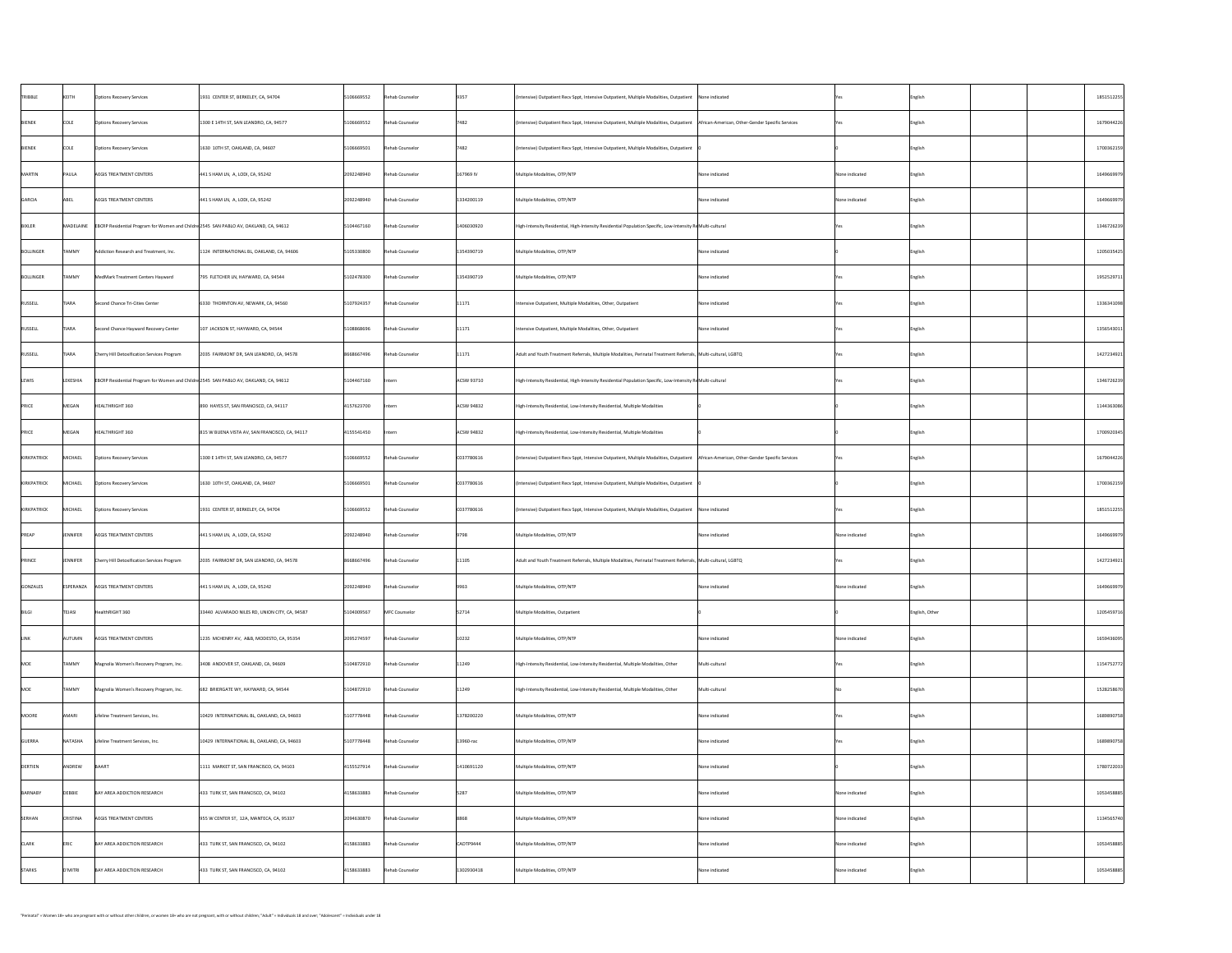| TRIBBLE      | KEITH           | <b>Options Recovery Services</b>                                                                                | 1931 CENTER ST, BERKELEY, CA, 94704            | 5106669552                     | Rehab Counselor | 9357          | $\vert$ (Intensive) Outpatient Recv Sppt, Intensive Outpatient, Multiple Modalities, Outpatient $\vert$ None indicated                     |                |                | English        | 1851512255 |
|--------------|-----------------|-----------------------------------------------------------------------------------------------------------------|------------------------------------------------|--------------------------------|-----------------|---------------|--------------------------------------------------------------------------------------------------------------------------------------------|----------------|----------------|----------------|------------|
| BIENEK       | COLE            | <b>Options Recovery Services</b>                                                                                | 1300 E 14TH ST, SAN LEANDRO, CA, 94577         | 5106669552                     | Rehab Counselor | 7482          | (Intensive) Outpatient Recv Sppt, Intensive Outpatient, Multiple Modalities, Outpatient   African-American, Other-Gender Specific Services |                |                | English        | 1679044226 |
| BIENEK       | <b>COLE</b>     | <b>Options Recovery Services</b>                                                                                | 1630 10TH ST, OAKLAND, CA, 94607               | 5106669501                     | Rehab Counselor | 7482          | (Intensive) Outpatient Recv Sppt, Intensive Outpatient, Multiple Modalities, Outpatient                                                    |                |                | English        | 1700362159 |
| MARTIN       | PAULA           | <b>AEGIS TREATMENT CENTERS</b>                                                                                  | $ 441 S$ HAM LN, A, LODI, CA, 95242            | 2092248940                     | Rehab Counselor | 167969 IV     | Multiple Modalities, OTP/NTP                                                                                                               | None indicated | None indicated | English        | 1649669979 |
| GARCIA       | ABEL            | AEGIS TREATMENT CENTERS                                                                                         | $ 441 S$ HAM LN, A, LODI, CA, 95242            | 2092248940                     | Rehab Counselor | 1334200119    | Multiple Modalities, OTP/NTP                                                                                                               | None indicated | None indicated | English        | 1649669979 |
| BIXLER       |                 | $\vert$ MADELAINE $\vert$ EBCRP Residential Program for Women and Childre 2545 SAN PABLO AV, OAKLAND, CA, 94612 |                                                | 5104467160                     | Rehab Counselor | 1406030920    | High-Intensity Residential, High-Intensity Residential Population Specific, Low-Intensity ReMulti-cultural                                 |                |                | English        | 1346726239 |
| BOLLINGER    | <b>TAMMY</b>    | Addiction Research and Treatment, Inc.                                                                          | 1124 INTERNATIONAL BL, OAKLAND, CA, 94606      | 5105330800                     | Rehab Counselor | 1354390719    | Multiple Modalities, OTP/NTP                                                                                                               | None indicated |                | English        | 1205035425 |
| BOLLINGER    | <b>TAMMY</b>    | MedMark Treatment Centers Hayward                                                                               | 795 FLETCHER LN, HAYWARD, CA, 94544            | 5102478300                     | Rehab Counselor | 1354390719    | Multiple Modalities, OTP/NTP                                                                                                               | None indicated |                | English        | 1952529711 |
| RUSSELL      | TIARA           | Second Chance Tri-Cities Center                                                                                 | 6330 THORNTON AV, NEWARK, CA, 94560            | 5107924357                     | Rehab Counselor | 11171         | Intensive Outpatient, Multiple Modalities, Other, Outpatient                                                                               | None indicated |                | English        | 1336341098 |
| RUSSELL      | <b>TIARA</b>    | Second Chance Hayward Recovery Center                                                                           | $107$ JACKSON ST, HAYWARD, CA, 94544           | 5108868696                     | Rehab Counselor | 11171         | Intensive Outpatient, Multiple Modalities, Other, Outpatient                                                                               | None indicated |                | English        | 1356543011 |
| RUSSELL      | TIARA           | Cherry Hill Detoxification Services Program                                                                     | 2035 FAIRMONT DR, SAN LEANDRO, CA, 94578       | 8668667496                     | Rehab Counselor | 11171         | Adult and Youth Treatment Referrals, Multiple Modalities, Perinatal Treatment Referrals, Multi-cultural, LGBTQ                             |                |                | English        | 1427234921 |
| LEWIS        | <b>LEKESHIA</b> | EBCRP Residential Program for Women and Childre 2545 SAN PABLO AV, OAKLAND, CA, 94612                           |                                                | 5104467160                     | Intern          | ACSW 93710    | High-Intensity Residential, High-Intensity Residential Population Specific, Low-Intensity ReMulti-cultural                                 |                |                | English        | 1346726239 |
| $ P R$ ICE   | MEGAN           | HEALTHRIGHT 360                                                                                                 | 890 HAYES ST, SAN FRANCISCO, CA, 94117         | 4157623700                     | Intern          | ACSW 94832    | High-Intensity Residential, Low-Intensity Residential, Multiple Modalities                                                                 |                |                | English        | 1144363086 |
| P R C E      | MEGAN           | HEALTHRIGHT 360                                                                                                 | 815 W BUENA VISTA AV, SAN FRANCISCO, CA, 94117 | 4155541450                     | Intern          | ACSW 94832    | High-Intensity Residential, Low-Intensity Residential, Multiple Modalities                                                                 |                |                | English        | 1700920345 |
| KIRKPATRICK  | MICHAEL         | Options Recovery Services                                                                                       | 1300 E 14TH ST, SAN LEANDRO, CA, 94577         | 5106669552                     | Rehab Counselor | C037780616    | (Intensive) Outpatient Recv Sppt, Intensive Outpatient, Multiple Modalities, Outpatient   African-American, Other-Gender Specific Services |                |                | English        | 1679044226 |
| KIRKPATRICK  | MICHAEL         | <b>Options Recovery Services</b>                                                                                | 1630 10TH ST, OAKLAND, CA, 94607               | 5106669501                     | Rehab Counselor | C037780616    | (Intensive) Outpatient Recv Sppt, Intensive Outpatient, Multiple Modalities, Outpatient                                                    |                |                | English        | 1700362159 |
| KIRKPATRICK  | MICHAEL         | <b>Options Recovery Services</b>                                                                                | 1931 CENTER ST, BERKELEY, CA, 94704            | 5106669552                     | Rehab Counselor | C037780616    | $\vert$ (Intensive) Outpatient Recv Sppt, Intensive Outpatient, Multiple Modalities, Outpatient $\vert$ None indicated                     |                |                | English        | 1851512255 |
| PREAP        | JENNIFER        | AEGIS TREATMENT CENTERS                                                                                         | $441$ S HAM LN, A, LODI, CA, 95242             | 2092248940                     | Rehab Counselor | 9798          | Multiple Modalities, OTP/NTP                                                                                                               | None indicated | None indicated | English        | 1649669979 |
| PRINCE       | JENNIFER        | Cherry Hill Detoxification Services Program                                                                     | 2035 FAIRMONT DR, SAN LEANDRO, CA, 94578       | 8668667496                     | Rehab Counselor | 11105         | Adult and Youth Treatment Referrals, Multiple Modalities, Perinatal Treatment Referrals, Multi-cultural, LGBTQ                             |                |                | English        | 1427234921 |
| GONZALES     |                 | ESPERANZA   AEGIS TREATMENT CENTERS                                                                             | $441$ S HAM LN, A, LODI, CA, 95242             | 2092248940                     | Rehab Counselor | 9963          | Multiple Modalities, OTP/NTP                                                                                                               | None indicated | None indicated | English        | 1649669979 |
| <b>BILGI</b> | TEJASI          | HealthRIGHT 360                                                                                                 | 33440 ALVARADO NILES RD, UNION CITY, CA, 94587 | 5104009567                     | MFC Counselor   | 52714         | Multiple Modalities, Outpatient                                                                                                            |                |                | English, Other | 1205459716 |
|              |                 | AUTUMN AEGIS TREATMENT CENTERS                                                                                  | $1235$ MCHENRY AV, A&B, MODESTO, CA, 95354     | $ 2095274597 $ Rehab Counselor |                 | 10232         | Multiple Modalities, OTP/NTP                                                                                                               | None indicated | None indicated | English        | 1659436095 |
| <b>MOE</b>   | <b>TAMMY</b>    | Magnolia Women's Recovery Program, Inc.                                                                         | 3408 ANDOVER ST, OAKLAND, CA, 94609            | 5104872910                     | Rehab Counselor | 11249         | High-Intensity Residential, Low-Intensity Residential, Multiple Modalities, Other                                                          | Multi-cultural |                | English        | 1154752772 |
| <b>MOE</b>   | <b>TAMMY</b>    | Magnolia Women's Recovery Program, Inc.                                                                         | 682 BRIERGATE WY, HAYWARD, CA, 94544           | 5104872910                     | Rehab Counselor | 11249         | High-Intensity Residential, Low-Intensity Residential, Multiple Modalities, Other                                                          | Multi-cultural |                | English        | 1528258670 |
| MOORE        | AMARI           | Lifeline Treatment Services, Inc.                                                                               | 10429 INTERNATIONAL BL, OAKLAND, CA, 94603     | 5107778448                     | Rehab Counselor | 1378200220    | Multiple Modalities, OTP/NTP                                                                                                               | None indicated |                | English        | 1689890758 |
| GUERRA       | NATASHA         | Lifeline Treatment Services, Inc.                                                                               | 10429 INTERNATIONAL BL, OAKLAND, CA, 94603     | 5107778448                     | Rehab Counselor | $ 13960$ -rac | Multiple Modalities, OTP/NTP                                                                                                               | None indicated |                | English        | 1689890758 |
| DERTIEN      | ANDREW          | BAART                                                                                                           | 1111 MARKET ST, SAN FRANCISCO, CA, 94103       | 4155527914                     | Rehab Counselor | 1410691120    | Multiple Modalities, OTP/NTP                                                                                                               | None indicated |                | English        | 1780722033 |
| BARNABY      | DEBBIE          | BAY AREA ADDICTION RESEARCH                                                                                     | 433 TURK ST, SAN FRANCISCO, CA, 94102          | 4158633883                     | Rehab Counselor | 5287          | Multiple Modalities, OTP/NTP                                                                                                               | None indicated | None indicated | English        | 1053458885 |
| SERHAN       | CRISTINA        | <b>AEGIS TREATMENT CENTERS</b>                                                                                  | 955 W CENTER ST, 12A, MANTECA, CA, 95337       | 2094630870                     | Rehab Counselor | 8868          | Multiple Modalities, OTP/NTP                                                                                                               | None indicated | None indicated | English        | 1134565740 |
| <b>CLARK</b> | <b>ERIC</b>     | BAY AREA ADDICTION RESEARCH                                                                                     | 433 TURK ST, SAN FRANCISCO, CA, 94102          | 4158633883                     | Rehab Counselor | $ $ CADTP9444 | Multiple Modalities, OTP/NTP                                                                                                               | None indicated | None indicated | English        | 1053458885 |
| STARKS       | D'MITRI         | BAY AREA ADDICTION RESEARCH                                                                                     | 433 TURK ST, SAN FRANCISCO, CA, 94102          | 4158633883                     | Rehab Counselor | 1302930418    | Multiple Modalities, OTP/NTP                                                                                                               | None indicated | None indicated | English        | 1053458885 |
|              |                 |                                                                                                                 |                                                |                                |                 |               |                                                                                                                                            |                |                |                |            |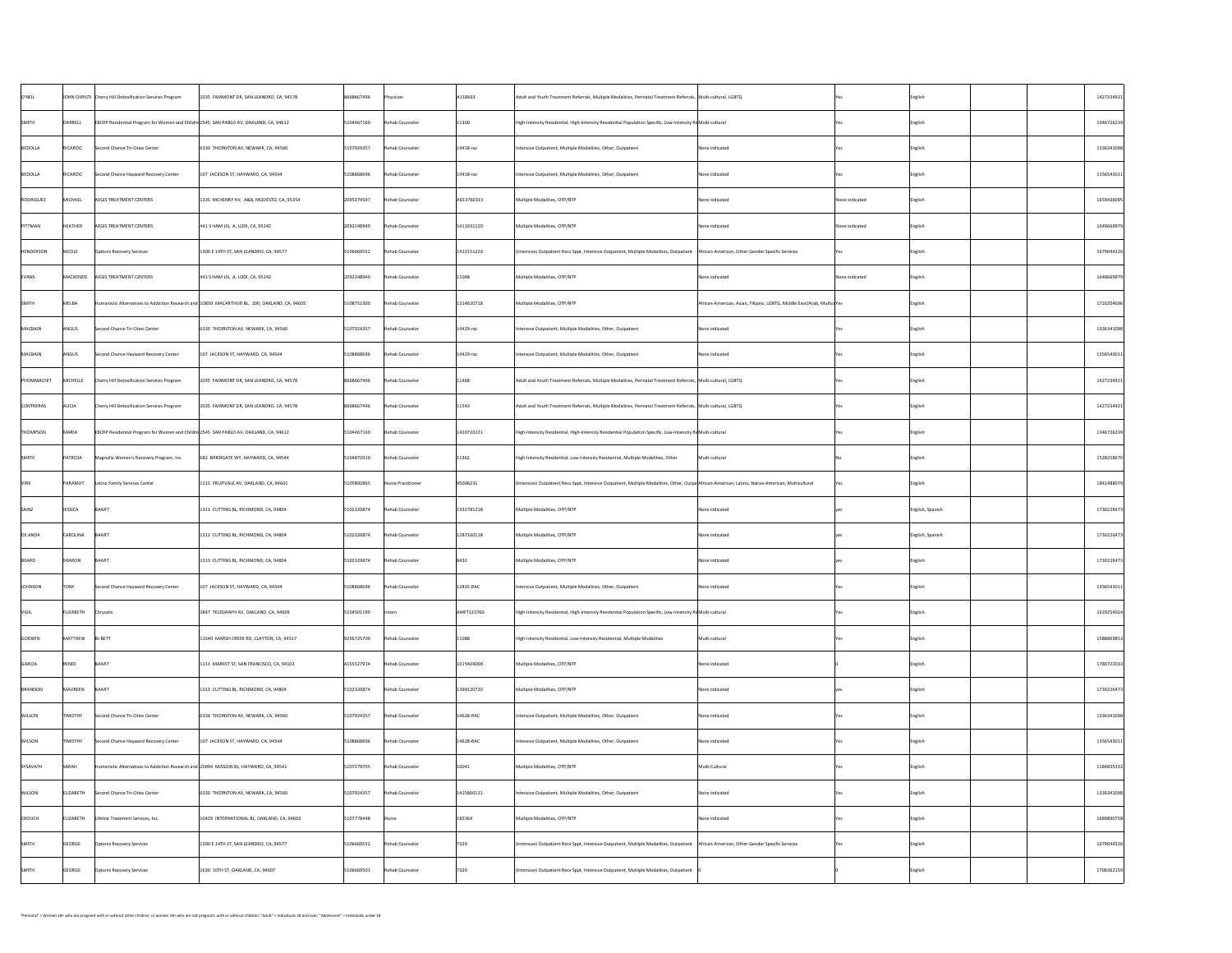| O'NEIL             |                | JOHN CHRISTI Cherry Hill Detoxification Services Program                               | 2035 FAIRMONT DR, SAN LEANDRO, CA, 94578                                                      | 8668667496 | Physician          | A118663       | Adult and Youth Treatment Referrals, Multiple Modalities, Perinatal Treatment Referrals,  Multi-cultural, LGBTQ                                     |                                                                        |                | English          | 1427234921 |
|--------------------|----------------|----------------------------------------------------------------------------------------|-----------------------------------------------------------------------------------------------|------------|--------------------|---------------|-----------------------------------------------------------------------------------------------------------------------------------------------------|------------------------------------------------------------------------|----------------|------------------|------------|
| <b>SMITH</b>       | DARRELL        | EBCRP Residential Program for Women and Childre 2545 SAN PABLO AV, OAKLAND, CA, 94612  |                                                                                               | 5104467160 | Rehab Counselor    | 11300         | High-Intensity Residential, High-Intensity Residential Population Specific, Low-Intensity ReMulti-cultural                                          |                                                                        |                | English          | 1346726239 |
| BEDOLLA            | RICARDO        | Second Chance Tri-Cities Center                                                        | 6330 THORNTON AV, NEWARK, CA, 94560                                                           | 5107924357 | Rehab Counselor    | $ 14418$ -rac | Intensive Outpatient, Multiple Modalities, Other, Outpatient                                                                                        | None indicated                                                         |                | English          | 1336341098 |
| BEDOLLA            | RICARDO        | Second Chance Hayward Recovery Center                                                  | 107 JACKSON ST, HAYWARD, CA, 94544                                                            | 5108868696 | Rehab Counselor    | $ 14418$ -rac | Intensive Outpatient, Multiple Modalities, Other, Outpatient                                                                                        | None indicated                                                         |                | English          | 1356543011 |
| RODRIGUEZ          | MICHAEL        | <b>AEGIS TREATMENT CENTERS</b>                                                         | 1235 MCHENRY AV, A&B, MODESTO, CA, 95354                                                      | 2095274597 | Rehab Counselor    | A013760315    | Multiple Modalities, OTP/NTP                                                                                                                        | None indicated                                                         | None indicated | English          | 1659436095 |
| PITTMAN            | <b>HEATHER</b> | <b>AEGIS TREATMENT CENTERS</b>                                                         | $441$ S HAM LN, A, LODI, CA, 95242                                                            | 2092248940 | Rehab Counselor    | 1411031120    | Multiple Modalities, OTP/NTP                                                                                                                        | None indicated                                                         | None indicated | English          | 1649669979 |
| HENDERSON          | NICOLE         | <b>Options Recovery Services</b>                                                       | 1300 E 14TH ST, SAN LEANDRO, CA, 94577                                                        | 5106669552 | Rehab Counselor    | 1412151220    | (Intensive) Outpatient Recv Sppt, Intensive Outpatient, Multiple Modalities, Outpatient   African-American, Other-Gender Specific Services          |                                                                        |                | English          | 1679044226 |
| EVANS              | MACKENZIE      | AEGIS TREATMENT CENTERS                                                                | $ 441 S$ HAM LN, A, LODI, CA, 95242                                                           | 2092248940 | Rehab Counselor    | 11068         | Multiple Modalities, OTP/NTP                                                                                                                        | None indicated                                                         | None indicated | English          | 1649669979 |
| <b>SMITH</b>       | MELBA          |                                                                                        | Humanistic Alternatives to Addiction Research and 10850 MACARTHUR BL, 200, OAKLAND, CA, 94605 | 5108752300 | Rehab Counselor    | 1314620718    | Multiple Modalities, OTP/NTP                                                                                                                        | African-American, Asian, Filipino, LGBTG, Middle East/Arab, MulticuYes |                | English          | 1720204696 |
| MACBAIN            | ANGUS          | Second Chance Tri-Cities Center                                                        | 6330 THORNTON AV, NEWARK, CA, 94560                                                           | 5107924357 | Rehab Counselor    | $14429$ -rac  | Intensive Outpatient, Multiple Modalities, Other, Outpatient                                                                                        | None indicated                                                         |                | English          | 1336341098 |
| MACBAIN            | <b>ANGUS</b>   | Second Chance Hayward Recovery Center                                                  | $107$ JACKSON ST, HAYWARD, CA, 94544                                                          | 5108868696 | Rehab Counselor    | $ 14429$ -rac | Intensive Outpatient, Multiple Modalities, Other, Outpatient                                                                                        | None indicated                                                         |                | English          | 1356543011 |
| PHOMMACHIT         | MICHELLE       | Cherry Hill Detoxification Services Program                                            | 2035 FAIRMONT DR, SAN LEANDRO, CA, 94578                                                      | 8668667496 | Rehab Counselor    | 11468         | Adult and Youth Treatment Referrals, Multiple Modalities, Perinatal Treatment Referrals, Multi-cultural, LGBTQ                                      |                                                                        |                | English          | 1427234921 |
| CONTRERAS          | ALICIA         | Cherry Hill Detoxification Services Program                                            | 2035 FAIRMONT DR, SAN LEANDRO, CA, 94578                                                      | 8668667496 | Rehab Counselor    | 11543         | Adult and Youth Treatment Referrals, Multiple Modalities, Perinatal Treatment Referrals, Multi-cultural, LGBTQ                                      |                                                                        |                | English          | 1427234921 |
| THOMPSON           | MARIA          | EBCRP Residential Program for Women and Childre 2545 SAN PABLO AV, OAKLAND, CA, 94612  |                                                                                               | 5104467160 | Rehab Counselor    | 1420710221    | High-Intensity Residential, High-Intensity Residential Population Specific, Low-Intensity ReMulti-cultural                                          |                                                                        |                | English          | 1346726239 |
| <sup>I</sup> SMITH | PATRICIA       | Magnolia Women's Recovery Program, Inc.                                                | 682 BRIERGATE WY, HAYWARD, CA, 94544                                                          | 5104872910 | Rehab Counselor    | 11362         | High-Intensity Residential, Low-Intensity Residential, Multiple Modalities, Other                                                                   | Multi-cultural                                                         |                | English          | 1528258670 |
| <b>VIRK</b>        | PARAMJIT       | Latino Family Services Center                                                          | 1315 FRUITVALE AV, OAKLAND, CA, 94601                                                         | 5105892865 | Nurse Practitioner | 95006231      | │(Intensive) Outpatient Recv Sppt, Intensive Outpatient, Multiple Modalities, Other, Outpa African-American, Latino, Native-American, Multicultural |                                                                        |                | English          | 1841488079 |
| SAINZ              | JESSICA        | BAART                                                                                  | 1313 CUTTING BL, RICHMOND, CA, 94804                                                          | 5102320874 | Rehab Counselor    | 1332781218    | Multiple Modalities, OTP/NTP                                                                                                                        | None indicated                                                         |                | English, Spanish | 1730226473 |
| <b>DE ANDA</b>     | CAROLINA       | BAART                                                                                  | 1313 CUTTING BL, RICHMOND, CA, 94804                                                          | 5102320874 | Rehab Counselor    | 1287160118    | Multiple Modalities, OTP/NTP                                                                                                                        | None indicated                                                         |                | English, Spanish | 1730226473 |
| BEARD              | SHARON         | BAART                                                                                  | 1313 CUTTING BL, RICHMOND, CA, 94804                                                          | 5102320874 | Rehab Counselor    | 8432          | Multiple Modalities, OTP/NTP                                                                                                                        | None indicated                                                         |                | English          | 1730226473 |
| JOHNSON            | <b>TONY</b>    | Second Chance Hayward Recovery Center                                                  | $107$ JACKSON ST, HAYWARD, CA, 94544                                                          | 5108868696 | Rehab Counselor    | $12835-RAC$   | Intensive Outpatient, Multiple Modalities, Other, Outpatient                                                                                        | None indicated                                                         |                | English          | 1356543011 |
| VIGIL              | ELIZABETH      | Chrysalis                                                                              | 3847 TELEGRAPH AV, OAKLAND, CA, 94609                                                         | 5104501190 | Intern             | AMFT123760    | High-Intensity Residential, High-Intensity Residential Population Specific, Low-Intensity ReMulti-cultural                                          |                                                                        |                | English          | 1629254024 |
| GODWIN             | MATTHEW        | BI-BETT                                                                                | 11540 MARSH CREEK RD, CLAYTON, CA, 94517                                                      | 9256725700 | Rehab Counselor    | 11088         | High-Intensity Residential, Low-Intensity Residential, Multiple Modalities                                                                          | Multi-cultural                                                         |                | English          | 1588869853 |
| GARCIA             | RENEE          | BAART                                                                                  | 1111 MARKET ST, SAN FRANCISCO, CA, 94103                                                      | 4155527914 | Rehab Counselor    | 101YA0400X    | Multiple Modalities, OTP/NTP                                                                                                                        | None indicated                                                         |                | English          | 1780722033 |
| BRANNON            | MAUREEN        | BAART                                                                                  | 1313 CUTTING BL, RICHMOND, CA, 94804                                                          | 5102320874 | Rehab Counselor    | 1399120720    | Multiple Modalities, OTP/NTP                                                                                                                        | None indicated                                                         |                | English          | 1730226473 |
| <b>WILSON</b>      | <b>TIMOTHY</b> | Second Chance Tri-Cities Center                                                        | 6330 THORNTON AV, NEWARK, CA, 94560                                                           | 5107924357 | Rehab Counselor    | $14628 - RAC$ | Intensive Outpatient, Multiple Modalities, Other, Outpatient                                                                                        | None indicated                                                         |                | English          | 1336341098 |
| <b>WILSON</b>      | <b>TIMOTHY</b> | Second Chance Hayward Recovery Center                                                  | $\vert$ 107 JACKSON ST, HAYWARD, CA, 94544                                                    | 5108868696 | Rehab Counselor    | $14628 - RAC$ | Intensive Outpatient, Multiple Modalities, Other, Outpatient                                                                                        | None indicated                                                         |                | English          | 1356543011 |
| SYSAVATH           | SARAH          | Humanistic Alternatives to Addiction Research and 20094 MISSION BL, HAYWARD, CA, 94541 |                                                                                               | 5107279755 | Rehab Counselor    | 10041         | Multiple Modalities, OTP/NTP                                                                                                                        | Multi-Cultural                                                         |                | English          | 1184835332 |
| <b>WILSON</b>      | ELIZABETH      | Second Chance Tri-Cities Center                                                        | 6330 THORNTON AV, NEWARK, CA, 94560                                                           | 5107924357 | Rehab Counselor    | 1415860121    | Intensive Outpatient, Multiple Modalities, Other, Outpatient                                                                                        | None indicated                                                         |                | English          | 1336341098 |
| <b>CROUCH</b>      | ELIZABETH      | Lifeline Treatment Services, Inc.                                                      | 10429 INTERNATIONAL BL, OAKLAND, CA, 94603                                                    | 5107778448 | Nurse              | 185364        | Multiple Modalities, OTP/NTP                                                                                                                        | None indicated                                                         |                | English          | 1689890758 |
| SMITH              | GEORGE         | <b>Options Recovery Services</b>                                                       | 1300 E 14TH ST, SAN LEANDRO, CA, 94577                                                        | 5106669552 | Rehab Counselor    | 7320          | (Intensive) Outpatient Recv Sppt, Intensive Outpatient, Multiple Modalities, Outpatient   African-American, Other-Gender Specific Services          |                                                                        |                | English          | 1679044226 |
| <b>SMITH</b>       | GEORGE         | <b>Options Recovery Services</b>                                                       | 1630 10TH ST, OAKLAND, CA, 94607                                                              | 5106669501 | Rehab Counselor    | 7320          | (Intensive) Outpatient Recv Sppt, Intensive Outpatient, Multiple Modalities, Outpatient                                                             |                                                                        |                | English          | 1700362159 |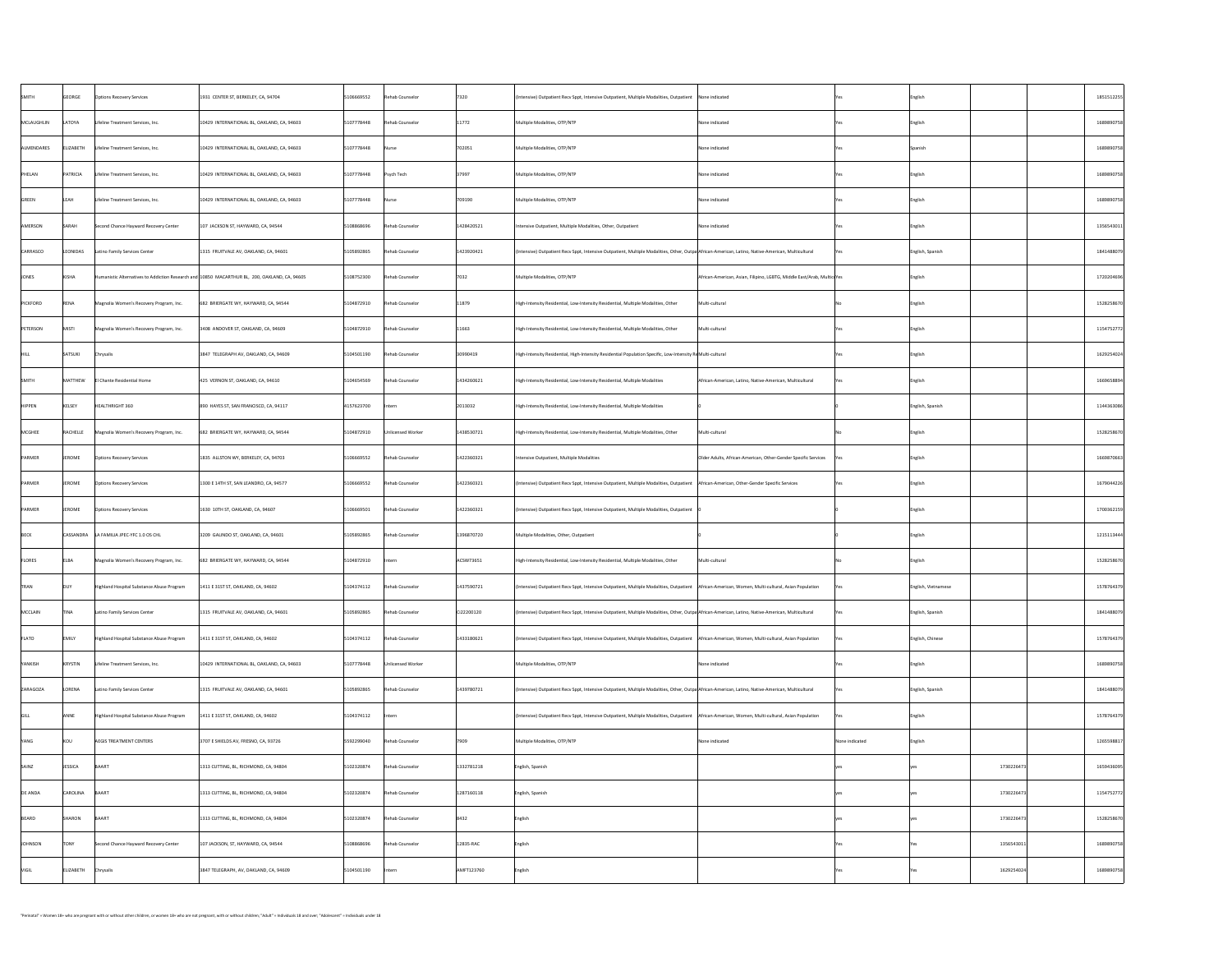| <b>SMITH</b>  | GEORGE           | <b>Options Recovery Services</b>           | 1931 CENTER ST, BERKELEY, CA, 94704                                                           | 5106669552 | Rehab Counselor    | 7320        | (Intensive) Outpatient Recv Sppt, Intensive Outpatient, Multiple Modalities, Outpatient   None indicated                                            |                                                                        |                | English             |            | 1851512255 |
|---------------|------------------|--------------------------------------------|-----------------------------------------------------------------------------------------------|------------|--------------------|-------------|-----------------------------------------------------------------------------------------------------------------------------------------------------|------------------------------------------------------------------------|----------------|---------------------|------------|------------|
| MCLAUGHLIN    | LATOYA           | Lifeline Treatment Services, Inc.          | 10429 INTERNATIONAL BL, OAKLAND, CA, 94603                                                    | 5107778448 | Rehab Counselor    | 11772       | Multiple Modalities, OTP/NTP                                                                                                                        | None indicated                                                         |                | English             |            | 1689890758 |
| ALMENDARES    | <b>ELIZABETH</b> | Lifeline Treatment Services, Inc.          | 10429 INTERNATIONAL BL, OAKLAND, CA, 94603                                                    | 5107778448 | Nurse              | 702051      | Multiple Modalities, OTP/NTP                                                                                                                        | None indicated                                                         |                | Spanish             |            | 1689890758 |
| PHELAN        | PATRICIA         | Lifeline Treatment Services, Inc.          | 10429 INTERNATIONAL BL, OAKLAND, CA, 94603                                                    | 5107778448 | $\vert$ Psych Tech | 37997       | Multiple Modalities, OTP/NTP                                                                                                                        | None indicated                                                         |                | English             |            | 1689890758 |
| GREEN         | LEAH             | Lifeline Treatment Services, Inc.          | 10429 INTERNATIONAL BL, OAKLAND, CA, 94603                                                    | 5107778448 | Nurse              | 709190      | Multiple Modalities, OTP/NTP                                                                                                                        | None indicated                                                         |                | English             |            | 1689890758 |
| AMERSON       | SARAH            | Second Chance Hayward Recovery Center      | $107$ JACKSON ST, HAYWARD, CA, 94544                                                          | 5108868696 | Rehab Counselor    | 1428420521  | Intensive Outpatient, Multiple Modalities, Other, Outpatient                                                                                        | None indicated                                                         |                | English             |            | 1356543011 |
| CARRASCO      | LEONIDAS         | Latino Family Services Center              | 1315 FRUITVALE AV, OAKLAND, CA, 94601                                                         | 5105892865 | Rehab Counselor    | 1423920421  | (Intensive) Outpatient Recv Sppt, Intensive Outpatient, Multiple Modalities, Other, Outpa African-American, Latino, Native-American, Multicultural  |                                                                        |                | English, Spanish    |            | 1841488079 |
| JONES         | KISHA            |                                            | Humanistic Alternatives to Addiction Research and 10850 MACARTHUR BL, 200, OAKLAND, CA, 94605 | 5108752300 | Rehab Counselor    | 7032        | Multiple Modalities, OTP/NTP                                                                                                                        | African-American, Asian, Filipino, LGBTG, Middle East/Arab, MulticuYes |                | English             |            | 1720204696 |
| PICKFORD      | RENA             | Magnolia Women's Recovery Program, Inc.    | 682 BRIERGATE WY, HAYWARD, CA, 94544                                                          | 5104872910 | Rehab Counselor    | 11879       | High-Intensity Residential, Low-Intensity Residential, Multiple Modalities, Other                                                                   | Multi-cultural                                                         |                | English             |            | 1528258670 |
| PETERSON      | MISTI            | Magnolia Women's Recovery Program, Inc.    | 3408 ANDOVER ST, OAKLAND, CA, 94609                                                           | 5104872910 | Rehab Counselor    | 11663       | High-Intensity Residential, Low-Intensity Residential, Multiple Modalities, Other                                                                   | Multi-cultural                                                         |                | English             |            | 1154752772 |
|               | SATSUKI          | Chrysalis                                  | 3847 TELEGRAPH AV, OAKLAND, CA, 94609                                                         | 5104501190 | Rehab Counselor    | 30990419    | High-Intensity Residential, High-Intensity Residential Population Specific, Low-Intensity Re Multi-cultural                                         |                                                                        |                | English             |            | 1629254024 |
| <b>SMITH</b>  | MATTHEW          | El Chante Residential Home                 | 425 VERNON ST, OAKLAND, CA, 94610                                                             | 5104654569 | Rehab Counselor    | 1434260621  | High-Intensity Residential, Low-Intensity Residential, Multiple Modalities                                                                          | African-American, Latino, Native-American, Multicultural               |                | English             |            | 1669658894 |
| <b>HIPPEN</b> | KELSEY           | HEALTHRIGHT 360                            | 890 HAYES ST, SAN FRANCISCO, CA, 94117                                                        | 4157623700 | Intern             | 2013032     | High-Intensity Residential, Low-Intensity Residential, Multiple Modalities                                                                          |                                                                        |                | English, Spanish    |            | 1144363086 |
| MCGHEE        | RACHELLE         | Magnolia Women's Recovery Program, Inc.    | 682 BRIERGATE WY, HAYWARD, CA, 94544                                                          | 5104872910 | Unlicensed Worker  | 1438530721  | High-Intensity Residential, Low-Intensity Residential, Multiple Modalities, Other                                                                   | Multi-cultural                                                         |                | English             |            | 1528258670 |
| PARMER        | JEROME           | <b>Options Recovery Services</b>           | 1835 ALLSTON WY, BERKELEY, CA, 94703                                                          | 5106669552 | Rehab Counselor    | 1422360321  | Intensive Outpatient, Multiple Modalities                                                                                                           | Older Adults, African-American, Other-Gender Specific Services         |                | English             |            | 1669870663 |
| PARMER        | JEROME           | <b>Options Recovery Services</b>           | 1300 E 14TH ST, SAN LEANDRO, CA, 94577                                                        | 5106669552 | Rehab Counselor    | 1422360321  | (Intensive) Outpatient Recv Sppt, Intensive Outpatient, Multiple Modalities, Outpatient   African-American, Other-Gender Specific Services          |                                                                        | <u>Yes</u>     | English             |            | 1679044226 |
| PARMER        | <b>JEROME</b>    | <b>Options Recovery Services</b>           | 1630 10TH ST, OAKLAND, CA, 94607                                                              | 5106669501 | Rehab Counselor    | 1422360321  | (Intensive) Outpatient Recv Sppt, Intensive Outpatient, Multiple Modalities, Outpatient                                                             |                                                                        |                | English             |            | 1700362159 |
| <b>BECK</b>   |                  | CASSANDRA   LA FAMILIA JPEC-YFC 1.0 OS CHL | 3209 GALINDO ST, OAKLAND, CA, 94601                                                           | 5105892865 | Rehab Counselor    | 1396870720  | Multiple Modalities, Other, Outpatient                                                                                                              |                                                                        |                | English             |            | 1215113444 |
| <b>FLORES</b> | ELBA             | Magnolia Women's Recovery Program, Inc.    | 682 BRIERGATE WY, HAYWARD, CA, 94544                                                          | 5104872910 | Intern             | ACSW73651   | High-Intensity Residential, Low-Intensity Residential, Multiple Modalities, Other                                                                   | Multi-cultural                                                         |                | English             |            | 1528258670 |
| TRAN          | <b>DUY</b>       | Highland Hospital Substance Abuse Program  | 1411 E 31ST ST, OAKLAND, CA, 94602                                                            | 5104374112 | Rehab Counselor    | 1437590721  | (Intensive) Outpatient Recv Sppt, Intensive Outpatient, Multiple Modalities, Outpatient   African-American, Women, Multi-cultural, Asian Population |                                                                        | res            | English, Vietnamese |            | 1578764379 |
| MCCLAIN       | <b>TINA</b>      | Latino Family Services Center              | 1315 FRUITVALE AV, OAKLAND, CA, 94601                                                         | 5105892865 | Rehab Counselor    | Ci22200120  | (Intensive) Outpatient Recv Sppt, Intensive Outpatient, Multiple Modalities, Other, Outpa African-American, Latino, Native-American, Multicultural  |                                                                        | res i          | English, Spanish    |            | 1841488079 |
| FLATO         | <b>EMILY</b>     | Highland Hospital Substance Abuse Program  | 1411 E 31ST ST, OAKLAND, CA, 94602                                                            | 5104374112 | Rehab Counselor    | 1433180621  | (Intensive) Outpatient Recv Sppt, Intensive Outpatient, Multiple Modalities, Outpatient   African-American, Women, Multi-cultural, Asian Population |                                                                        |                | English, Chinese    |            | 1578764379 |
| YANKISH       | KRYSTIN          | Lifeline Treatment Services, Inc.          | 10429 INTERNATIONAL BL, OAKLAND, CA, 94603                                                    | 5107778448 | Unlicensed Worker  |             | Multiple Modalities, OTP/NTP                                                                                                                        | None indicated                                                         |                | English             |            | 1689890758 |
| ZARAGOZA      | LORENA           | Latino Family Services Center              | 1315 FRUITVALE AV, OAKLAND, CA, 94601                                                         | 5105892865 | Rehab Counselor    | 1439780721  | (Intensive) Outpatient Recv Sppt, Intensive Outpatient, Multiple Modalities, Other, Outpa African-American, Latino, Native-American, Multicultural  |                                                                        | <u>Nes</u>     | English, Spanish    |            | 1841488079 |
|               | ANNE             | Highland Hospital Substance Abuse Program  | 1411 E 31ST ST, OAKLAND, CA, 94602                                                            | 5104374112 | Intern             |             | (Intensive) Outpatient Recv Sppt, Intensive Outpatient, Multiple Modalities, Outpatient   African-American, Women, Multi-cultural, Asian Population |                                                                        |                | English             |            | 1578764379 |
| YANG          | KOU              | <b>AEGIS TREATMENT CENTERS</b>             | 3707 E SHIELDS AV, FRESNO, CA, 93726                                                          | 5592299040 | Rehab Counselor    | 7909        | Multiple Modalities, OTP/NTP                                                                                                                        | None indicated                                                         | None indicated | English             |            | 1265598817 |
| SAINZ         | <b>JESSICA</b>   | BAART                                      | 1313 CUTTING, BL, RICHMOND, CA, 94804                                                         | 5102320874 | Rehab Counselor    | 1332781218  | English, Spanish                                                                                                                                    |                                                                        |                |                     | 1730226473 | 1659436095 |
| DE ANDA       | CAROLINA         | BAART                                      | 1313 CUTTING, BL, RICHMOND, CA, 94804                                                         | 5102320874 | Rehab Counselor    | 1287160118  | English, Spanish                                                                                                                                    |                                                                        |                |                     | 1730226473 | 1154752772 |
| BEARD         | SHARON           | BAART                                      | 1313 CUTTING, BL, RICHMOND, CA, 94804                                                         | 5102320874 | Rehab Counselor    | 8432        | English                                                                                                                                             |                                                                        |                |                     | 1730226473 | 1528258670 |
| JOHNSON       | <b>TONY</b>      | Second Chance Hayward Recovery Center      | 107 JACKSON, ST, HAYWARD, CA, 94544                                                           | 5108868696 | Rehab Counselor    | $12835-RAC$ | English                                                                                                                                             |                                                                        |                |                     | 1356543011 | 1689890758 |
| <b>VIGIL</b>  | ELIZABETH        | Chrysalis                                  | 3847 TELEGRAPH, AV, OAKLAND, CA, 94609                                                        | 5104501190 | Intern             | AMFT123760  | English                                                                                                                                             |                                                                        |                |                     | 1629254024 | 1689890758 |
|               |                  |                                            |                                                                                               |            |                    |             |                                                                                                                                                     |                                                                        |                |                     |            |            |